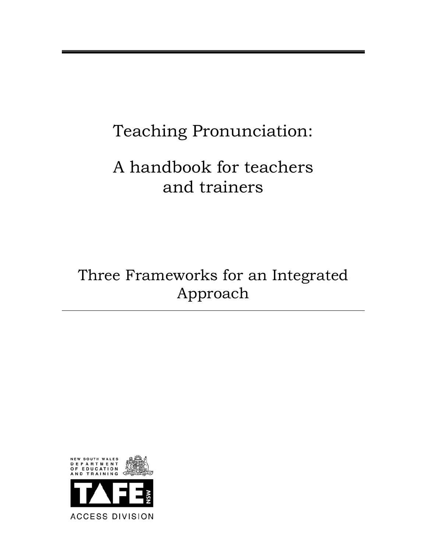# Teaching Pronunciation:

# A handbook for teachers and trainers

# Three Frameworks for an Integrated Approach

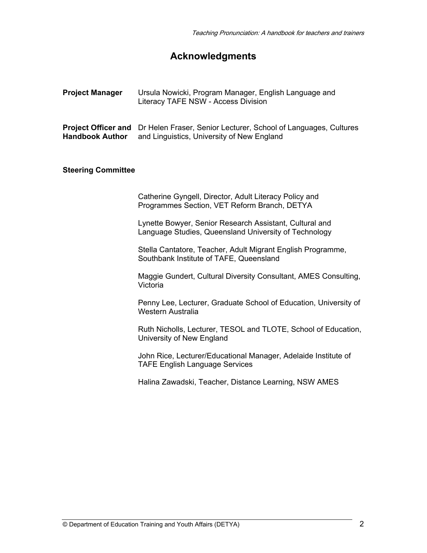## **Acknowledgments**

| <b>Project Manager</b> | Ursula Nowicki, Program Manager, English Language and |
|------------------------|-------------------------------------------------------|
|                        | Literacy TAFE NSW - Access Division                   |

**Project Officer and** Dr Helen Fraser, Senior Lecturer, School of Languages, Cultures **Handbook Author** and Linguistics, University of New England

#### **Steering Committee**

Catherine Gyngell, Director, Adult Literacy Policy and Programmes Section, VET Reform Branch, DETYA

Lynette Bowyer, Senior Research Assistant, Cultural and Language Studies, Queensland University of Technology

Stella Cantatore, Teacher, Adult Migrant English Programme, Southbank Institute of TAFE, Queensland

Maggie Gundert, Cultural Diversity Consultant, AMES Consulting, **Victoria** 

 Penny Lee, Lecturer, Graduate School of Education, University of Western Australia

Ruth Nicholls, Lecturer, TESOL and TLOTE, School of Education, University of New England

 John Rice, Lecturer/Educational Manager, Adelaide Institute of TAFE English Language Services

Halina Zawadski, Teacher, Distance Learning, NSW AMES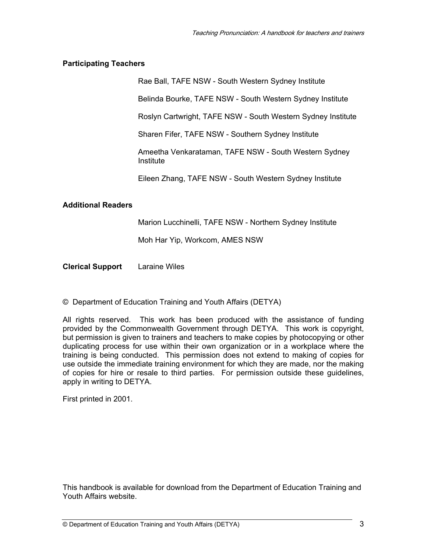#### **Participating Teachers**

Rae Ball, TAFE NSW - South Western Sydney Institute

Belinda Bourke, TAFE NSW - South Western Sydney Institute

Roslyn Cartwright, TAFE NSW - South Western Sydney Institute

Sharen Fifer, TAFE NSW - Southern Sydney Institute

Ameetha Venkarataman, TAFE NSW - South Western Sydney **Institute** 

Eileen Zhang, TAFE NSW - South Western Sydney Institute

#### **Additional Readers**

Marion Lucchinelli, TAFE NSW - Northern Sydney Institute

Moh Har Yip, Workcom, AMES NSW

**Clerical Support** Laraine Wiles

© Department of Education Training and Youth Affairs (DETYA)

All rights reserved. This work has been produced with the assistance of funding provided by the Commonwealth Government through DETYA. This work is copyright, but permission is given to trainers and teachers to make copies by photocopying or other duplicating process for use within their own organization or in a workplace where the training is being conducted. This permission does not extend to making of copies for use outside the immediate training environment for which they are made, nor the making of copies for hire or resale to third parties. For permission outside these guidelines, apply in writing to DETYA.

First printed in 2001.

This handbook is available for download from the Department of Education Training and Youth Affairs website.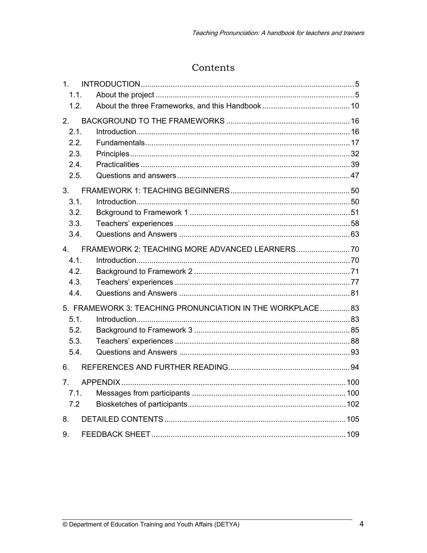## Contents

| 1.             |                                                            |  |
|----------------|------------------------------------------------------------|--|
| 1.1.           |                                                            |  |
| 1.2.           |                                                            |  |
| 2.             |                                                            |  |
| 2.1.           |                                                            |  |
| 2.2.           |                                                            |  |
| 2.3.           |                                                            |  |
| 2.4.           |                                                            |  |
| 2.5.           |                                                            |  |
| 3.             |                                                            |  |
| 3.1.           |                                                            |  |
| 3.2.           |                                                            |  |
| 3.3.           |                                                            |  |
| 3.4.           |                                                            |  |
| 4.             |                                                            |  |
| 4.1.           |                                                            |  |
| 4.2.           |                                                            |  |
| 4.3.           |                                                            |  |
| 4.4.           |                                                            |  |
|                | 5. FRAMEWORK 3: TEACHING PRONUNCIATION IN THE WORKPLACE 83 |  |
| 5.1.           |                                                            |  |
| 5.2.           |                                                            |  |
| 5.3.           |                                                            |  |
| 5.4.           |                                                            |  |
| 6.             |                                                            |  |
| 7 <sub>1</sub> |                                                            |  |
| 7.1.           |                                                            |  |
| 7.2            |                                                            |  |
| 8.             |                                                            |  |
| 9.             |                                                            |  |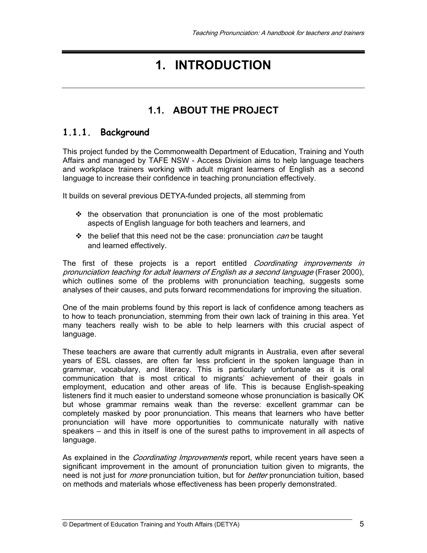## **1. INTRODUCTION**

## **1.1. ABOUT THE PROJECT**

## **1.1.1. Background**

This project funded by the Commonwealth Department of Education, Training and Youth Affairs and managed by TAFE NSW - Access Division aims to help language teachers and workplace trainers working with adult migrant learners of English as a second language to increase their confidence in teaching pronunciation effectively.

It builds on several previous DETYA-funded projects, all stemming from

- $\div$  the observation that pronunciation is one of the most problematic aspects of English language for both teachers and learners, and
- $\cdot \cdot$  the belief that this need not be the case: pronunciation *can* be taught and learned effectively.

The first of these projects is a report entitled *Coordinating improvements in* pronunciation teaching for adult learners of English as a second language (Fraser 2000), which outlines some of the problems with pronunciation teaching, suggests some analyses of their causes, and puts forward recommendations for improving the situation.

One of the main problems found by this report is lack of confidence among teachers as to how to teach pronunciation, stemming from their own lack of training in this area. Yet many teachers really wish to be able to help learners with this crucial aspect of language.

These teachers are aware that currently adult migrants in Australia, even after several years of ESL classes, are often far less proficient in the spoken language than in grammar, vocabulary, and literacy. This is particularly unfortunate as it is oral communication that is most critical to migrants' achievement of their goals in employment, education and other areas of life. This is because English-speaking listeners find it much easier to understand someone whose pronunciation is basically OK but whose grammar remains weak than the reverse: excellent grammar can be completely masked by poor pronunciation. This means that learners who have better pronunciation will have more opportunities to communicate naturally with native speakers – and this in itself is one of the surest paths to improvement in all aspects of language.

As explained in the *Coordinating Improvements* report, while recent years have seen a significant improvement in the amount of pronunciation tuition given to migrants, the need is not just for *more* pronunciation tuition, but for *better* pronunciation tuition, based on methods and materials whose effectiveness has been properly demonstrated.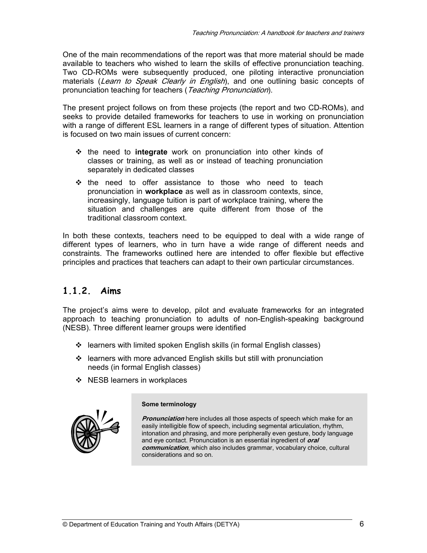One of the main recommendations of the report was that more material should be made available to teachers who wished to learn the skills of effective pronunciation teaching. Two CD-ROMs were subsequently produced, one piloting interactive pronunciation materials (Learn to Speak Clearly in English), and one outlining basic concepts of pronunciation teaching for teachers (Teaching Pronunciation).

The present project follows on from these projects (the report and two CD-ROMs), and seeks to provide detailed frameworks for teachers to use in working on pronunciation with a range of different ESL learners in a range of different types of situation. Attention is focused on two main issues of current concern:

- the need to **integrate** work on pronunciation into other kinds of classes or training, as well as or instead of teaching pronunciation separately in dedicated classes
- $\div$  the need to offer assistance to those who need to teach pronunciation in **workplace** as well as in classroom contexts, since, increasingly, language tuition is part of workplace training, where the situation and challenges are quite different from those of the traditional classroom context.

In both these contexts, teachers need to be equipped to deal with a wide range of different types of learners, who in turn have a wide range of different needs and constraints. The frameworks outlined here are intended to offer flexible but effective principles and practices that teachers can adapt to their own particular circumstances.

## **1.1.2. Aims**

The project's aims were to develop, pilot and evaluate frameworks for an integrated approach to teaching pronunciation to adults of non-English-speaking background (NESB). Three different learner groups were identified

- learners with limited spoken English skills (in formal English classes)
- $\cdot$  learners with more advanced English skills but still with pronunciation needs (in formal English classes)
- ❖ NESB learners in workplaces



#### **Some terminology**

**Pronunciation** here includes all those aspects of speech which make for an easily intelligible flow of speech, including segmental articulation, rhythm, intonation and phrasing, and more peripherally even gesture, body language and eye contact. Pronunciation is an essential ingredient of **oral communication**, which also includes grammar, vocabulary choice, cultural considerations and so on.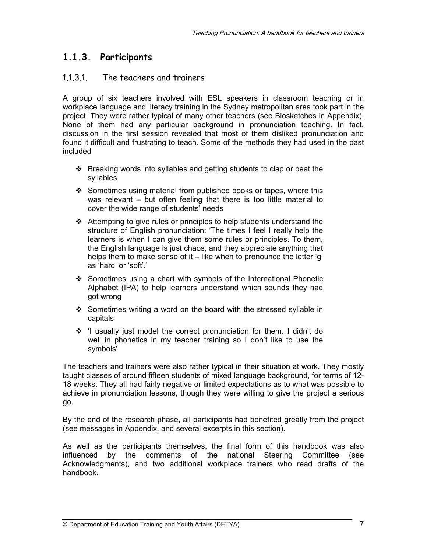## **1.1.3. Participants**

## 1.1.3.1. The teachers and trainers

A group of six teachers involved with ESL speakers in classroom teaching or in workplace language and literacy training in the Sydney metropolitan area took part in the project. They were rather typical of many other teachers (see Biosketches in Appendix). None of them had any particular background in pronunciation teaching. In fact, discussion in the first session revealed that most of them disliked pronunciation and found it difficult and frustrating to teach. Some of the methods they had used in the past included

- $\div$  Breaking words into syllables and getting students to clap or beat the syllables
- $\div$  Sometimes using material from published books or tapes, where this was relevant – but often feeling that there is too little material to cover the wide range of students' needs
- Attempting to give rules or principles to help students understand the structure of English pronunciation: 'The times I feel I really help the learners is when I can give them some rules or principles. To them, the English language is just chaos, and they appreciate anything that helps them to make sense of it – like when to pronounce the letter 'g' as 'hard' or 'soft'.'
- $\div$  Sometimes using a chart with symbols of the International Phonetic Alphabet (IPA) to help learners understand which sounds they had got wrong
- $\div$  Sometimes writing a word on the board with the stressed syllable in capitals
- $\div$  'I usually just model the correct pronunciation for them. I didn't do well in phonetics in my teacher training so I don't like to use the symbols'

The teachers and trainers were also rather typical in their situation at work. They mostly taught classes of around fifteen students of mixed language background, for terms of 12- 18 weeks. They all had fairly negative or limited expectations as to what was possible to achieve in pronunciation lessons, though they were willing to give the project a serious go.

By the end of the research phase, all participants had benefited greatly from the project (see messages in Appendix, and several excerpts in this section).

As well as the participants themselves, the final form of this handbook was also influenced by the comments of the national Steering Committee (see Acknowledgments), and two additional workplace trainers who read drafts of the handbook.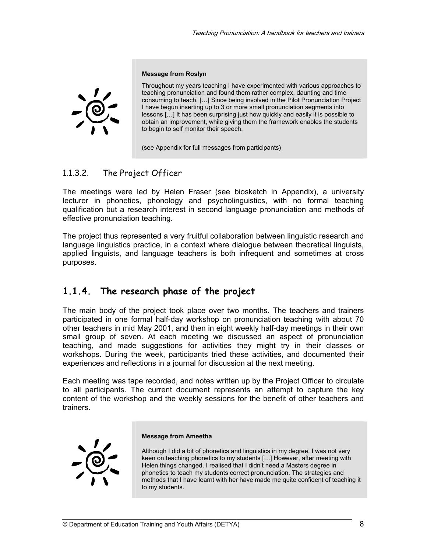

#### **Message from Roslyn**

Throughout my years teaching I have experimented with various approaches to teaching pronunciation and found them rather complex, daunting and time consuming to teach. […] Since being involved in the Pilot Pronunciation Project I have begun inserting up to 3 or more small pronunciation segments into lessons […] It has been surprising just how quickly and easily it is possible to obtain an improvement, while giving them the framework enables the students to begin to self monitor their speech.

(see Appendix for full messages from participants)

## 1.1.3.2. The Project Officer

The meetings were led by Helen Fraser (see biosketch in Appendix), a university lecturer in phonetics, phonology and psycholinguistics, with no formal teaching qualification but a research interest in second language pronunciation and methods of effective pronunciation teaching.

The project thus represented a very fruitful collaboration between linguistic research and language linguistics practice, in a context where dialogue between theoretical linguists, applied linguists, and language teachers is both infrequent and sometimes at cross purposes.

## **1.1.4. The research phase of the project**

The main body of the project took place over two months. The teachers and trainers participated in one formal half-day workshop on pronunciation teaching with about 70 other teachers in mid May 2001, and then in eight weekly half-day meetings in their own small group of seven. At each meeting we discussed an aspect of pronunciation teaching, and made suggestions for activities they might try in their classes or workshops. During the week, participants tried these activities, and documented their experiences and reflections in a journal for discussion at the next meeting.

Each meeting was tape recorded, and notes written up by the Project Officer to circulate to all participants. The current document represents an attempt to capture the key content of the workshop and the weekly sessions for the benefit of other teachers and trainers.



#### **Message from Ameetha**

Although I did a bit of phonetics and linguistics in my degree, I was not very keen on teaching phonetics to my students […] However, after meeting with Helen things changed. I realised that I didn't need a Masters degree in phonetics to teach my students correct pronunciation. The strategies and methods that I have learnt with her have made me quite confident of teaching it to my students.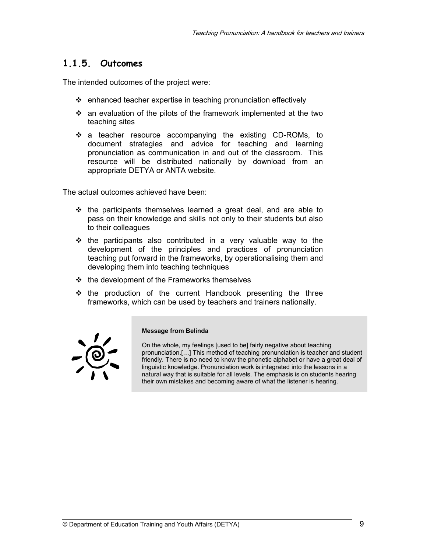## **1.1.5. Outcomes**

The intended outcomes of the project were:

- enhanced teacher expertise in teaching pronunciation effectively
- $\div$  an evaluation of the pilots of the framework implemented at the two teaching sites
- a teacher resource accompanying the existing CD-ROMs, to document strategies and advice for teaching and learning pronunciation as communication in and out of the classroom. This resource will be distributed nationally by download from an appropriate DETYA or ANTA website.

The actual outcomes achieved have been:

- $\div$  the participants themselves learned a great deal, and are able to pass on their knowledge and skills not only to their students but also to their colleagues
- $\div$  the participants also contributed in a very valuable way to the development of the principles and practices of pronunciation teaching put forward in the frameworks, by operationalising them and developing them into teaching techniques
- $\div$  the development of the Frameworks themselves
- $\div$  the production of the current Handbook presenting the three frameworks, which can be used by teachers and trainers nationally.



#### **Message from Belinda**

On the whole, my feelings [used to be] fairly negative about teaching pronunciation.[…] This method of teaching pronunciation is teacher and student friendly. There is no need to know the phonetic alphabet or have a great deal of linguistic knowledge. Pronunciation work is integrated into the lessons in a natural way that is suitable for all levels. The emphasis is on students hearing their own mistakes and becoming aware of what the listener is hearing.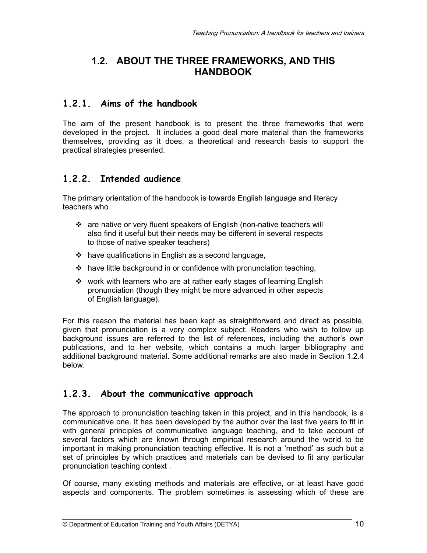## **1.2. ABOUT THE THREE FRAMEWORKS, AND THIS HANDBOOK**

## **1.2.1. Aims of the handbook**

The aim of the present handbook is to present the three frameworks that were developed in the project. It includes a good deal more material than the frameworks themselves, providing as it does, a theoretical and research basis to support the practical strategies presented.

## **1.2.2. Intended audience**

The primary orientation of the handbook is towards English language and literacy teachers who

- \* are native or very fluent speakers of English (non-native teachers will also find it useful but their needs may be different in several respects to those of native speaker teachers)
- $\div$  have qualifications in English as a second language,
- $\cdot \cdot$  have little background in or confidence with pronunciation teaching,
- $\div$  work with learners who are at rather early stages of learning English pronunciation (though they might be more advanced in other aspects of English language).

For this reason the material has been kept as straightforward and direct as possible, given that pronunciation is a very complex subject. Readers who wish to follow up background issues are referred to the list of references, including the author's own publications, and to her website, which contains a much larger bibliography and additional background material. Some additional remarks are also made in Section 1.2.4 below.

## **1.2.3. About the communicative approach**

The approach to pronunciation teaching taken in this project, and in this handbook, is a communicative one. It has been developed by the author over the last five years to fit in with general principles of communicative language teaching, and to take account of several factors which are known through empirical research around the world to be important in making pronunciation teaching effective. It is not a 'method' as such but a set of principles by which practices and materials can be devised to fit any particular pronunciation teaching context .

Of course, many existing methods and materials are effective, or at least have good aspects and components. The problem sometimes is assessing which of these are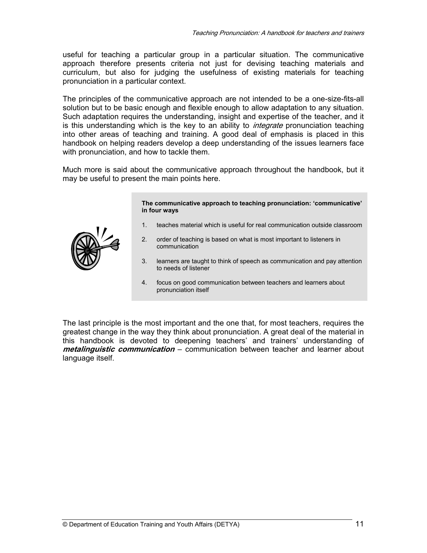useful for teaching a particular group in a particular situation. The communicative approach therefore presents criteria not just for devising teaching materials and curriculum, but also for judging the usefulness of existing materials for teaching pronunciation in a particular context.

The principles of the communicative approach are not intended to be a one-size-fits-all solution but to be basic enough and flexible enough to allow adaptation to any situation. Such adaptation requires the understanding, insight and expertise of the teacher, and it is this understanding which is the key to an ability to *integrate* pronunciation teaching into other areas of teaching and training. A good deal of emphasis is placed in this handbook on helping readers develop a deep understanding of the issues learners face with pronunciation, and how to tackle them.

Much more is said about the communicative approach throughout the handbook, but it may be useful to present the main points here.

> **The communicative approach to teaching pronunciation: 'communicative' in four ways**

- 1. teaches material which is useful for real communication outside classroom
- 2. order of teaching is based on what is most important to listeners in communication
- 3. learners are taught to think of speech as communication and pay attention to needs of listener
- 4. focus on good communication between teachers and learners about pronunciation itself

The last principle is the most important and the one that, for most teachers, requires the greatest change in the way they think about pronunciation. A great deal of the material in this handbook is devoted to deepening teachers' and trainers' understanding of **metalinguistic communication** – communication between teacher and learner about language itself.

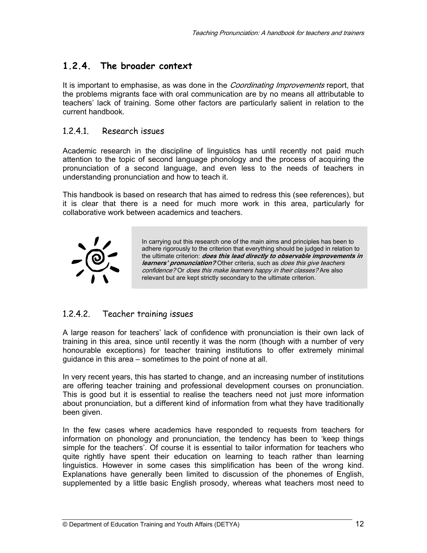## **1.2.4. The broader context**

It is important to emphasise, as was done in the *Coordinating Improvements* report, that the problems migrants face with oral communication are by no means all attributable to teachers' lack of training. Some other factors are particularly salient in relation to the current handbook.

## 1.2.4.1. Research issues

Academic research in the discipline of linguistics has until recently not paid much attention to the topic of second language phonology and the process of acquiring the pronunciation of a second language, and even less to the needs of teachers in understanding pronunciation and how to teach it.

This handbook is based on research that has aimed to redress this (see references), but it is clear that there is a need for much more work in this area, particularly for collaborative work between academics and teachers.



In carrying out this research one of the main aims and principles has been to adhere rigorously to the criterion that everything should be judged in relation to the ultimate criterion: **does this lead directly to observable improvements in learners' pronunciation?** Other criteria, such as *does this give teachers* confidence? Or does this make learners happy in their classes? Are also relevant but are kept strictly secondary to the ultimate criterion.

## 1.2.4.2. Teacher training issues

A large reason for teachers' lack of confidence with pronunciation is their own lack of training in this area, since until recently it was the norm (though with a number of very honourable exceptions) for teacher training institutions to offer extremely minimal guidance in this area – sometimes to the point of none at all.

In very recent years, this has started to change, and an increasing number of institutions are offering teacher training and professional development courses on pronunciation. This is good but it is essential to realise the teachers need not just more information about pronunciation, but a different kind of information from what they have traditionally been given.

In the few cases where academics have responded to requests from teachers for information on phonology and pronunciation, the tendency has been to 'keep things simple for the teachers'. Of course it is essential to tailor information for teachers who quite rightly have spent their education on learning to teach rather than learning linguistics. However in some cases this simplification has been of the wrong kind. Explanations have generally been limited to discussion of the phonemes of English, supplemented by a little basic English prosody, whereas what teachers most need to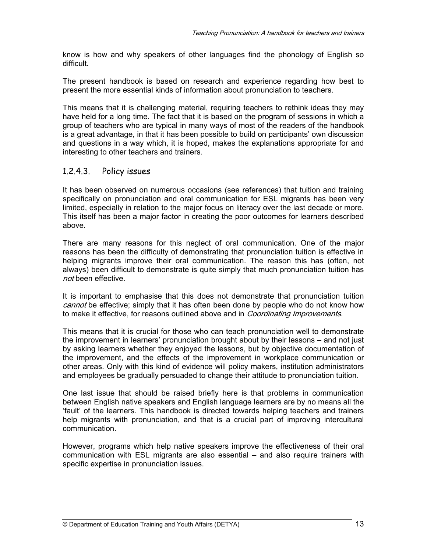know is how and why speakers of other languages find the phonology of English so difficult.

The present handbook is based on research and experience regarding how best to present the more essential kinds of information about pronunciation to teachers.

This means that it is challenging material, requiring teachers to rethink ideas they may have held for a long time. The fact that it is based on the program of sessions in which a group of teachers who are typical in many ways of most of the readers of the handbook is a great advantage, in that it has been possible to build on participants' own discussion and questions in a way which, it is hoped, makes the explanations appropriate for and interesting to other teachers and trainers.

#### 1.2.4.3. Policy issues

It has been observed on numerous occasions (see references) that tuition and training specifically on pronunciation and oral communication for ESL migrants has been very limited, especially in relation to the major focus on literacy over the last decade or more. This itself has been a major factor in creating the poor outcomes for learners described above.

There are many reasons for this neglect of oral communication. One of the major reasons has been the difficulty of demonstrating that pronunciation tuition is effective in helping migrants improve their oral communication. The reason this has (often, not always) been difficult to demonstrate is quite simply that much pronunciation tuition has not been effective.

It is important to emphasise that this does not demonstrate that pronunciation tuition cannot be effective; simply that it has often been done by people who do not know how to make it effective, for reasons outlined above and in *Coordinating Improvements*.

This means that it is crucial for those who can teach pronunciation well to demonstrate the improvement in learners' pronunciation brought about by their lessons – and not just by asking learners whether they enjoyed the lessons, but by objective documentation of the improvement, and the effects of the improvement in workplace communication or other areas. Only with this kind of evidence will policy makers, institution administrators and employees be gradually persuaded to change their attitude to pronunciation tuition.

One last issue that should be raised briefly here is that problems in communication between English native speakers and English language learners are by no means all the 'fault' of the learners. This handbook is directed towards helping teachers and trainers help migrants with pronunciation, and that is a crucial part of improving intercultural communication.

However, programs which help native speakers improve the effectiveness of their oral communication with ESL migrants are also essential – and also require trainers with specific expertise in pronunciation issues.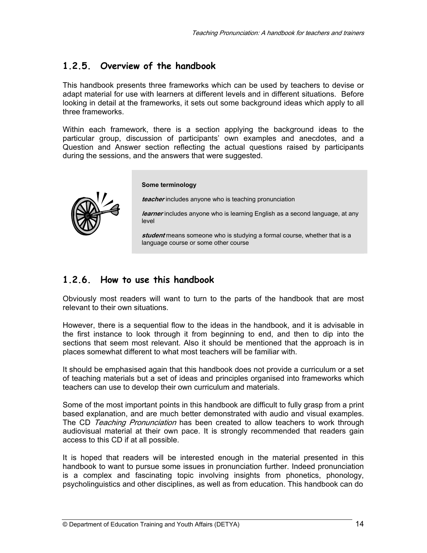## **1.2.5. Overview of the handbook**

This handbook presents three frameworks which can be used by teachers to devise or adapt material for use with learners at different levels and in different situations. Before looking in detail at the frameworks, it sets out some background ideas which apply to all three frameworks.

Within each framework, there is a section applying the background ideas to the particular group, discussion of participants' own examples and anecdotes, and a Question and Answer section reflecting the actual questions raised by participants during the sessions, and the answers that were suggested.

#### **Some terminology**

**teacher** includes anyone who is teaching pronunciation

**learner** includes anyone who is learning English as a second language, at any level

**student** means someone who is studying a formal course, whether that is a language course or some other course

## **1.2.6. How to use this handbook**

Obviously most readers will want to turn to the parts of the handbook that are most relevant to their own situations.

However, there is a sequential flow to the ideas in the handbook, and it is advisable in the first instance to look through it from beginning to end, and then to dip into the sections that seem most relevant. Also it should be mentioned that the approach is in places somewhat different to what most teachers will be familiar with.

It should be emphasised again that this handbook does not provide a curriculum or a set of teaching materials but a set of ideas and principles organised into frameworks which teachers can use to develop their own curriculum and materials.

Some of the most important points in this handbook are difficult to fully grasp from a print based explanation, and are much better demonstrated with audio and visual examples. The CD Teaching Pronunciation has been created to allow teachers to work through audiovisual material at their own pace. It is strongly recommended that readers gain access to this CD if at all possible.

It is hoped that readers will be interested enough in the material presented in this handbook to want to pursue some issues in pronunciation further. Indeed pronunciation is a complex and fascinating topic involving insights from phonetics, phonology, psycholinguistics and other disciplines, as well as from education. This handbook can do

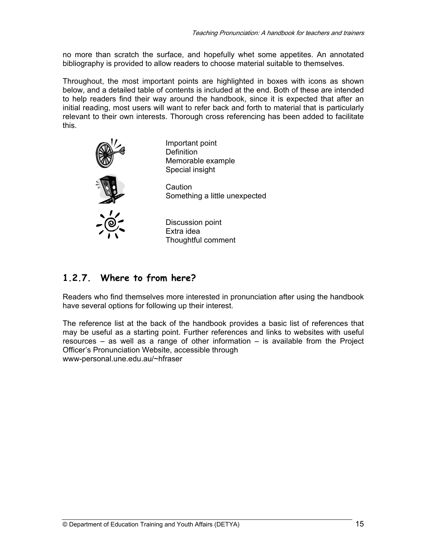no more than scratch the surface, and hopefully whet some appetites. An annotated bibliography is provided to allow readers to choose material suitable to themselves.

Throughout, the most important points are highlighted in boxes with icons as shown below, and a detailed table of contents is included at the end. Both of these are intended to help readers find their way around the handbook, since it is expected that after an initial reading, most users will want to refer back and forth to material that is particularly relevant to their own interests. Thorough cross referencing has been added to facilitate this.



Important point **Definition** Memorable example Special insight

**Caution** Something a little unexpected

Discussion point Extra idea Thoughtful comment

## **1.2.7. Where to from here?**

Readers who find themselves more interested in pronunciation after using the handbook have several options for following up their interest.

The reference list at the back of the handbook provides a basic list of references that may be useful as a starting point. Further references and links to websites with useful resources – as well as a range of other information – is available from the Project Officer's Pronunciation Website, accessible through www-personal.une.edu.au/~hfraser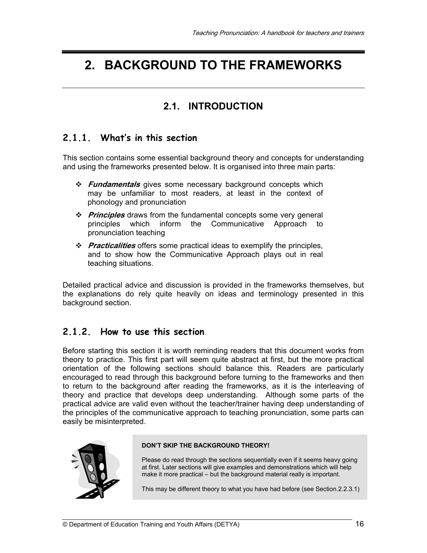## **2. BACKGROUND TO THE FRAMEWORKS**

## **2.1. INTRODUCTION**

## **2.1.1. What's in this section**

This section contains some essential background theory and concepts for understanding and using the frameworks presented below. It is organised into three main parts:

- **Fundamentals** gives some necessary background concepts which may be unfamiliar to most readers, at least in the context of phonology and pronunciation
- **Principles** draws from the fundamental concepts some very general principles which inform the Communicative Approach to pronunciation teaching
- **Practicalities** offers some practical ideas to exemplify the principles, and to show how the Communicative Approach plays out in real teaching situations.

Detailed practical advice and discussion is provided in the frameworks themselves, but the explanations do rely quite heavily on ideas and terminology presented in this background section.

## **2.1.2. How to use this section**

Before starting this section it is worth reminding readers that this document works from theory to practice. This first part will seem quite abstract at first, but the more practical orientation of the following sections should balance this. Readers are particularly encouraged to read through this background before turning to the frameworks and then to return to the background after reading the frameworks, as it is the interleaving of theory and practice that develops deep understanding. Although some parts of the practical advice are valid even without the teacher/trainer having deep understanding of the principles of the communicative approach to teaching pronunciation, some parts can easily be misinterpreted.



#### **DON'T SKIP THE BACKGROUND THEORY!**

Please do read through the sections sequentially even if it seems heavy going at first. Later sections will give examples and demonstrations which will help make it more practical – but the background material really is important.

This may be different theory to what you have had before (see Section.2.2.3.1)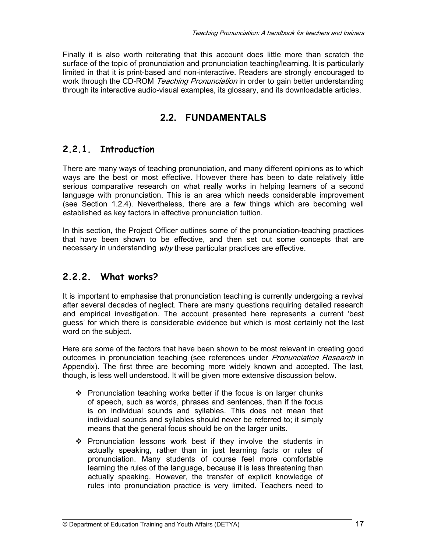Finally it is also worth reiterating that this account does little more than scratch the surface of the topic of pronunciation and pronunciation teaching/learning. It is particularly limited in that it is print-based and non-interactive. Readers are strongly encouraged to work through the CD-ROM Teaching Pronunciation in order to gain better understanding through its interactive audio-visual examples, its glossary, and its downloadable articles.

## **2.2. FUNDAMENTALS**

## **2.2.1. Introduction**

There are many ways of teaching pronunciation, and many different opinions as to which ways are the best or most effective. However there has been to date relatively little serious comparative research on what really works in helping learners of a second language with pronunciation. This is an area which needs considerable improvement (see Section 1.2.4). Nevertheless, there are a few things which are becoming well established as key factors in effective pronunciation tuition.

In this section, the Project Officer outlines some of the pronunciation-teaching practices that have been shown to be effective, and then set out some concepts that are necessary in understanding why these particular practices are effective.

## **2.2.2. What works?**

It is important to emphasise that pronunciation teaching is currently undergoing a revival after several decades of neglect. There are many questions requiring detailed research and empirical investigation. The account presented here represents a current 'best guess' for which there is considerable evidence but which is most certainly not the last word on the subject.

Here are some of the factors that have been shown to be most relevant in creating good outcomes in pronunciation teaching (see references under *Pronunciation Research* in Appendix). The first three are becoming more widely known and accepted. The last, though, is less well understood. It will be given more extensive discussion below.

- $\div$  Pronunciation teaching works better if the focus is on larger chunks of speech, such as words, phrases and sentences, than if the focus is on individual sounds and syllables. This does not mean that individual sounds and syllables should never be referred to; it simply means that the general focus should be on the larger units.
- $\div$  Pronunciation lessons work best if they involve the students in actually speaking, rather than in just learning facts or rules of pronunciation. Many students of course feel more comfortable learning the rules of the language, because it is less threatening than actually speaking. However, the transfer of explicit knowledge of rules into pronunciation practice is very limited. Teachers need to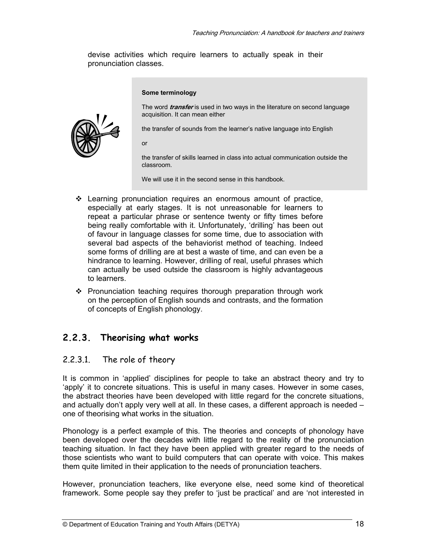devise activities which require learners to actually speak in their pronunciation classes.

#### **Some terminology**

The word **transfer** is used in two ways in the literature on second language acquisition. It can mean either

the transfer of sounds from the learner's native language into English

or

the transfer of skills learned in class into actual communication outside the classroom.

We will use it in the second sense in this handbook.

- Learning pronunciation requires an enormous amount of practice, especially at early stages. It is not unreasonable for learners to repeat a particular phrase or sentence twenty or fifty times before being really comfortable with it. Unfortunately, 'drilling' has been out of favour in language classes for some time, due to association with several bad aspects of the behaviorist method of teaching. Indeed some forms of drilling are at best a waste of time, and can even be a hindrance to learning. However, drilling of real, useful phrases which can actually be used outside the classroom is highly advantageous to learners.
- $\div$  Pronunciation teaching requires thorough preparation through work on the perception of English sounds and contrasts, and the formation of concepts of English phonology.

## **2.2.3. Theorising what works**

## 2.2.3.1. The role of theory

It is common in 'applied' disciplines for people to take an abstract theory and try to 'apply' it to concrete situations. This is useful in many cases. However in some cases, the abstract theories have been developed with little regard for the concrete situations, and actually don't apply very well at all. In these cases, a different approach is needed – one of theorising what works in the situation.

Phonology is a perfect example of this. The theories and concepts of phonology have been developed over the decades with little regard to the reality of the pronunciation teaching situation. In fact they have been applied with greater regard to the needs of those scientists who want to build computers that can operate with voice. This makes them quite limited in their application to the needs of pronunciation teachers.

However, pronunciation teachers, like everyone else, need some kind of theoretical framework. Some people say they prefer to 'just be practical' and are 'not interested in

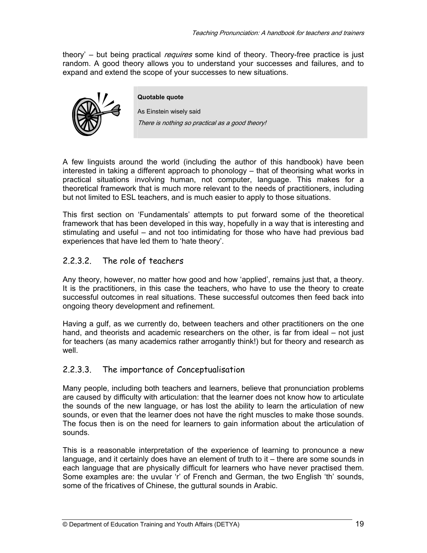theory' – but being practical *requires* some kind of theory. Theory-free practice is just random. A good theory allows you to understand your successes and failures, and to expand and extend the scope of your successes to new situations.



As Einstein wisely said

**Quotable quote** 

There is nothing so practical as a good theory!

A few linguists around the world (including the author of this handbook) have been interested in taking a different approach to phonology – that of theorising what works in practical situations involving human, not computer, language. This makes for a theoretical framework that is much more relevant to the needs of practitioners, including but not limited to ESL teachers, and is much easier to apply to those situations.

This first section on 'Fundamentals' attempts to put forward some of the theoretical framework that has been developed in this way, hopefully in a way that is interesting and stimulating and useful – and not too intimidating for those who have had previous bad experiences that have led them to 'hate theory'.

## 2.2.3.2. The role of teachers

Any theory, however, no matter how good and how 'applied', remains just that, a theory. It is the practitioners, in this case the teachers, who have to use the theory to create successful outcomes in real situations. These successful outcomes then feed back into ongoing theory development and refinement.

Having a gulf, as we currently do, between teachers and other practitioners on the one hand, and theorists and academic researchers on the other, is far from ideal – not just for teachers (as many academics rather arrogantly think!) but for theory and research as well.

#### 2.2.3.3. The importance of Conceptualisation

Many people, including both teachers and learners, believe that pronunciation problems are caused by difficulty with articulation: that the learner does not know how to articulate the sounds of the new language, or has lost the ability to learn the articulation of new sounds, or even that the learner does not have the right muscles to make those sounds. The focus then is on the need for learners to gain information about the articulation of sounds.

This is a reasonable interpretation of the experience of learning to pronounce a new language, and it certainly does have an element of truth to it – there are some sounds in each language that are physically difficult for learners who have never practised them. Some examples are: the uvular 'r' of French and German, the two English 'th' sounds, some of the fricatives of Chinese, the guttural sounds in Arabic.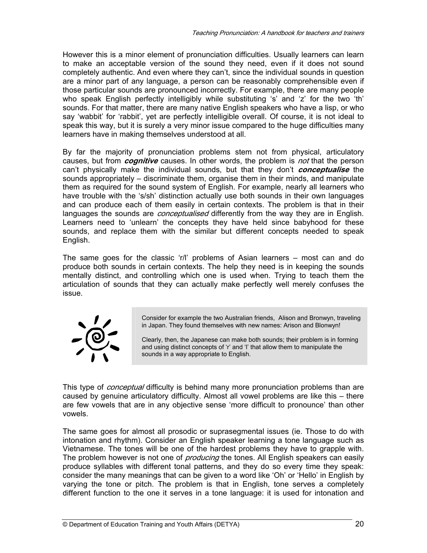However this is a minor element of pronunciation difficulties. Usually learners can learn to make an acceptable version of the sound they need, even if it does not sound completely authentic. And even where they can't, since the individual sounds in question are a minor part of any language, a person can be reasonably comprehensible even if those particular sounds are pronounced incorrectly. For example, there are many people who speak English perfectly intelligibly while substituting 's' and 'z' for the two 'th' sounds. For that matter, there are many native English speakers who have a lisp, or who say 'wabbit' for 'rabbit', yet are perfectly intelligible overall. Of course, it is not ideal to speak this way, but it is surely a very minor issue compared to the huge difficulties many learners have in making themselves understood at all.

By far the majority of pronunciation problems stem not from physical, articulatory causes, but from **cognitive** causes. In other words, the problem is not that the person can't physically make the individual sounds, but that they don't **conceptualise** the sounds appropriately – discriminate them, organise them in their minds, and manipulate them as required for the sound system of English. For example, nearly all learners who have trouble with the 's/sh' distinction actually use both sounds in their own languages and can produce each of them easily in certain contexts. The problem is that in their languages the sounds are *conceptualised* differently from the way they are in English. Learners need to 'unlearn' the concepts they have held since babyhood for these sounds, and replace them with the similar but different concepts needed to speak English.

The same goes for the classic 'r/l' problems of Asian learners – most can and do produce both sounds in certain contexts. The help they need is in keeping the sounds mentally distinct, and controlling which one is used when. Trying to teach them the articulation of sounds that they can actually make perfectly well merely confuses the issue.



Consider for example the two Australian friends, Alison and Bronwyn, traveling in Japan. They found themselves with new names: Arison and Blonwyn!

Clearly, then, the Japanese can make both sounds; their problem is in forming and using distinct concepts of 'r' and 'l' that allow them to manipulate the sounds in a way appropriate to English.

This type of *conceptual* difficulty is behind many more pronunciation problems than are caused by genuine articulatory difficulty. Almost all vowel problems are like this – there are few vowels that are in any objective sense 'more difficult to pronounce' than other vowels.

The same goes for almost all prosodic or suprasegmental issues (ie. Those to do with intonation and rhythm). Consider an English speaker learning a tone language such as Vietnamese. The tones will be one of the hardest problems they have to grapple with. The problem however is not one of *producing* the tones. All English speakers can easily produce syllables with different tonal patterns, and they do so every time they speak: consider the many meanings that can be given to a word like 'Oh' or 'Hello' in English by varying the tone or pitch. The problem is that in English, tone serves a completely different function to the one it serves in a tone language: it is used for intonation and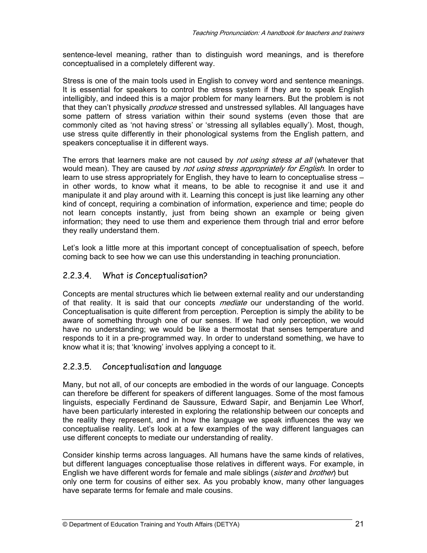sentence-level meaning, rather than to distinguish word meanings, and is therefore conceptualised in a completely different way.

Stress is one of the main tools used in English to convey word and sentence meanings. It is essential for speakers to control the stress system if they are to speak English intelligibly, and indeed this is a major problem for many learners. But the problem is not that they can't physically *produce* stressed and unstressed syllables. All languages have some pattern of stress variation within their sound systems (even those that are commonly cited as 'not having stress' or 'stressing all syllables equally'). Most, though, use stress quite differently in their phonological systems from the English pattern, and speakers conceptualise it in different ways.

The errors that learners make are not caused by *not using stress at all* (whatever that would mean). They are caused by not using stress appropriately for English. In order to learn to use stress appropriately for English, they have to learn to conceptualise stress – in other words, to know what it means, to be able to recognise it and use it and manipulate it and play around with it. Learning this concept is just like learning any other kind of concept, requiring a combination of information, experience and time; people do not learn concepts instantly, just from being shown an example or being given information; they need to use them and experience them through trial and error before they really understand them.

Let's look a little more at this important concept of conceptualisation of speech, before coming back to see how we can use this understanding in teaching pronunciation.

## 2.2.3.4. What is Conceptualisation?

Concepts are mental structures which lie between external reality and our understanding of that reality. It is said that our concepts *mediate* our understanding of the world. Conceptualisation is quite different from perception. Perception is simply the ability to be aware of something through one of our senses. If we had only perception, we would have no understanding; we would be like a thermostat that senses temperature and responds to it in a pre-programmed way. In order to understand something, we have to know what it is; that 'knowing' involves applying a concept to it.

## 2.2.3.5. Conceptualisation and language

Many, but not all, of our concepts are embodied in the words of our language. Concepts can therefore be different for speakers of different languages. Some of the most famous linguists, especially Ferdinand de Saussure, Edward Sapir, and Benjamin Lee Whorf, have been particularly interested in exploring the relationship between our concepts and the reality they represent, and in how the language we speak influences the way we conceptualise reality. Let's look at a few examples of the way different languages can use different concepts to mediate our understanding of reality.

Consider kinship terms across languages. All humans have the same kinds of relatives, but different languages conceptualise those relatives in different ways. For example, in English we have different words for female and male siblings (sister and brother) but only one term for cousins of either sex. As you probably know, many other languages have separate terms for female and male cousins.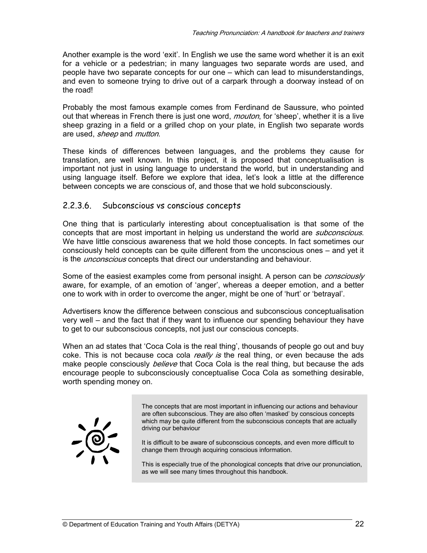Another example is the word 'exit'. In English we use the same word whether it is an exit for a vehicle or a pedestrian; in many languages two separate words are used, and people have two separate concepts for our one – which can lead to misunderstandings, and even to someone trying to drive out of a carpark through a doorway instead of on the road!

Probably the most famous example comes from Ferdinand de Saussure, who pointed out that whereas in French there is just one word, *mouton*, for 'sheep', whether it is a live sheep grazing in a field or a grilled chop on your plate, in English two separate words are used, *sheep* and *mutton*.

These kinds of differences between languages, and the problems they cause for translation, are well known. In this project, it is proposed that conceptualisation is important not just in using language to understand the world, but in understanding and using language itself. Before we explore that idea, let's look a little at the difference between concepts we are conscious of, and those that we hold subconsciously.

#### 2.2.3.6. Subconscious vs conscious concepts

One thing that is particularly interesting about conceptualisation is that some of the concepts that are most important in helping us understand the world are *subconscious*. We have little conscious awareness that we hold those concepts. In fact sometimes our consciously held concepts can be quite different from the unconscious ones – and yet it is the *unconscious* concepts that direct our understanding and behaviour.

Some of the easiest examples come from personal insight. A person can be *consciously* aware, for example, of an emotion of 'anger', whereas a deeper emotion, and a better one to work with in order to overcome the anger, might be one of 'hurt' or 'betrayal'.

Advertisers know the difference between conscious and subconscious conceptualisation very well – and the fact that if they want to influence our spending behaviour they have to get to our subconscious concepts, not just our conscious concepts.

When an ad states that 'Coca Cola is the real thing', thousands of people go out and buy coke. This is not because coca cola  $\text{real}/\text{v}$  is the real thing, or even because the ads make people consciously *believe* that Coca Cola is the real thing, but because the ads encourage people to subconsciously conceptualise Coca Cola as something desirable, worth spending money on.



The concepts that are most important in influencing our actions and behaviour are often subconscious. They are also often 'masked' by conscious concepts which may be quite different from the subconscious concepts that are actually driving our behaviour

It is difficult to be aware of subconscious concepts, and even more difficult to change them through acquiring conscious information.

This is especially true of the phonological concepts that drive our pronunciation, as we will see many times throughout this handbook.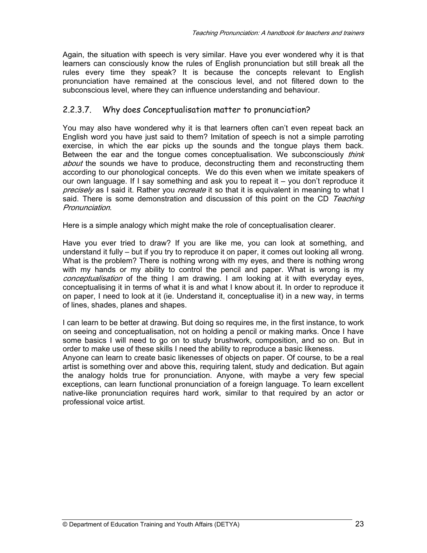Again, the situation with speech is very similar. Have you ever wondered why it is that learners can consciously know the rules of English pronunciation but still break all the rules every time they speak? It is because the concepts relevant to English pronunciation have remained at the conscious level, and not filtered down to the subconscious level, where they can influence understanding and behaviour.

## 2.2.3.7. Why does Conceptualisation matter to pronunciation?

You may also have wondered why it is that learners often can't even repeat back an English word you have just said to them? Imitation of speech is not a simple parroting exercise, in which the ear picks up the sounds and the tongue plays them back. Between the ear and the tongue comes conceptualisation. We subconsciously *think* about the sounds we have to produce, deconstructing them and reconstructing them according to our phonological concepts. We do this even when we imitate speakers of our own language. If I say something and ask you to repeat it – you don't reproduce it precisely as I said it. Rather you *recreate* it so that it is equivalent in meaning to what I said. There is some demonstration and discussion of this point on the CD Teaching Pronunciation.

Here is a simple analogy which might make the role of conceptualisation clearer.

Have you ever tried to draw? If you are like me, you can look at something, and understand it fully – but if you try to reproduce it on paper, it comes out looking all wrong. What is the problem? There is nothing wrong with my eyes, and there is nothing wrong with my hands or my ability to control the pencil and paper. What is wrong is my conceptualisation of the thing I am drawing. I am looking at it with everyday eyes, conceptualising it in terms of what it is and what I know about it. In order to reproduce it on paper, I need to look at it (ie. Understand it, conceptualise it) in a new way, in terms of lines, shades, planes and shapes.

I can learn to be better at drawing. But doing so requires me, in the first instance, to work on seeing and conceptualisation, not on holding a pencil or making marks. Once I have some basics I will need to go on to study brushwork, composition, and so on. But in order to make use of these skills I need the ability to reproduce a basic likeness.

Anyone can learn to create basic likenesses of objects on paper. Of course, to be a real artist is something over and above this, requiring talent, study and dedication. But again the analogy holds true for pronunciation. Anyone, with maybe a very few special exceptions, can learn functional pronunciation of a foreign language. To learn excellent native-like pronunciation requires hard work, similar to that required by an actor or professional voice artist.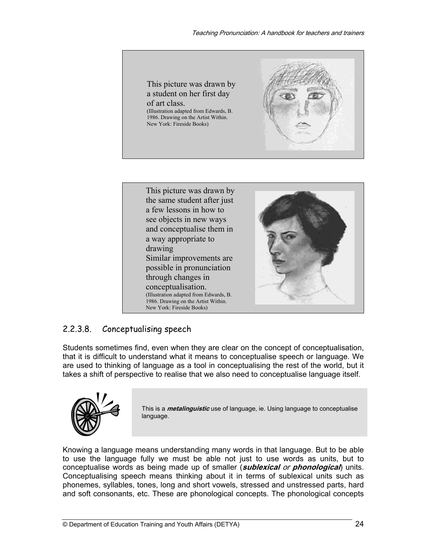



## 2.2.3.8. Conceptualising speech

Students sometimes find, even when they are clear on the concept of conceptualisation, that it is difficult to understand what it means to conceptualise speech or language. We are used to thinking of language as a tool in conceptualising the rest of the world, but it takes a shift of perspective to realise that we also need to conceptualise language itself.



This is a **metalinguistic** use of language, ie. Using language to conceptualise language.

Knowing a language means understanding many words in that language. But to be able to use the language fully we must be able not just to use words as units, but to conceptualise words as being made up of smaller (**sublexical** or **phonological**) units. Conceptualising speech means thinking about it in terms of sublexical units such as phonemes, syllables, tones, long and short vowels, stressed and unstressed parts, hard and soft consonants, etc. These are phonological concepts. The phonological concepts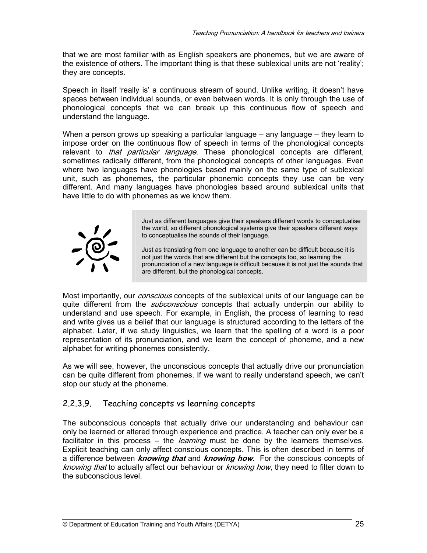that we are most familiar with as English speakers are phonemes, but we are aware of the existence of others. The important thing is that these sublexical units are not 'reality'; they are concepts.

Speech in itself 'really is' a continuous stream of sound. Unlike writing, it doesn't have spaces between individual sounds, or even between words. It is only through the use of phonological concepts that we can break up this continuous flow of speech and understand the language.

When a person grows up speaking a particular language – any language – they learn to impose order on the continuous flow of speech in terms of the phonological concepts relevant to *that particular language*. These phonological concepts are different, sometimes radically different, from the phonological concepts of other languages. Even where two languages have phonologies based mainly on the same type of sublexical unit, such as phonemes, the particular phonemic concepts they use can be very different. And many languages have phonologies based around sublexical units that have little to do with phonemes as we know them.



Just as different languages give their speakers different words to conceptualise the world, so different phonological systems give their speakers different ways to conceptualise the sounds of their language.

Just as translating from one language to another can be difficult because it is not just the words that are different but the concepts too, so learning the pronunciation of a new language is difficult because it is not just the sounds that are different, but the phonological concepts.

Most importantly, our *conscious* concepts of the sublexical units of our language can be quite different from the *subconscious* concepts that actually underpin our ability to understand and use speech. For example, in English, the process of learning to read and write gives us a belief that our language is structured according to the letters of the alphabet. Later, if we study linguistics, we learn that the spelling of a word is a poor representation of its pronunciation, and we learn the concept of phoneme, and a new alphabet for writing phonemes consistently.

As we will see, however, the unconscious concepts that actually drive our pronunciation can be quite different from phonemes. If we want to really understand speech, we can't stop our study at the phoneme.

## 2.2.3.9. Teaching concepts vs learning concepts

The subconscious concepts that actually drive our understanding and behaviour can only be learned or altered through experience and practice. A teacher can only ever be a facilitator in this process – the *learning* must be done by the learners themselves. Explicit teaching can only affect conscious concepts. This is often described in terms of a difference between **knowing that** and **knowing how**. For the conscious concepts of knowing that to actually affect our behaviour or knowing how, they need to filter down to the subconscious level.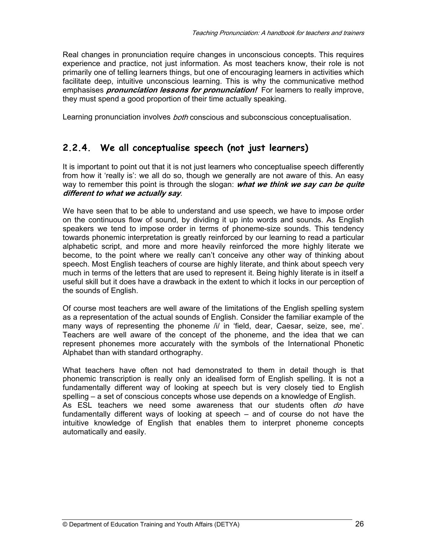Real changes in pronunciation require changes in unconscious concepts. This requires experience and practice, not just information. As most teachers know, their role is not primarily one of telling learners things, but one of encouraging learners in activities which facilitate deep, intuitive unconscious learning. This is why the communicative method emphasises **pronunciation lessons for pronunciation!** For learners to really improve, they must spend a good proportion of their time actually speaking.

Learning pronunciation involves *both* conscious and subconscious conceptualisation.

## **2.2.4. We all conceptualise speech (not just learners)**

It is important to point out that it is not just learners who conceptualise speech differently from how it 'really is': we all do so, though we generally are not aware of this. An easy way to remember this point is through the slogan: **what we think we say can be quite different to what we actually say**.

We have seen that to be able to understand and use speech, we have to impose order on the continuous flow of sound, by dividing it up into words and sounds. As English speakers we tend to impose order in terms of phoneme-size sounds. This tendency towards phonemic interpretation is greatly reinforced by our learning to read a particular alphabetic script, and more and more heavily reinforced the more highly literate we become, to the point where we really can't conceive any other way of thinking about speech. Most English teachers of course are highly literate, and think about speech very much in terms of the letters that are used to represent it. Being highly literate is in itself a useful skill but it does have a drawback in the extent to which it locks in our perception of the sounds of English.

Of course most teachers are well aware of the limitations of the English spelling system as a representation of the actual sounds of English. Consider the familiar example of the many ways of representing the phoneme /i/ in 'field, dear, Caesar, seize, see, me'. Teachers are well aware of the concept of the phoneme, and the idea that we can represent phonemes more accurately with the symbols of the International Phonetic Alphabet than with standard orthography.

What teachers have often not had demonstrated to them in detail though is that phonemic transcription is really only an idealised form of English spelling. It is not a fundamentally different way of looking at speech but is very closely tied to English spelling – a set of conscious concepts whose use depends on a knowledge of English. As ESL teachers we need some awareness that our students often do have fundamentally different ways of looking at speech – and of course do not have the intuitive knowledge of English that enables them to interpret phoneme concepts automatically and easily.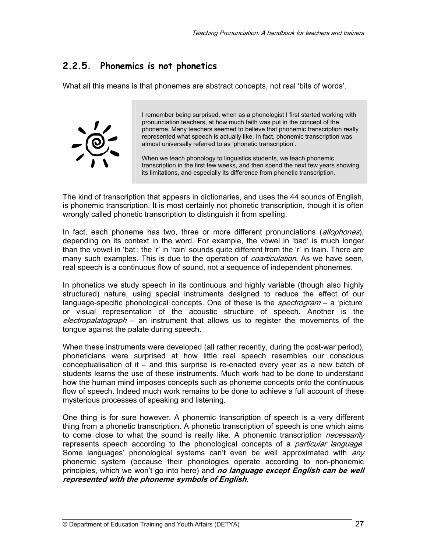## **2.2.5. Phonemics is not phonetics**

What all this means is that phonemes are abstract concepts, not real 'bits of words'.



I remember being surprised, when as a phonologist I first started working with pronunciation teachers, at how much faith was put in the concept of the phoneme. Many teachers seemed to believe that phonemic transcription really represented what speech is actually like. In fact, phonemic transcription was almost universally referred to as 'phonetic transcription'.

When we teach phonology to linguistics students, we teach phonemic transcription in the first few weeks, and then spend the next few years showing its limitations, and especially its difference from phonetic transcription.

The kind of transcription that appears in dictionaries, and uses the 44 sounds of English, is phonemic transcription. It is most certainly not phonetic transcription, though it is often wrongly called phonetic transcription to distinguish it from spelling.

In fact, each phoneme has two, three or more different pronunciations (*allophones*), depending on its context in the word. For example, the vowel in 'bad' is much longer than the vowel in 'bat'; the 'r' in 'rain' sounds quite different from the 'r' in train. There are many such examples. This is due to the operation of *coarticulation*. As we have seen, real speech is a continuous flow of sound, not a sequence of independent phonemes.

In phonetics we study speech in its continuous and highly variable (though also highly structured) nature, using special instruments designed to reduce the effect of our language-specific phonological concepts. One of these is the *spectrogram* – a 'picture' or visual representation of the acoustic structure of speech. Another is the electropalatograph – an instrument that allows us to register the movements of the tongue against the palate during speech.

When these instruments were developed (all rather recently, during the post-war period), phoneticians were surprised at how little real speech resembles our conscious conceptualisation of it – and this surprise is re-enacted every year as a new batch of students learns the use of these instruments. Much work had to be done to understand how the human mind imposes concepts such as phoneme concepts onto the continuous flow of speech. Indeed much work remains to be done to achieve a full account of these mysterious processes of speaking and listening.

One thing is for sure however. A phonemic transcription of speech is a very different thing from a phonetic transcription. A phonetic transcription of speech is one which aims to come close to what the sound is really like. A phonemic transcription *necessarily* represents speech according to the phonological concepts of a *particular language*. Some languages' phonological systems can't even be well approximated with any phonemic system (because their phonologies operate according to non-phonemic principles, which we won't go into here) and **no language except English can be well represented with the phoneme symbols of English**.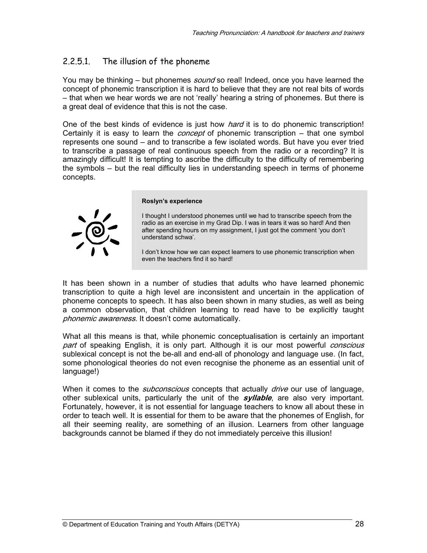## 2.2.5.1. The illusion of the phoneme

You may be thinking – but phonemes *sound* so real! Indeed, once you have learned the concept of phonemic transcription it is hard to believe that they are not real bits of words – that when we hear words we are not 'really' hearing a string of phonemes. But there is a great deal of evidence that this is not the case.

One of the best kinds of evidence is just how *hard* it is to do phonemic transcription! Certainly it is easy to learn the *concept* of phonemic transcription – that one symbol represents one sound – and to transcribe a few isolated words. But have you ever tried to transcribe a passage of real continuous speech from the radio or a recording? It is amazingly difficult! It is tempting to ascribe the difficulty to the difficulty of remembering the symbols – but the real difficulty lies in understanding speech in terms of phoneme concepts.



#### **Roslyn's experience**

I thought I understood phonemes until we had to transcribe speech from the radio as an exercise in my Grad Dip. I was in tears it was so hard! And then after spending hours on my assignment, I just got the comment 'you don't understand schwa'.

I don't know how we can expect learners to use phonemic transcription when even the teachers find it so hard!

It has been shown in a number of studies that adults who have learned phonemic transcription to quite a high level are inconsistent and uncertain in the application of phoneme concepts to speech. It has also been shown in many studies, as well as being a common observation, that children learning to read have to be explicitly taught phonemic awareness. It doesn't come automatically.

What all this means is that, while phonemic conceptualisation is certainly an important part of speaking English, it is only part. Although it is our most powerful *conscious* sublexical concept is not the be-all and end-all of phonology and language use. (In fact, some phonological theories do not even recognise the phoneme as an essential unit of language!)

When it comes to the *subconscious* concepts that actually *drive* our use of language, other sublexical units, particularly the unit of the **syllable**, are also very important. Fortunately, however, it is not essential for language teachers to know all about these in order to teach well. It is essential for them to be aware that the phonemes of English, for all their seeming reality, are something of an illusion. Learners from other language backgrounds cannot be blamed if they do not immediately perceive this illusion!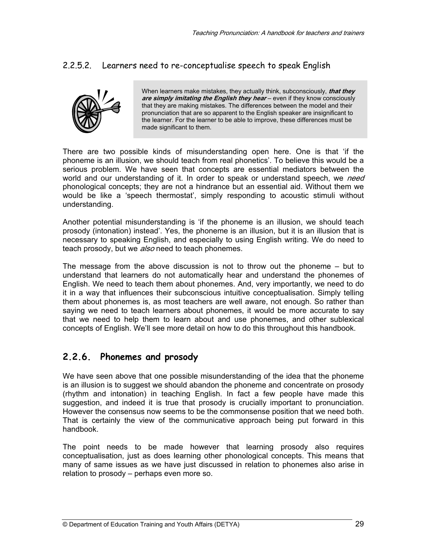## 2.2.5.2. Learners need to re-conceptualise speech to speak English



When learners make mistakes, they actually think, subconsciously, **that they are simply imitating the English they hear** – even if they know consciously that they are making mistakes. The differences between the model and their pronunciation that are so apparent to the English speaker are insignificant to the learner. For the learner to be able to improve, these differences must be made significant to them.

There are two possible kinds of misunderstanding open here. One is that 'if the phoneme is an illusion, we should teach from real phonetics'. To believe this would be a serious problem. We have seen that concepts are essential mediators between the world and our understanding of it. In order to speak or understand speech, we *need* phonological concepts; they are not a hindrance but an essential aid. Without them we would be like a 'speech thermostat', simply responding to acoustic stimuli without understanding.

Another potential misunderstanding is 'if the phoneme is an illusion, we should teach prosody (intonation) instead'. Yes, the phoneme is an illusion, but it is an illusion that is necessary to speaking English, and especially to using English writing. We do need to teach prosody, but we also need to teach phonemes.

The message from the above discussion is not to throw out the phoneme – but to understand that learners do not automatically hear and understand the phonemes of English. We need to teach them about phonemes. And, very importantly, we need to do it in a way that influences their subconscious intuitive conceptualisation. Simply telling them about phonemes is, as most teachers are well aware, not enough. So rather than saying we need to teach learners about phonemes, it would be more accurate to say that we need to help them to learn about and use phonemes, and other sublexical concepts of English. We'll see more detail on how to do this throughout this handbook.

## **2.2.6. Phonemes and prosody**

We have seen above that one possible misunderstanding of the idea that the phoneme is an illusion is to suggest we should abandon the phoneme and concentrate on prosody (rhythm and intonation) in teaching English. In fact a few people have made this suggestion, and indeed it is true that prosody is crucially important to pronunciation. However the consensus now seems to be the commonsense position that we need both. That is certainly the view of the communicative approach being put forward in this handbook.

The point needs to be made however that learning prosody also requires conceptualisation, just as does learning other phonological concepts. This means that many of same issues as we have just discussed in relation to phonemes also arise in relation to prosody – perhaps even more so.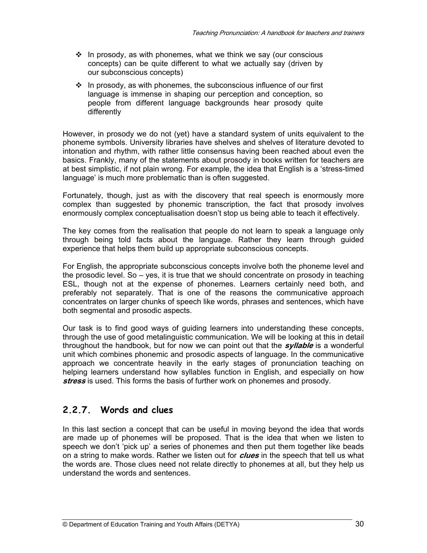- $\div$  In prosody, as with phonemes, what we think we say (our conscious concepts) can be quite different to what we actually say (driven by our subconscious concepts)
- $\cdot$  In prosody, as with phonemes, the subconscious influence of our first language is immense in shaping our perception and conception, so people from different language backgrounds hear prosody quite differently

However, in prosody we do not (yet) have a standard system of units equivalent to the phoneme symbols. University libraries have shelves and shelves of literature devoted to intonation and rhythm, with rather little consensus having been reached about even the basics. Frankly, many of the statements about prosody in books written for teachers are at best simplistic, if not plain wrong. For example, the idea that English is a 'stress-timed language' is much more problematic than is often suggested.

Fortunately, though, just as with the discovery that real speech is enormously more complex than suggested by phonemic transcription, the fact that prosody involves enormously complex conceptualisation doesn't stop us being able to teach it effectively.

The key comes from the realisation that people do not learn to speak a language only through being told facts about the language. Rather they learn through guided experience that helps them build up appropriate subconscious concepts.

For English, the appropriate subconscious concepts involve both the phoneme level and the prosodic level. So – yes, it is true that we should concentrate on prosody in teaching ESL, though not at the expense of phonemes. Learners certainly need both, and preferably not separately. That is one of the reasons the communicative approach concentrates on larger chunks of speech like words, phrases and sentences, which have both segmental and prosodic aspects.

Our task is to find good ways of guiding learners into understanding these concepts, through the use of good metalinguistic communication. We will be looking at this in detail throughout the handbook, but for now we can point out that the **syllable** is a wonderful unit which combines phonemic and prosodic aspects of language. In the communicative approach we concentrate heavily in the early stages of pronunciation teaching on helping learners understand how syllables function in English, and especially on how **stress** is used. This forms the basis of further work on phonemes and prosody.

## **2.2.7. Words and clues**

In this last section a concept that can be useful in moving beyond the idea that words are made up of phonemes will be proposed. That is the idea that when we listen to speech we don't 'pick up' a series of phonemes and then put them together like beads on a string to make words. Rather we listen out for **clues** in the speech that tell us what the words are. Those clues need not relate directly to phonemes at all, but they help us understand the words and sentences.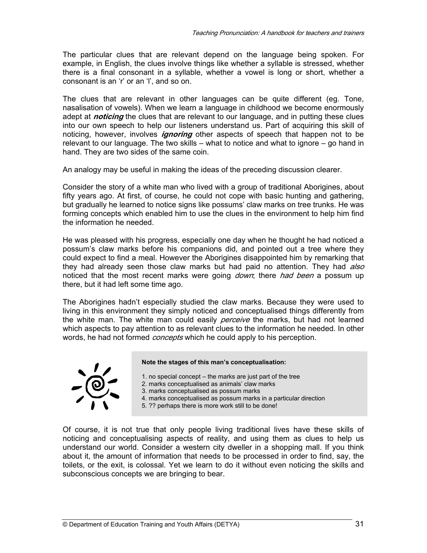The particular clues that are relevant depend on the language being spoken. For example, in English, the clues involve things like whether a syllable is stressed, whether there is a final consonant in a syllable, whether a vowel is long or short, whether a consonant is an 'r' or an 'l', and so on.

The clues that are relevant in other languages can be quite different (eg. Tone, nasalisation of vowels). When we learn a language in childhood we become enormously adept at **noticing** the clues that are relevant to our language, and in putting these clues into our own speech to help our listeners understand us. Part of acquiring this skill of noticing, however, involves **ignoring** other aspects of speech that happen not to be relevant to our language. The two skills – what to notice and what to ignore – go hand in hand. They are two sides of the same coin.

An analogy may be useful in making the ideas of the preceding discussion clearer.

Consider the story of a white man who lived with a group of traditional Aborigines, about fifty years ago. At first, of course, he could not cope with basic hunting and gathering, but gradually he learned to notice signs like possums' claw marks on tree trunks. He was forming concepts which enabled him to use the clues in the environment to help him find the information he needed.

He was pleased with his progress, especially one day when he thought he had noticed a possum's claw marks before his companions did, and pointed out a tree where they could expect to find a meal. However the Aborigines disappointed him by remarking that they had already seen those claw marks but had paid no attention. They had also noticed that the most recent marks were going *down*; there had been a possum up there, but it had left some time ago.

The Aborigines hadn't especially studied the claw marks. Because they were used to living in this environment they simply noticed and conceptualised things differently from the white man. The white man could easily *perceive* the marks, but had not learned which aspects to pay attention to as relevant clues to the information he needed. In other words, he had not formed *concepts* which he could apply to his perception.



**Note the stages of this man's conceptualisation:** 

- 1. no special concept the marks are just part of the tree
- 2. marks conceptualised as animals' claw marks
- 3. marks conceptualised as possum marks
- 4. marks conceptualised as possum marks in a particular direction
- 5. ?? perhaps there is more work still to be done!

Of course, it is not true that only people living traditional lives have these skills of noticing and conceptualising aspects of reality, and using them as clues to help us understand our world. Consider a western city dweller in a shopping mall. If you think about it, the amount of information that needs to be processed in order to find, say, the toilets, or the exit, is colossal. Yet we learn to do it without even noticing the skills and subconscious concepts we are bringing to bear.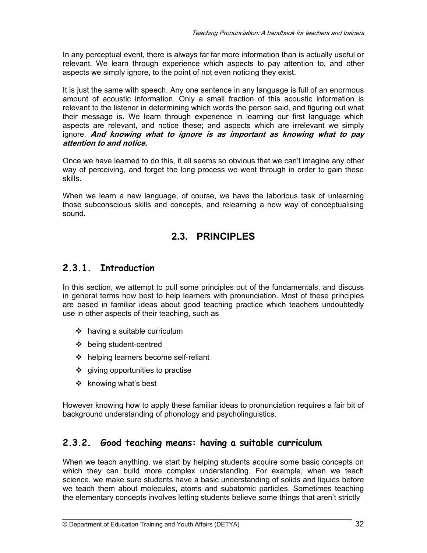In any perceptual event, there is always far far more information than is actually useful or relevant. We learn through experience which aspects to pay attention to, and other aspects we simply ignore, to the point of not even noticing they exist.

It is just the same with speech. Any one sentence in any language is full of an enormous amount of acoustic information. Only a small fraction of this acoustic information is relevant to the listener in determining which words the person said, and figuring out what their message is. We learn through experience in learning our first language which aspects are relevant, and notice these; and aspects which are irrelevant we simply ignore. **And knowing what to ignore is as important as knowing what to pay attention to and notice.** 

Once we have learned to do this, it all seems so obvious that we can't imagine any other way of perceiving, and forget the long process we went through in order to gain these skills.

When we learn a new language, of course, we have the laborious task of unlearning those subconscious skills and concepts, and relearning a new way of conceptualising sound.

## **2.3. PRINCIPLES**

## **2.3.1. Introduction**

In this section, we attempt to pull some principles out of the fundamentals, and discuss in general terms how best to help learners with pronunciation. Most of these principles are based in familiar ideas about good teaching practice which teachers undoubtedly use in other aspects of their teaching, such as

- having a suitable curriculum
- being student-centred
- helping learners become self-reliant
- $\div$  giving opportunities to practise
- $\cdot$  knowing what's best

However knowing how to apply these familiar ideas to pronunciation requires a fair bit of background understanding of phonology and psycholinguistics.

## **2.3.2. Good teaching means: having a suitable curriculum**

When we teach anything, we start by helping students acquire some basic concepts on which they can build more complex understanding. For example, when we teach science, we make sure students have a basic understanding of solids and liquids before we teach them about molecules, atoms and subatomic particles. Sometimes teaching the elementary concepts involves letting students believe some things that aren't strictly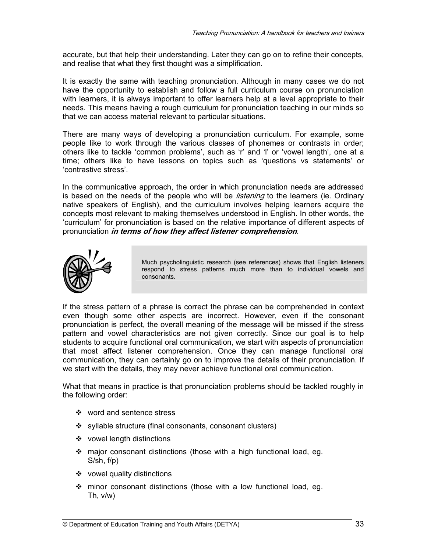accurate, but that help their understanding. Later they can go on to refine their concepts, and realise that what they first thought was a simplification.

It is exactly the same with teaching pronunciation. Although in many cases we do not have the opportunity to establish and follow a full curriculum course on pronunciation with learners, it is always important to offer learners help at a level appropriate to their needs. This means having a rough curriculum for pronunciation teaching in our minds so that we can access material relevant to particular situations.

There are many ways of developing a pronunciation curriculum. For example, some people like to work through the various classes of phonemes or contrasts in order; others like to tackle 'common problems', such as 'r' and 'l' or 'vowel length', one at a time; others like to have lessons on topics such as 'questions vs statements' or 'contrastive stress'.

In the communicative approach, the order in which pronunciation needs are addressed is based on the needs of the people who will be *listening* to the learners (ie. Ordinary native speakers of English), and the curriculum involves helping learners acquire the concepts most relevant to making themselves understood in English. In other words, the 'curriculum' for pronunciation is based on the relative importance of different aspects of pronunciation **in terms of how they affect listener comprehension**.



Much psycholinguistic research (see references) shows that English listeners respond to stress patterns much more than to individual vowels and consonants.

If the stress pattern of a phrase is correct the phrase can be comprehended in context even though some other aspects are incorrect. However, even if the consonant pronunciation is perfect, the overall meaning of the message will be missed if the stress pattern and vowel characteristics are not given correctly. Since our goal is to help students to acquire functional oral communication, we start with aspects of pronunciation that most affect listener comprehension. Once they can manage functional oral communication, they can certainly go on to improve the details of their pronunciation. If we start with the details, they may never achieve functional oral communication.

What that means in practice is that pronunciation problems should be tackled roughly in the following order:

- word and sentence stress
- syllable structure (final consonants, consonant clusters)
- ❖ vowel length distinctions
- major consonant distinctions (those with a high functional load, eg. S/sh, f/p)
- vowel quality distinctions
- minor consonant distinctions (those with a low functional load, eg. Th, v/w)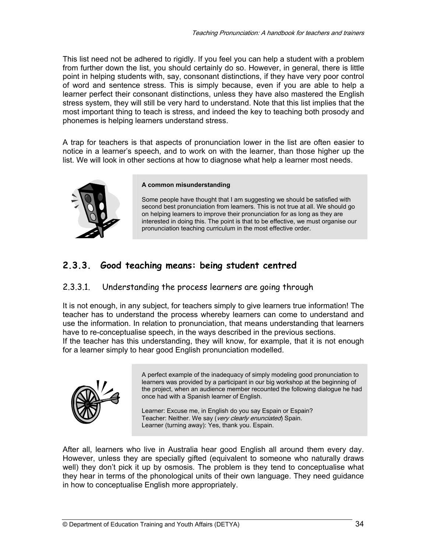This list need not be adhered to rigidly. If you feel you can help a student with a problem from further down the list, you should certainly do so. However, in general, there is little point in helping students with, say, consonant distinctions, if they have very poor control of word and sentence stress. This is simply because, even if you are able to help a learner perfect their consonant distinctions, unless they have also mastered the English stress system, they will still be very hard to understand. Note that this list implies that the most important thing to teach is stress, and indeed the key to teaching both prosody and phonemes is helping learners understand stress.

A trap for teachers is that aspects of pronunciation lower in the list are often easier to notice in a learner's speech, and to work on with the learner, than those higher up the list. We will look in other sections at how to diagnose what help a learner most needs.



#### **A common misunderstanding**

Some people have thought that I am suggesting we should be satisfied with second best pronunciation from learners. This is not true at all. We should go on helping learners to improve their pronunciation for as long as they are interested in doing this. The point is that to be effective, we must organise our pronunciation teaching curriculum in the most effective order.

## **2.3.3. Good teaching means: being student centred**

#### 2.3.3.1. Understanding the process learners are going through

It is not enough, in any subject, for teachers simply to give learners true information! The teacher has to understand the process whereby learners can come to understand and use the information. In relation to pronunciation, that means understanding that learners have to re-conceptualise speech, in the ways described in the previous sections. If the teacher has this understanding, they will know, for example, that it is not enough for a learner simply to hear good English pronunciation modelled.



A perfect example of the inadequacy of simply modeling good pronunciation to learners was provided by a participant in our big workshop at the beginning of the project, when an audience member recounted the following dialogue he had once had with a Spanish learner of English.

Learner: Excuse me, in English do you say Espain or Espain? Teacher: Neither. We say (very clearly enunciated) Spain. Learner (turning away): Yes, thank you. Espain.

After all, learners who live in Australia hear good English all around them every day. However, unless they are specially gifted (equivalent to someone who naturally draws well) they don't pick it up by osmosis. The problem is they tend to conceptualise what they hear in terms of the phonological units of their own language. They need guidance in how to conceptualise English more appropriately.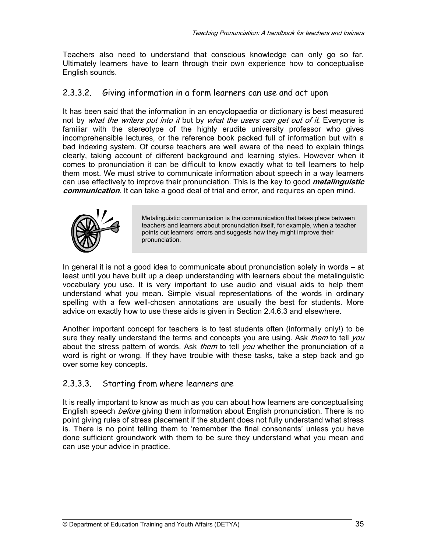Teachers also need to understand that conscious knowledge can only go so far. Ultimately learners have to learn through their own experience how to conceptualise English sounds.

## 2.3.3.2. Giving information in a form learners can use and act upon

It has been said that the information in an encyclopaedia or dictionary is best measured not by what the writers put into it but by what the users can get out of it. Everyone is familiar with the stereotype of the highly erudite university professor who gives incomprehensible lectures, or the reference book packed full of information but with a bad indexing system. Of course teachers are well aware of the need to explain things clearly, taking account of different background and learning styles. However when it comes to pronunciation it can be difficult to know exactly what to tell learners to help them most. We must strive to communicate information about speech in a way learners can use effectively to improve their pronunciation. This is the key to good **metalinguistic communication**. It can take a good deal of trial and error, and requires an open mind.



Metalinguistic communication is the communication that takes place between teachers and learners about pronunciation itself, for example, when a teacher points out learners' errors and suggests how they might improve their pronunciation.

In general it is not a good idea to communicate about pronunciation solely in words – at least until you have built up a deep understanding with learners about the metalinguistic vocabulary you use. It is very important to use audio and visual aids to help them understand what you mean. Simple visual representations of the words in ordinary spelling with a few well-chosen annotations are usually the best for students. More advice on exactly how to use these aids is given in Section 2.4.6.3 and elsewhere.

Another important concept for teachers is to test students often (informally only!) to be sure they really understand the terms and concepts you are using. Ask *them* to tell you about the stress pattern of words. Ask *them* to tell *you* whether the pronunciation of a word is right or wrong. If they have trouble with these tasks, take a step back and go over some key concepts.

## 2.3.3.3. Starting from where learners are

It is really important to know as much as you can about how learners are conceptualising English speech *before* giving them information about English pronunciation. There is no point giving rules of stress placement if the student does not fully understand what stress is. There is no point telling them to 'remember the final consonants' unless you have done sufficient groundwork with them to be sure they understand what you mean and can use your advice in practice.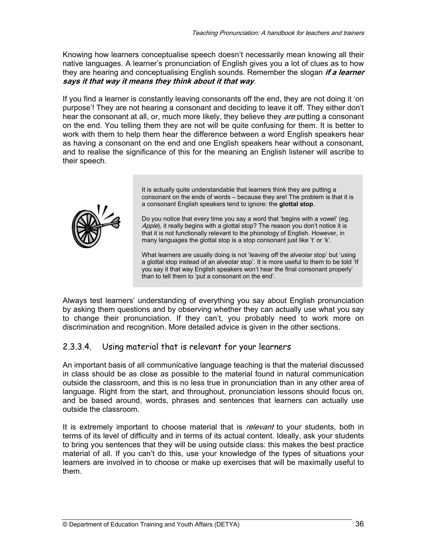Knowing how learners conceptualise speech doesn't necessarily mean knowing all their native languages. A learner's pronunciation of English gives you a lot of clues as to how they are hearing and conceptualising English sounds. Remember the slogan **if a learner says it that way it means they think about it that way**.

If you find a learner is constantly leaving consonants off the end, they are not doing it 'on purpose'! They are not hearing a consonant and deciding to leave it off. They either don't hear the consonant at all, or, much more likely, they believe they *are* putting a consonant on the end. You telling them they are not will be quite confusing for them. It is better to work with them to help them hear the difference between a word English speakers hear as having a consonant on the end and one English speakers hear without a consonant, and to realise the significance of this for the meaning an English listener will ascribe to their speech.



It is actually quite understandable that learners think they are putting a consonant on the ends of words – because they are! The problem is that it is a consonant English speakers tend to ignore: the **glottal stop**.

Do you notice that every time you say a word that 'begins with a vowel' (eg. Apple), it really begins with a glottal stop? The reason you don't notice it is that it is not functionally relevant to the phonology of English. However, in many languages the glottal stop is a stop consonant just like 't' or 'k'.

What learners are usually doing is not 'leaving off the alveolar stop' but 'using a glottal stop instead of an alveolar stop'. It is more useful to them to be told 'If you say it that way English speakers won't hear the final consonant properly' than to tell them to 'put a consonant on the end'.

Always test learners' understanding of everything you say about English pronunciation by asking them questions and by observing whether they can actually use what you say to change their pronunciation. If they can't, you probably need to work more on discrimination and recognition. More detailed advice is given in the other sections.

## 2.3.3.4. Using material that is relevant for your learners

An important basis of all communicative language teaching is that the material discussed in class should be as close as possible to the material found in natural communication outside the classroom, and this is no less true in pronunciation than in any other area of language. Right from the start, and throughout, pronunciation lessons should focus on, and be based around, words, phrases and sentences that learners can actually use outside the classroom.

It is extremely important to choose material that is *relevant* to your students, both in terms of its level of difficulty and in terms of its actual content. Ideally, ask your students to bring you sentences that they will be using outside class: this makes the best practice material of all. If you can't do this, use your knowledge of the types of situations your learners are involved in to choose or make up exercises that will be maximally useful to them.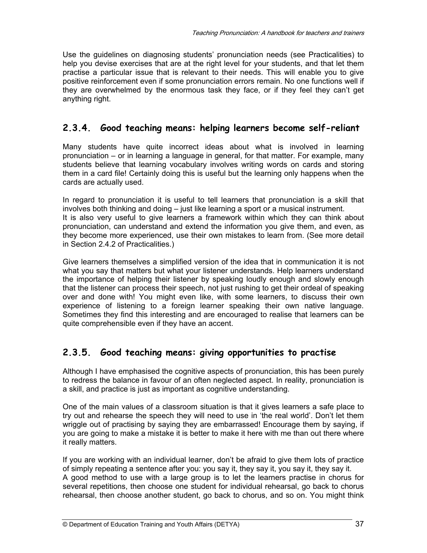Use the guidelines on diagnosing students' pronunciation needs (see Practicalities) to help you devise exercises that are at the right level for your students, and that let them practise a particular issue that is relevant to their needs. This will enable you to give positive reinforcement even if some pronunciation errors remain. No one functions well if they are overwhelmed by the enormous task they face, or if they feel they can't get anything right.

### **2.3.4. Good teaching means: helping learners become self-reliant**

Many students have quite incorrect ideas about what is involved in learning pronunciation – or in learning a language in general, for that matter. For example, many students believe that learning vocabulary involves writing words on cards and storing them in a card file! Certainly doing this is useful but the learning only happens when the cards are actually used.

In regard to pronunciation it is useful to tell learners that pronunciation is a skill that involves both thinking and doing – just like learning a sport or a musical instrument. It is also very useful to give learners a framework within which they can think about pronunciation, can understand and extend the information you give them, and even, as they become more experienced, use their own mistakes to learn from. (See more detail in Section 2.4.2 of Practicalities.)

Give learners themselves a simplified version of the idea that in communication it is not what you say that matters but what your listener understands. Help learners understand the importance of helping their listener by speaking loudly enough and slowly enough that the listener can process their speech, not just rushing to get their ordeal of speaking over and done with! You might even like, with some learners, to discuss their own experience of listening to a foreign learner speaking their own native language. Sometimes they find this interesting and are encouraged to realise that learners can be quite comprehensible even if they have an accent.

### **2.3.5. Good teaching means: giving opportunities to practise**

Although I have emphasised the cognitive aspects of pronunciation, this has been purely to redress the balance in favour of an often neglected aspect. In reality, pronunciation is a skill, and practice is just as important as cognitive understanding.

One of the main values of a classroom situation is that it gives learners a safe place to try out and rehearse the speech they will need to use in 'the real world'. Don't let them wriggle out of practising by saying they are embarrassed! Encourage them by saying, if you are going to make a mistake it is better to make it here with me than out there where it really matters.

If you are working with an individual learner, don't be afraid to give them lots of practice of simply repeating a sentence after you: you say it, they say it, you say it, they say it. A good method to use with a large group is to let the learners practise in chorus for several repetitions, then choose one student for individual rehearsal, go back to chorus rehearsal, then choose another student, go back to chorus, and so on. You might think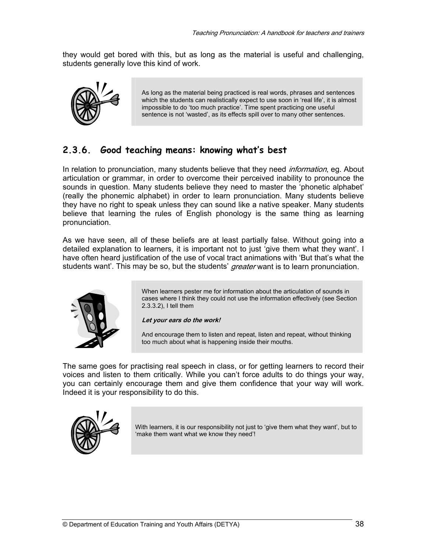they would get bored with this, but as long as the material is useful and challenging, students generally love this kind of work.



As long as the material being practiced is real words, phrases and sentences which the students can realistically expect to use soon in 'real life', it is almost impossible to do 'too much practice'. Time spent practicing one useful sentence is not 'wasted', as its effects spill over to many other sentences.

### **2.3.6. Good teaching means: knowing what's best**

In relation to pronunciation, many students believe that they need *information*, eg. About articulation or grammar, in order to overcome their perceived inability to pronounce the sounds in question. Many students believe they need to master the 'phonetic alphabet' (really the phonemic alphabet) in order to learn pronunciation. Many students believe they have no right to speak unless they can sound like a native speaker. Many students believe that learning the rules of English phonology is the same thing as learning pronunciation.

As we have seen, all of these beliefs are at least partially false. Without going into a detailed explanation to learners, it is important not to just 'give them what they want'. I have often heard justification of the use of vocal tract animations with 'But that's what the students want'. This may be so, but the students' *greater* want is to learn pronunciation.



When learners pester me for information about the articulation of sounds in cases where I think they could not use the information effectively (see Section 2.3.3.2), I tell them

#### **Let your ears do the work!**

And encourage them to listen and repeat, listen and repeat, without thinking too much about what is happening inside their mouths.

The same goes for practising real speech in class, or for getting learners to record their voices and listen to them critically. While you can't force adults to do things your way, you can certainly encourage them and give them confidence that your way will work. Indeed it is your responsibility to do this.



With learners, it is our responsibility not just to 'give them what they want', but to 'make them want what we know they need'!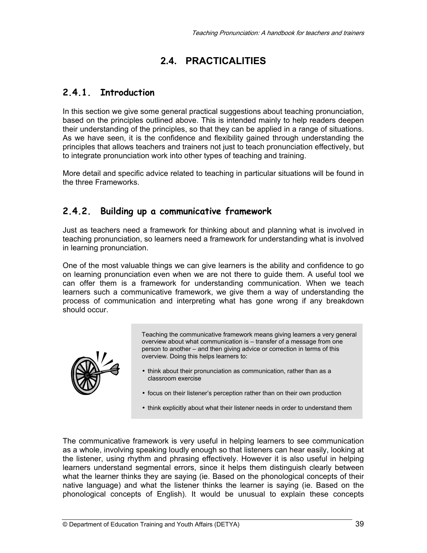# **2.4. PRACTICALITIES**

### **2.4.1. Introduction**

In this section we give some general practical suggestions about teaching pronunciation, based on the principles outlined above. This is intended mainly to help readers deepen their understanding of the principles, so that they can be applied in a range of situations. As we have seen, it is the confidence and flexibility gained through understanding the principles that allows teachers and trainers not just to teach pronunciation effectively, but to integrate pronunciation work into other types of teaching and training.

More detail and specific advice related to teaching in particular situations will be found in the three Frameworks.

### **2.4.2. Building up a communicative framework**

Just as teachers need a framework for thinking about and planning what is involved in teaching pronunciation, so learners need a framework for understanding what is involved in learning pronunciation.

One of the most valuable things we can give learners is the ability and confidence to go on learning pronunciation even when we are not there to guide them. A useful tool we can offer them is a framework for understanding communication. When we teach learners such a communicative framework, we give them a way of understanding the process of communication and interpreting what has gone wrong if any breakdown should occur.



Teaching the communicative framework means giving learners a very general overview about what communication is – transfer of a message from one person to another – and then giving advice or correction in terms of this overview. Doing this helps learners to:

- think about their pronunciation as communication, rather than as a classroom exercise
- focus on their listener's perception rather than on their own production
- think explicitly about what their listener needs in order to understand them

The communicative framework is very useful in helping learners to see communication as a whole, involving speaking loudly enough so that listeners can hear easily, looking at the listener, using rhythm and phrasing effectively. However it is also useful in helping learners understand segmental errors, since it helps them distinguish clearly between what the learner thinks they are saying (ie. Based on the phonological concepts of their native language) and what the listener thinks the learner is saying (ie. Based on the phonological concepts of English). It would be unusual to explain these concepts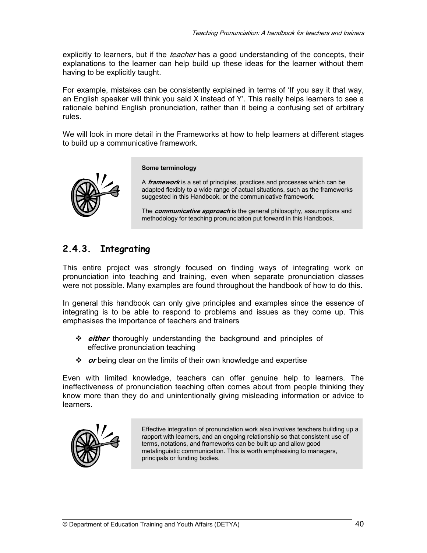explicitly to learners, but if the *teacher* has a good understanding of the concepts, their explanations to the learner can help build up these ideas for the learner without them having to be explicitly taught.

For example, mistakes can be consistently explained in terms of 'If you say it that way, an English speaker will think you said X instead of Y'. This really helps learners to see a rationale behind English pronunciation, rather than it being a confusing set of arbitrary rules.

We will look in more detail in the Frameworks at how to help learners at different stages to build up a communicative framework.



#### **Some terminology**

A **framework** is a set of principles, practices and processes which can be adapted flexibly to a wide range of actual situations, such as the frameworks suggested in this Handbook, or the communicative framework.

The **communicative approach** is the general philosophy, assumptions and methodology for teaching pronunciation put forward in this Handbook.

### **2.4.3. Integrating**

This entire project was strongly focused on finding ways of integrating work on pronunciation into teaching and training, even when separate pronunciation classes were not possible. Many examples are found throughout the handbook of how to do this.

In general this handbook can only give principles and examples since the essence of integrating is to be able to respond to problems and issues as they come up. This emphasises the importance of teachers and trainers

- **either** thoroughly understanding the background and principles of effective pronunciation teaching
- *❖ or* being clear on the limits of their own knowledge and expertise

Even with limited knowledge, teachers can offer genuine help to learners. The ineffectiveness of pronunciation teaching often comes about from people thinking they know more than they do and unintentionally giving misleading information or advice to learners.



Effective integration of pronunciation work also involves teachers building up a rapport with learners, and an ongoing relationship so that consistent use of terms, notations, and frameworks can be built up and allow good metalinguistic communication. This is worth emphasising to managers, principals or funding bodies.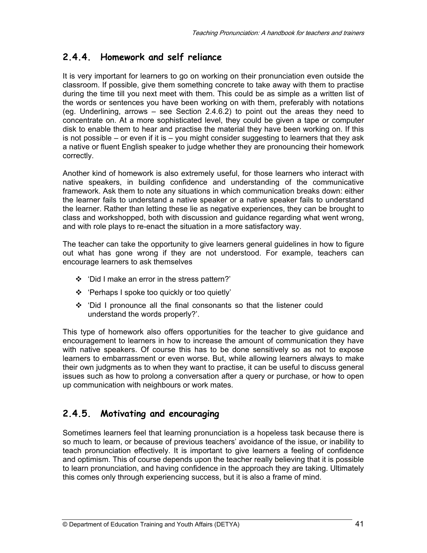### **2.4.4. Homework and self reliance**

It is very important for learners to go on working on their pronunciation even outside the classroom. If possible, give them something concrete to take away with them to practise during the time till you next meet with them. This could be as simple as a written list of the words or sentences you have been working on with them, preferably with notations (eg. Underlining, arrows – see Section 2.4.6.2) to point out the areas they need to concentrate on. At a more sophisticated level, they could be given a tape or computer disk to enable them to hear and practise the material they have been working on. If this is not possible – or even if it is – you might consider suggesting to learners that they ask a native or fluent English speaker to judge whether they are pronouncing their homework correctly.

Another kind of homework is also extremely useful, for those learners who interact with native speakers, in building confidence and understanding of the communicative framework. Ask them to note any situations in which communication breaks down: either the learner fails to understand a native speaker or a native speaker fails to understand the learner. Rather than letting these lie as negative experiences, they can be brought to class and workshopped, both with discussion and guidance regarding what went wrong, and with role plays to re-enact the situation in a more satisfactory way.

The teacher can take the opportunity to give learners general guidelines in how to figure out what has gone wrong if they are not understood. For example, teachers can encourage learners to ask themselves

- 'Did I make an error in the stress pattern?'
- 'Perhaps I spoke too quickly or too quietly'
- 'Did I pronounce all the final consonants so that the listener could understand the words properly?'.

This type of homework also offers opportunities for the teacher to give guidance and encouragement to learners in how to increase the amount of communication they have with native speakers. Of course this has to be done sensitively so as not to expose learners to embarrassment or even worse. But, while allowing learners always to make their own judgments as to when they want to practise, it can be useful to discuss general issues such as how to prolong a conversation after a query or purchase, or how to open up communication with neighbours or work mates.

### **2.4.5. Motivating and encouraging**

Sometimes learners feel that learning pronunciation is a hopeless task because there is so much to learn, or because of previous teachers' avoidance of the issue, or inability to teach pronunciation effectively. It is important to give learners a feeling of confidence and optimism. This of course depends upon the teacher really believing that it is possible to learn pronunciation, and having confidence in the approach they are taking. Ultimately this comes only through experiencing success, but it is also a frame of mind.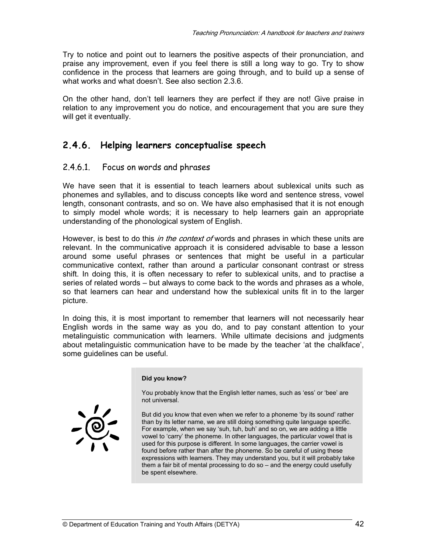Try to notice and point out to learners the positive aspects of their pronunciation, and praise any improvement, even if you feel there is still a long way to go. Try to show confidence in the process that learners are going through, and to build up a sense of what works and what doesn't. See also section 2.3.6.

On the other hand, don't tell learners they are perfect if they are not! Give praise in relation to any improvement you do notice, and encouragement that you are sure they will get it eventually.

### **2.4.6. Helping learners conceptualise speech**

#### 2.4.6.1. Focus on words and phrases

We have seen that it is essential to teach learners about sublexical units such as phonemes and syllables, and to discuss concepts like word and sentence stress, vowel length, consonant contrasts, and so on. We have also emphasised that it is not enough to simply model whole words; it is necessary to help learners gain an appropriate understanding of the phonological system of English.

However, is best to do this *in the context of* words and phrases in which these units are relevant. In the communicative approach it is considered advisable to base a lesson around some useful phrases or sentences that might be useful in a particular communicative context, rather than around a particular consonant contrast or stress shift. In doing this, it is often necessary to refer to sublexical units, and to practise a series of related words – but always to come back to the words and phrases as a whole, so that learners can hear and understand how the sublexical units fit in to the larger picture.

In doing this, it is most important to remember that learners will not necessarily hear English words in the same way as you do, and to pay constant attention to your metalinguistic communication with learners. While ultimate decisions and judgments about metalinguistic communication have to be made by the teacher 'at the chalkface', some guidelines can be useful.

#### **Did you know?**

You probably know that the English letter names, such as 'ess' or 'bee' are not universal.

But did you know that even when we refer to a phoneme 'by its sound' rather than by its letter name, we are still doing something quite language specific. For example, when we say 'suh, tuh, buh' and so on, we are adding a little vowel to 'carry' the phoneme. In other languages, the particular vowel that is used for this purpose is different. In some languages, the carrier vowel is found before rather than after the phoneme. So be careful of using these expressions with learners. They may understand you, but it will probably take them a fair bit of mental processing to do so – and the energy could usefully be spent elsewhere.

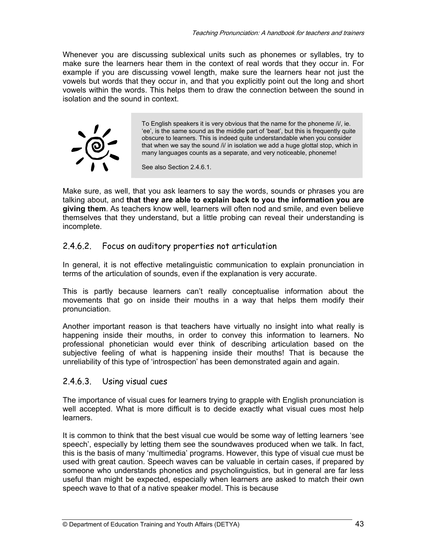Whenever you are discussing sublexical units such as phonemes or syllables, try to make sure the learners hear them in the context of real words that they occur in. For example if you are discussing vowel length, make sure the learners hear not just the vowels but words that they occur in, and that you explicitly point out the long and short vowels within the words. This helps them to draw the connection between the sound in isolation and the sound in context.



To English speakers it is very obvious that the name for the phoneme /i/, ie. 'ee', is the same sound as the middle part of 'beat', but this is frequently quite obscure to learners. This is indeed quite understandable when you consider that when we say the sound /i/ in isolation we add a huge glottal stop, which in many languages counts as a separate, and very noticeable, phoneme!

See also Section 2.4.6.1.

Make sure, as well, that you ask learners to say the words, sounds or phrases you are talking about, and **that they are able to explain back to you the information you are giving them**. As teachers know well, learners will often nod and smile, and even believe themselves that they understand, but a little probing can reveal their understanding is incomplete.

#### 2.4.6.2. Focus on auditory properties not articulation

In general, it is not effective metalinguistic communication to explain pronunciation in terms of the articulation of sounds, even if the explanation is very accurate.

This is partly because learners can't really conceptualise information about the movements that go on inside their mouths in a way that helps them modify their pronunciation.

Another important reason is that teachers have virtually no insight into what really is happening inside their mouths, in order to convey this information to learners. No professional phonetician would ever think of describing articulation based on the subjective feeling of what is happening inside their mouths! That is because the unreliability of this type of 'introspection' has been demonstrated again and again.

#### 2.4.6.3. Using visual cues

The importance of visual cues for learners trying to grapple with English pronunciation is well accepted. What is more difficult is to decide exactly what visual cues most help learners.

It is common to think that the best visual cue would be some way of letting learners 'see speech', especially by letting them see the soundwaves produced when we talk. In fact, this is the basis of many 'multimedia' programs. However, this type of visual cue must be used with great caution. Speech waves can be valuable in certain cases, if prepared by someone who understands phonetics and psycholinguistics, but in general are far less useful than might be expected, especially when learners are asked to match their own speech wave to that of a native speaker model. This is because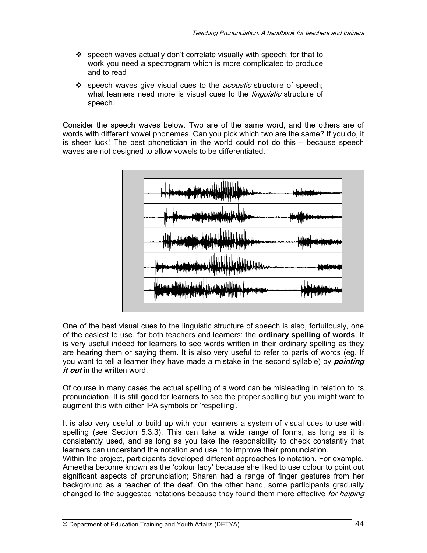- $\div$  speech waves actually don't correlate visually with speech; for that to work you need a spectrogram which is more complicated to produce and to read
- speech waves give visual cues to the *acoustic* structure of speech; what learners need more is visual cues to the *linguistic* structure of speech.

Consider the speech waves below. Two are of the same word, and the others are of words with different vowel phonemes. Can you pick which two are the same? If you do, it is sheer luck! The best phonetician in the world could not do this – because speech waves are not designed to allow vowels to be differentiated.



One of the best visual cues to the linguistic structure of speech is also, fortuitously, one of the easiest to use, for both teachers and learners: the **ordinary spelling of words**. It is very useful indeed for learners to see words written in their ordinary spelling as they are hearing them or saying them. It is also very useful to refer to parts of words (eg. If you want to tell a learner they have made a mistake in the second syllable) by **pointing it out** in the written word.

Of course in many cases the actual spelling of a word can be misleading in relation to its pronunciation. It is still good for learners to see the proper spelling but you might want to augment this with either IPA symbols or 'respelling'.

It is also very useful to build up with your learners a system of visual cues to use with spelling (see Section 5.3.3). This can take a wide range of forms, as long as it is consistently used, and as long as you take the responsibility to check constantly that learners can understand the notation and use it to improve their pronunciation.

Within the project, participants developed different approaches to notation. For example, Ameetha become known as the 'colour lady' because she liked to use colour to point out significant aspects of pronunciation; Sharen had a range of finger gestures from her background as a teacher of the deaf. On the other hand, some participants gradually changed to the suggested notations because they found them more effective for helping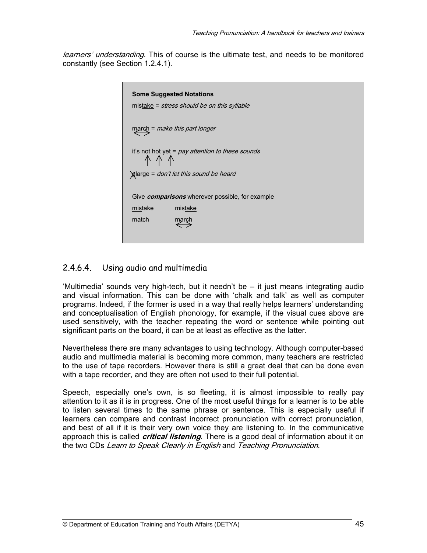learners' understanding. This of course is the ultimate test, and needs to be monitored constantly (see Section 1.2.4.1).

| <b>Some Suggested Notations</b><br>mistake = <i>stress should be on this syllable</i> |                                                                            |
|---------------------------------------------------------------------------------------|----------------------------------------------------------------------------|
|                                                                                       | march = make this part longer                                              |
| it's not hot yet = <i>pay attention to these sounds</i><br>↑ ↑ ↑                      |                                                                            |
| dlarge = don't let this sound be heard                                                |                                                                            |
| mistake<br>match                                                                      | Give <i>comparisons</i> wherever possible, for example<br>mistake<br>march |
|                                                                                       |                                                                            |

#### 2.4.6.4. Using audio and multimedia

'Multimedia' sounds very high-tech, but it needn't be – it just means integrating audio and visual information. This can be done with 'chalk and talk' as well as computer programs. Indeed, if the former is used in a way that really helps learners' understanding and conceptualisation of English phonology, for example, if the visual cues above are used sensitively, with the teacher repeating the word or sentence while pointing out significant parts on the board, it can be at least as effective as the latter.

Nevertheless there are many advantages to using technology. Although computer-based audio and multimedia material is becoming more common, many teachers are restricted to the use of tape recorders. However there is still a great deal that can be done even with a tape recorder, and they are often not used to their full potential.

Speech, especially one's own, is so fleeting, it is almost impossible to really pay attention to it as it is in progress. One of the most useful things for a learner is to be able to listen several times to the same phrase or sentence. This is especially useful if learners can compare and contrast incorrect pronunciation with correct pronunciation, and best of all if it is their very own voice they are listening to. In the communicative approach this is called **critical listening**. There is a good deal of information about it on the two CDs Learn to Speak Clearly in English and Teaching Pronunciation.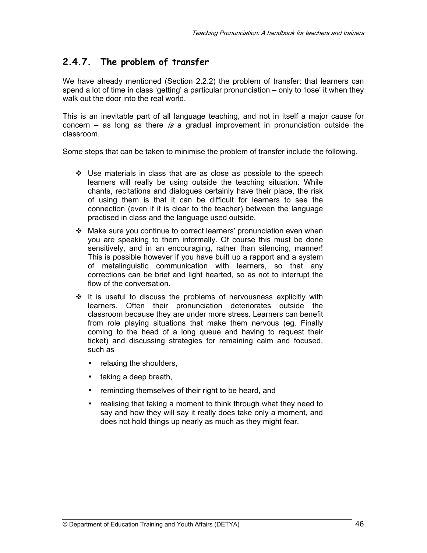### **2.4.7. The problem of transfer**

We have already mentioned (Section 2.2.2) the problem of transfer: that learners can spend a lot of time in class 'getting' a particular pronunciation – only to 'lose' it when they walk out the door into the real world.

This is an inevitable part of all language teaching, and not in itself a major cause for concern – as long as there is a gradual improvement in pronunciation outside the classroom.

Some steps that can be taken to minimise the problem of transfer include the following.

- $\div$  Use materials in class that are as close as possible to the speech learners will really be using outside the teaching situation. While chants, recitations and dialogues certainly have their place, the risk of using them is that it can be difficult for learners to see the connection (even if it is clear to the teacher) between the language practised in class and the language used outside.
- Make sure you continue to correct learners' pronunciation even when you are speaking to them informally. Of course this must be done sensitively, and in an encouraging, rather than silencing, manner! This is possible however if you have built up a rapport and a system of metalinguistic communication with learners, so that any corrections can be brief and light hearted, so as not to interrupt the flow of the conversation.
- $\div$  It is useful to discuss the problems of nervousness explicitly with learners. Often their pronunciation deteriorates outside the classroom because they are under more stress. Learners can benefit from role playing situations that make them nervous (eg. Finally coming to the head of a long queue and having to request their ticket) and discussing strategies for remaining calm and focused, such as
	- relaxing the shoulders,
	- taking a deep breath,
	- reminding themselves of their right to be heard, and
	- realising that taking a moment to think through what they need to say and how they will say it really does take only a moment, and does not hold things up nearly as much as they might fear.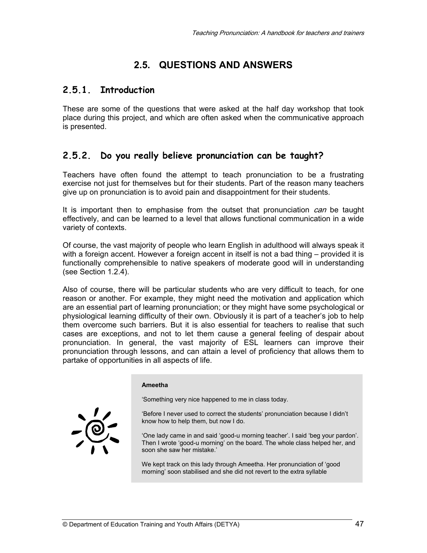# **2.5. QUESTIONS AND ANSWERS**

### **2.5.1. Introduction**

These are some of the questions that were asked at the half day workshop that took place during this project, and which are often asked when the communicative approach is presented.

### **2.5.2. Do you really believe pronunciation can be taught?**

Teachers have often found the attempt to teach pronunciation to be a frustrating exercise not just for themselves but for their students. Part of the reason many teachers give up on pronunciation is to avoid pain and disappointment for their students.

It is important then to emphasise from the outset that pronunciation  $can$  be taught effectively, and can be learned to a level that allows functional communication in a wide variety of contexts.

Of course, the vast majority of people who learn English in adulthood will always speak it with a foreign accent. However a foreign accent in itself is not a bad thing – provided it is functionally comprehensible to native speakers of moderate good will in understanding (see Section 1.2.4).

Also of course, there will be particular students who are very difficult to teach, for one reason or another. For example, they might need the motivation and application which are an essential part of learning pronunciation; or they might have some psychological or physiological learning difficulty of their own. Obviously it is part of a teacher's job to help them overcome such barriers. But it is also essential for teachers to realise that such cases are exceptions, and not to let them cause a general feeling of despair about pronunciation. In general, the vast majority of ESL learners can improve their pronunciation through lessons, and can attain a level of proficiency that allows them to partake of opportunities in all aspects of life.

#### **Ameetha**

'Something very nice happened to me in class today.

'Before I never used to correct the students' pronunciation because I didn't know how to help them, but now I do.

'One lady came in and said 'good-u morning teacher'. I said 'beg your pardon'. Then I wrote 'good-u morning' on the board. The whole class helped her, and soon she saw her mistake.'

We kept track on this lady through Ameetha. Her pronunciation of 'good morning' soon stabilised and she did not revert to the extra syllable

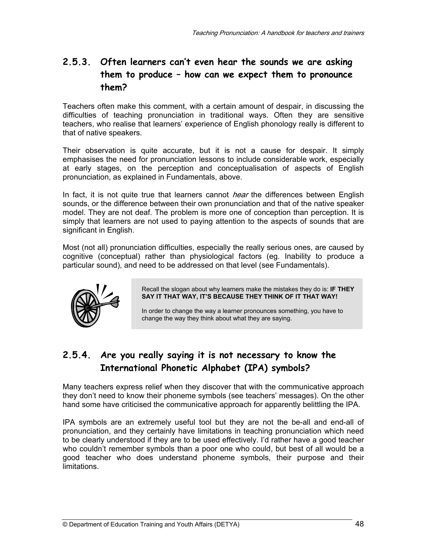### **2.5.3. Often learners can't even hear the sounds we are asking them to produce – how can we expect them to pronounce them?**

Teachers often make this comment, with a certain amount of despair, in discussing the difficulties of teaching pronunciation in traditional ways. Often they are sensitive teachers, who realise that learners' experience of English phonology really is different to that of native speakers.

Their observation is quite accurate, but it is not a cause for despair. It simply emphasises the need for pronunciation lessons to include considerable work, especially at early stages, on the perception and conceptualisation of aspects of English pronunciation, as explained in Fundamentals, above.

In fact, it is not quite true that learners cannot *hear* the differences between English sounds, or the difference between their own pronunciation and that of the native speaker model. They are not deaf. The problem is more one of conception than perception. It is simply that learners are not used to paying attention to the aspects of sounds that are significant in English.

Most (not all) pronunciation difficulties, especially the really serious ones, are caused by cognitive (conceptual) rather than physiological factors (eg. Inability to produce a particular sound), and need to be addressed on that level (see Fundamentals).



Recall the slogan about why learners make the mistakes they do is: **IF THEY SAY IT THAT WAY, IT'S BECAUSE THEY THINK OF IT THAT WAY!**

In order to change the way a learner pronounces something, you have to change the way they think about what they are saying.

### **2.5.4. Are you really saying it is not necessary to know the International Phonetic Alphabet (IPA) symbols?**

Many teachers express relief when they discover that with the communicative approach they don't need to know their phoneme symbols (see teachers' messages). On the other hand some have criticised the communicative approach for apparently belittling the IPA.

IPA symbols are an extremely useful tool but they are not the be-all and end-all of pronunciation, and they certainly have limitations in teaching pronunciation which need to be clearly understood if they are to be used effectively. I'd rather have a good teacher who couldn't remember symbols than a poor one who could, but best of all would be a good teacher who does understand phoneme symbols, their purpose and their limitations.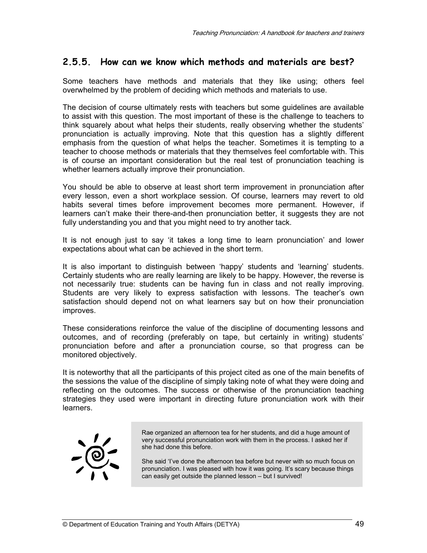### **2.5.5. How can we know which methods and materials are best?**

Some teachers have methods and materials that they like using; others feel overwhelmed by the problem of deciding which methods and materials to use.

The decision of course ultimately rests with teachers but some guidelines are available to assist with this question. The most important of these is the challenge to teachers to think squarely about what helps their students, really observing whether the students' pronunciation is actually improving. Note that this question has a slightly different emphasis from the question of what helps the teacher. Sometimes it is tempting to a teacher to choose methods or materials that they themselves feel comfortable with. This is of course an important consideration but the real test of pronunciation teaching is whether learners actually improve their pronunciation.

You should be able to observe at least short term improvement in pronunciation after every lesson, even a short workplace session. Of course, learners may revert to old habits several times before improvement becomes more permanent. However, if learners can't make their there-and-then pronunciation better, it suggests they are not fully understanding you and that you might need to try another tack.

It is not enough just to say 'it takes a long time to learn pronunciation' and lower expectations about what can be achieved in the short term.

It is also important to distinguish between 'happy' students and 'learning' students. Certainly students who are really learning are likely to be happy. However, the reverse is not necessarily true: students can be having fun in class and not really improving. Students are very likely to express satisfaction with lessons. The teacher's own satisfaction should depend not on what learners say but on how their pronunciation improves.

These considerations reinforce the value of the discipline of documenting lessons and outcomes, and of recording (preferably on tape, but certainly in writing) students' pronunciation before and after a pronunciation course, so that progress can be monitored objectively.

It is noteworthy that all the participants of this project cited as one of the main benefits of the sessions the value of the discipline of simply taking note of what they were doing and reflecting on the outcomes. The success or otherwise of the pronunciation teaching strategies they used were important in directing future pronunciation work with their learners.



Rae organized an afternoon tea for her students, and did a huge amount of very successful pronunciation work with them in the process. I asked her if she had done this before.

She said 'I've done the afternoon tea before but never with so much focus on pronunciation. I was pleased with how it was going. It's scary because things can easily get outside the planned lesson – but I survived!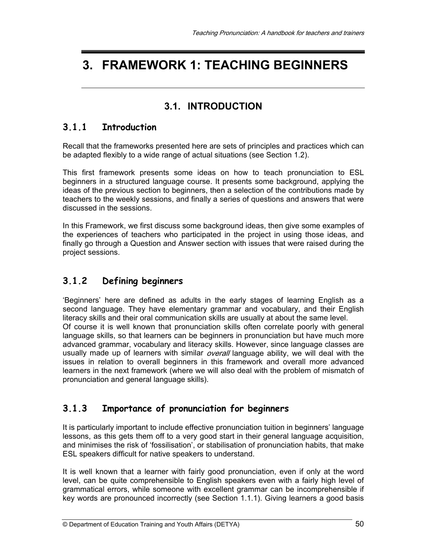# **3. FRAMEWORK 1: TEACHING BEGINNERS**

### **3.1. INTRODUCTION**

#### **3.1.1 Introduction**

Recall that the frameworks presented here are sets of principles and practices which can be adapted flexibly to a wide range of actual situations (see Section 1.2).

This first framework presents some ideas on how to teach pronunciation to ESL beginners in a structured language course. It presents some background, applying the ideas of the previous section to beginners, then a selection of the contributions made by teachers to the weekly sessions, and finally a series of questions and answers that were discussed in the sessions.

In this Framework, we first discuss some background ideas, then give some examples of the experiences of teachers who participated in the project in using those ideas, and finally go through a Question and Answer section with issues that were raised during the project sessions.

### **3.1.2 Defining beginners**

'Beginners' here are defined as adults in the early stages of learning English as a second language. They have elementary grammar and vocabulary, and their English literacy skills and their oral communication skills are usually at about the same level. Of course it is well known that pronunciation skills often correlate poorly with general language skills, so that learners can be beginners in pronunciation but have much more advanced grammar, vocabulary and literacy skills. However, since language classes are usually made up of learners with similar overall language ability, we will deal with the issues in relation to overall beginners in this framework and overall more advanced learners in the next framework (where we will also deal with the problem of mismatch of pronunciation and general language skills).

### **3.1.3 Importance of pronunciation for beginners**

It is particularly important to include effective pronunciation tuition in beginners' language lessons, as this gets them off to a very good start in their general language acquisition, and minimises the risk of 'fossilisation', or stabilisation of pronunciation habits, that make ESL speakers difficult for native speakers to understand.

It is well known that a learner with fairly good pronunciation, even if only at the word level, can be quite comprehensible to English speakers even with a fairly high level of grammatical errors, while someone with excellent grammar can be incomprehensible if key words are pronounced incorrectly (see Section 1.1.1). Giving learners a good basis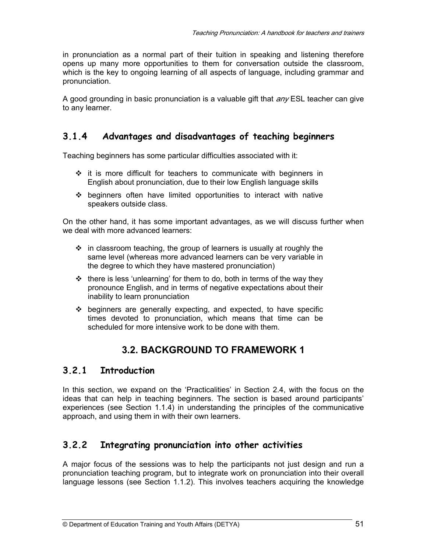in pronunciation as a normal part of their tuition in speaking and listening therefore opens up many more opportunities to them for conversation outside the classroom, which is the key to ongoing learning of all aspects of language, including grammar and pronunciation.

A good grounding in basic pronunciation is a valuable gift that  $\partial N_F$  ESL teacher can give to any learner.

### **3.1.4 Advantages and disadvantages of teaching beginners**

Teaching beginners has some particular difficulties associated with it:

- $\div$  it is more difficult for teachers to communicate with beginners in English about pronunciation, due to their low English language skills
- $\div$  beginners often have limited opportunities to interact with native speakers outside class.

On the other hand, it has some important advantages, as we will discuss further when we deal with more advanced learners:

- $\div$  in classroom teaching, the group of learners is usually at roughly the same level (whereas more advanced learners can be very variable in the degree to which they have mastered pronunciation)
- $\cdot \cdot$  there is less 'unlearning' for them to do, both in terms of the way they pronounce English, and in terms of negative expectations about their inability to learn pronunciation
- $\div$  beginners are generally expecting, and expected, to have specific times devoted to pronunciation, which means that time can be scheduled for more intensive work to be done with them.

# **3.2. BACKGROUND TO FRAMEWORK 1**

### **3.2.1 Introduction**

In this section, we expand on the 'Practicalities' in Section 2.4, with the focus on the ideas that can help in teaching beginners. The section is based around participants' experiences (see Section 1.1.4) in understanding the principles of the communicative approach, and using them in with their own learners.

### **3.2.2 Integrating pronunciation into other activities**

A major focus of the sessions was to help the participants not just design and run a pronunciation teaching program, but to integrate work on pronunciation into their overall language lessons (see Section 1.1.2). This involves teachers acquiring the knowledge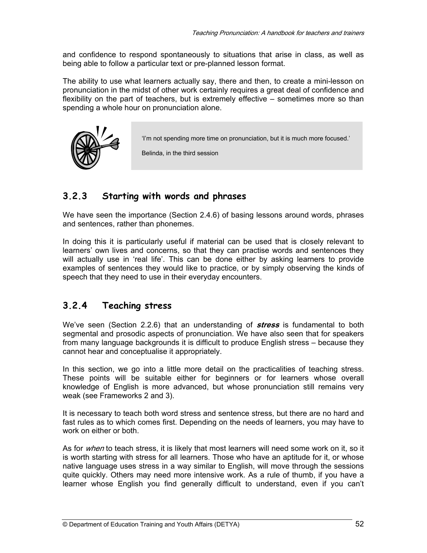and confidence to respond spontaneously to situations that arise in class, as well as being able to follow a particular text or pre-planned lesson format.

The ability to use what learners actually say, there and then, to create a mini-lesson on pronunciation in the midst of other work certainly requires a great deal of confidence and flexibility on the part of teachers, but is extremely effective – sometimes more so than spending a whole hour on pronunciation alone.



Belinda, in the third session

### **3.2.3 Starting with words and phrases**

We have seen the importance (Section 2.4.6) of basing lessons around words, phrases and sentences, rather than phonemes.

In doing this it is particularly useful if material can be used that is closely relevant to learners' own lives and concerns, so that they can practise words and sentences they will actually use in 'real life'. This can be done either by asking learners to provide examples of sentences they would like to practice, or by simply observing the kinds of speech that they need to use in their everyday encounters.

### **3.2.4 Teaching stress**

We've seen (Section 2.2.6) that an understanding of **stress** is fundamental to both segmental and prosodic aspects of pronunciation. We have also seen that for speakers from many language backgrounds it is difficult to produce English stress – because they cannot hear and conceptualise it appropriately.

In this section, we go into a little more detail on the practicalities of teaching stress. These points will be suitable either for beginners or for learners whose overall knowledge of English is more advanced, but whose pronunciation still remains very weak (see Frameworks 2 and 3).

It is necessary to teach both word stress and sentence stress, but there are no hard and fast rules as to which comes first. Depending on the needs of learners, you may have to work on either or both.

As for when to teach stress, it is likely that most learners will need some work on it, so it is worth starting with stress for all learners. Those who have an aptitude for it, or whose native language uses stress in a way similar to English, will move through the sessions quite quickly. Others may need more intensive work. As a rule of thumb, if you have a learner whose English you find generally difficult to understand, even if you can't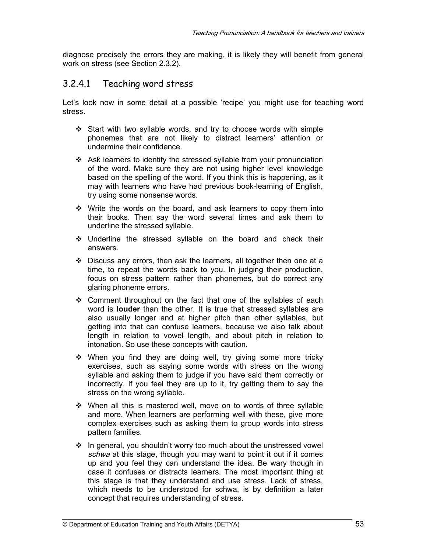diagnose precisely the errors they are making, it is likely they will benefit from general work on stress (see Section 2.3.2).

#### 3.2.4.1 Teaching word stress

Let's look now in some detail at a possible 'recipe' you might use for teaching word stress.

- Start with two syllable words, and try to choose words with simple phonemes that are not likely to distract learners' attention or undermine their confidence.
- Ask learners to identify the stressed syllable from your pronunciation of the word. Make sure they are not using higher level knowledge based on the spelling of the word. If you think this is happening, as it may with learners who have had previous book-learning of English, try using some nonsense words.
- Write the words on the board, and ask learners to copy them into their books. Then say the word several times and ask them to underline the stressed syllable.
- Underline the stressed syllable on the board and check their answers.
- Discuss any errors, then ask the learners, all together then one at a time, to repeat the words back to you. In judging their production, focus on stress pattern rather than phonemes, but do correct any glaring phoneme errors.
- Comment throughout on the fact that one of the syllables of each word is **louder** than the other. It is true that stressed syllables are also usually longer and at higher pitch than other syllables, but getting into that can confuse learners, because we also talk about length in relation to vowel length, and about pitch in relation to intonation. So use these concepts with caution.
- When you find they are doing well, try giving some more tricky exercises, such as saying some words with stress on the wrong syllable and asking them to judge if you have said them correctly or incorrectly. If you feel they are up to it, try getting them to say the stress on the wrong syllable.
- When all this is mastered well, move on to words of three syllable and more. When learners are performing well with these, give more complex exercises such as asking them to group words into stress pattern families.
- $\cdot$  In general, you shouldn't worry too much about the unstressed vowel schwa at this stage, though you may want to point it out if it comes up and you feel they can understand the idea. Be wary though in case it confuses or distracts learners. The most important thing at this stage is that they understand and use stress. Lack of stress, which needs to be understood for schwa, is by definition a later concept that requires understanding of stress.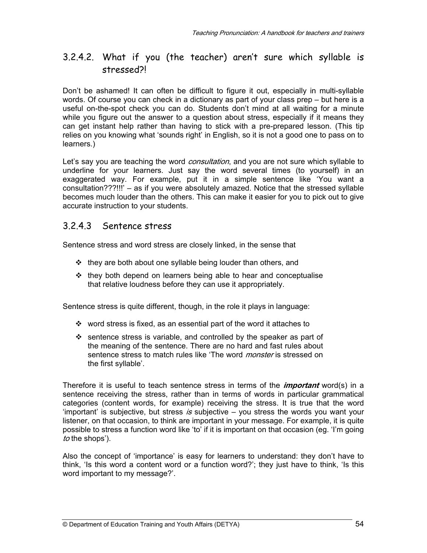### 3.2.4.2. What if you (the teacher) aren't sure which syllable is stressed?!

Don't be ashamed! It can often be difficult to figure it out, especially in multi-syllable words. Of course you can check in a dictionary as part of your class prep – but here is a useful on-the-spot check you can do. Students don't mind at all waiting for a minute while you figure out the answer to a question about stress, especially if it means they can get instant help rather than having to stick with a pre-prepared lesson. (This tip relies on you knowing what 'sounds right' in English, so it is not a good one to pass on to learners.)

Let's say you are teaching the word *consultation*, and you are not sure which syllable to underline for your learners. Just say the word several times (to yourself) in an exaggerated way. For example, put it in a simple sentence like 'You want a consultation???!!!' – as if you were absolutely amazed. Notice that the stressed syllable becomes much louder than the others. This can make it easier for you to pick out to give accurate instruction to your students.

#### 3.2.4.3 Sentence stress

Sentence stress and word stress are closely linked, in the sense that

- $\cdot \cdot$  they are both about one syllable being louder than others, and
- $\div$  they both depend on learners being able to hear and conceptualise that relative loudness before they can use it appropriately.

Sentence stress is quite different, though, in the role it plays in language:

- $\cdot$  word stress is fixed, as an essential part of the word it attaches to
- $\div$  sentence stress is variable, and controlled by the speaker as part of the meaning of the sentence. There are no hard and fast rules about sentence stress to match rules like 'The word *monster* is stressed on the first syllable'.

Therefore it is useful to teach sentence stress in terms of the **important** word(s) in a sentence receiving the stress, rather than in terms of words in particular grammatical categories (content words, for example) receiving the stress. It is true that the word 'important' is subjective, but stress is subjective  $-$  you stress the words you want your listener, on that occasion, to think are important in your message. For example, it is quite possible to stress a function word like 'to' if it is important on that occasion (eg. 'I'm going to the shops').

Also the concept of 'importance' is easy for learners to understand: they don't have to think, 'Is this word a content word or a function word?'; they just have to think, 'Is this word important to my message?'.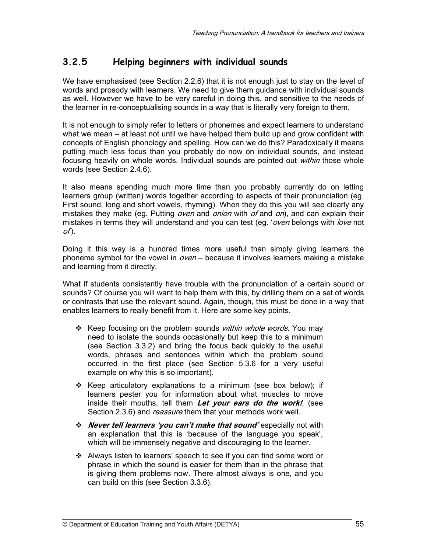### **3.2.5 Helping beginners with individual sounds**

We have emphasised (see Section 2.2.6) that it is not enough just to stay on the level of words and prosody with learners. We need to give them guidance with individual sounds as well. However we have to be very careful in doing this, and sensitive to the needs of the learner in re-conceptualising sounds in a way that is literally very foreign to them.

It is not enough to simply refer to letters or phonemes and expect learners to understand what we mean – at least not until we have helped them build up and grow confident with concepts of English phonology and spelling. How can we do this? Paradoxically it means putting much less focus than you probably do now on individual sounds, and instead focusing heavily on whole words. Individual sounds are pointed out *within* those whole words (see Section 2.4.6).

It also means spending much more time than you probably currently do on letting learners group (written) words together according to aspects of their pronunciation (eg. First sound, long and short vowels, rhyming). When they do this you will see clearly any mistakes they make (eg. Putting *oven* and *onion* with  $of$  and  $on$ ), and can explain their mistakes in terms they will understand and you can test (eg. 'oven belongs with love not  $of)$ .

Doing it this way is a hundred times more useful than simply giving learners the phoneme symbol for the vowel in  $oven -$  because it involves learners making a mistake and learning from it directly.

What if students consistently have trouble with the pronunciation of a certain sound or sounds? Of course you will want to help them with this, by drilling them on a set of words or contrasts that use the relevant sound. Again, though, this must be done in a way that enables learners to really benefit from it. Here are some key points.

- **EXECT** FOCUST FORM STATED SOUNDER WITHING WORDSTAND WAS RESPONDENTED A KNOW THE MOVING WARD SO KNOW THING WAS NOT THING WAS NOT THING WAS NOT THING WAS NOT THING WAS NOT THING WAS NOT THING WAS NOT THING WAS NOT THING WA need to isolate the sounds occasionally but keep this to a minimum (see Section 3.3.2) and bring the focus back quickly to the useful words, phrases and sentences within which the problem sound occurred in the first place (see Section 5.3.6 for a very useful example on why this is so important).
- $\div$  Keep articulatory explanations to a minimum (see box below); if learners pester you for information about what muscles to move inside their mouths, tell them **Let your ears do the work!**, (see Section 2.3.6) and *reassure* them that your methods work well.
- **Never tell learners 'you can't make that sound'** especially not with an explanation that this is 'because of the language you speak', which will be immensely negative and discouraging to the learner.
- Always listen to learners' speech to see if you can find some word or phrase in which the sound is easier for them than in the phrase that is giving them problems now. There almost always is one, and you can build on this (see Section 3.3.6).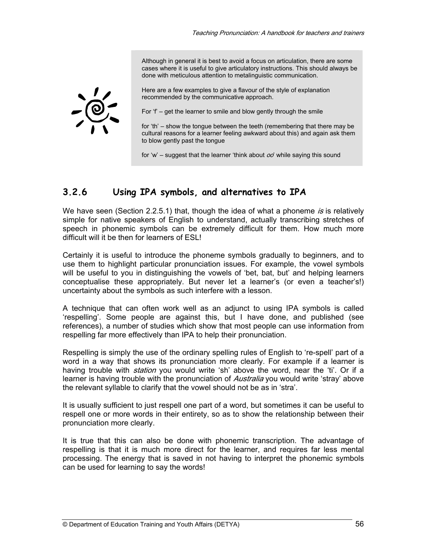Although in general it is best to avoid a focus on articulation, there are some cases where it is useful to give articulatory instructions. This should always be done with meticulous attention to metalinguistic communication.

Here are a few examples to give a flavour of the style of explanation recommended by the communicative approach.

For  $f'$  – get the learner to smile and blow gently through the smile

for 'th' – show the tongue between the teeth (remembering that there may be cultural reasons for a learner feeling awkward about this) and again ask them to blow gently past the tongue

for 'w' – suggest that the learner 'think about  $oo'$  while saying this sound

### **3.2.6 Using IPA symbols, and alternatives to IPA**

We have seen (Section 2.2.5.1) that, though the idea of what a phoneme is is relatively simple for native speakers of English to understand, actually transcribing stretches of speech in phonemic symbols can be extremely difficult for them. How much more difficult will it be then for learners of ESL!

Certainly it is useful to introduce the phoneme symbols gradually to beginners, and to use them to highlight particular pronunciation issues. For example, the vowel symbols will be useful to you in distinguishing the vowels of 'bet, bat, but' and helping learners conceptualise these appropriately. But never let a learner's (or even a teacher's!) uncertainty about the symbols as such interfere with a lesson.

A technique that can often work well as an adjunct to using IPA symbols is called 'respelling'. Some people are against this, but I have done, and published (see references), a number of studies which show that most people can use information from respelling far more effectively than IPA to help their pronunciation.

Respelling is simply the use of the ordinary spelling rules of English to 're-spell' part of a word in a way that shows its pronunciation more clearly. For example if a learner is having trouble with *station* you would write 'sh' above the word, near the 'ti'. Or if a learner is having trouble with the pronunciation of *Australia* you would write 'stray' above the relevant syllable to clarify that the vowel should not be as in 'stra'.

It is usually sufficient to just respell one part of a word, but sometimes it can be useful to respell one or more words in their entirety, so as to show the relationship between their pronunciation more clearly.

It is true that this can also be done with phonemic transcription. The advantage of respelling is that it is much more direct for the learner, and requires far less mental processing. The energy that is saved in not having to interpret the phonemic symbols can be used for learning to say the words!

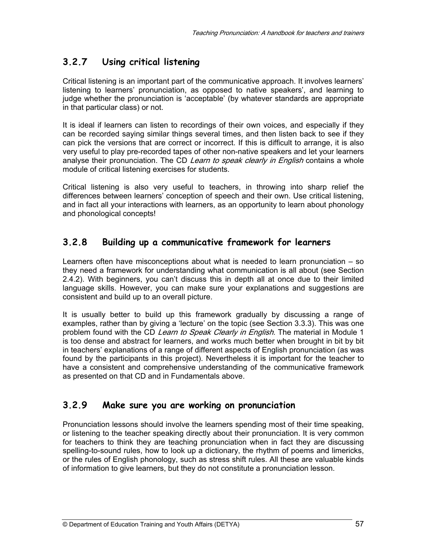# **3.2.7 Using critical listening**

Critical listening is an important part of the communicative approach. It involves learners' listening to learners' pronunciation, as opposed to native speakers', and learning to judge whether the pronunciation is 'acceptable' (by whatever standards are appropriate in that particular class) or not.

It is ideal if learners can listen to recordings of their own voices, and especially if they can be recorded saying similar things several times, and then listen back to see if they can pick the versions that are correct or incorrect. If this is difficult to arrange, it is also very useful to play pre-recorded tapes of other non-native speakers and let your learners analyse their pronunciation. The CD Learn to speak clearly in English contains a whole module of critical listening exercises for students.

Critical listening is also very useful to teachers, in throwing into sharp relief the differences between learners' conception of speech and their own. Use critical listening, and in fact all your interactions with learners, as an opportunity to learn about phonology and phonological concepts!

### **3.2.8 Building up a communicative framework for learners**

Learners often have misconceptions about what is needed to learn pronunciation – so they need a framework for understanding what communication is all about (see Section 2.4.2). With beginners, you can't discuss this in depth all at once due to their limited language skills. However, you can make sure your explanations and suggestions are consistent and build up to an overall picture.

It is usually better to build up this framework gradually by discussing a range of examples, rather than by giving a 'lecture' on the topic (see Section 3.3.3). This was one problem found with the CD Learn to Speak Clearly in English. The material in Module 1 is too dense and abstract for learners, and works much better when brought in bit by bit in teachers' explanations of a range of different aspects of English pronunciation (as was found by the participants in this project). Nevertheless it is important for the teacher to have a consistent and comprehensive understanding of the communicative framework as presented on that CD and in Fundamentals above.

### **3.2.9 Make sure you are working on pronunciation**

Pronunciation lessons should involve the learners spending most of their time speaking, or listening to the teacher speaking directly about their pronunciation. It is very common for teachers to think they are teaching pronunciation when in fact they are discussing spelling-to-sound rules, how to look up a dictionary, the rhythm of poems and limericks, or the rules of English phonology, such as stress shift rules. All these are valuable kinds of information to give learners, but they do not constitute a pronunciation lesson.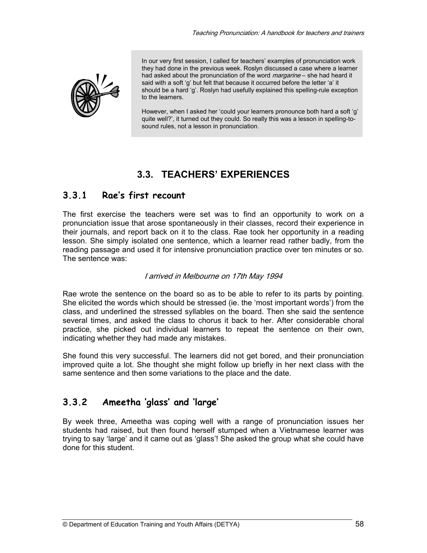

In our very first session, I called for teachers' examples of pronunciation work they had done in the previous week. Roslyn discussed a case where a learner had asked about the pronunciation of the word *margarine* – she had heard it said with a soft 'g' but felt that because it occurred before the letter 'a' it should be a hard 'g'. Roslyn had usefully explained this spelling-rule exception to the learners.

However, when I asked her 'could your learners pronounce both hard a soft 'g' quite well?', it turned out they could. So really this was a lesson in spelling-tosound rules, not a lesson in pronunciation.

# **3.3. TEACHERS' EXPERIENCES**

### **3.3.1 Rae's first recount**

The first exercise the teachers were set was to find an opportunity to work on a pronunciation issue that arose spontaneously in their classes, record their experience in their journals, and report back on it to the class. Rae took her opportunity in a reading lesson. She simply isolated one sentence, which a learner read rather badly, from the reading passage and used it for intensive pronunciation practice over ten minutes or so. The sentence was:

#### I arrived in Melbourne on 17th May 1994

Rae wrote the sentence on the board so as to be able to refer to its parts by pointing. She elicited the words which should be stressed (ie. the 'most important words') from the class, and underlined the stressed syllables on the board. Then she said the sentence several times, and asked the class to chorus it back to her. After considerable choral practice, she picked out individual learners to repeat the sentence on their own, indicating whether they had made any mistakes.

She found this very successful. The learners did not get bored, and their pronunciation improved quite a lot. She thought she might follow up briefly in her next class with the same sentence and then some variations to the place and the date.

### **3.3.2 Ameetha 'glass' and 'large'**

By week three, Ameetha was coping well with a range of pronunciation issues her students had raised, but then found herself stumped when a Vietnamese learner was trying to say 'large' and it came out as 'glass'! She asked the group what she could have done for this student.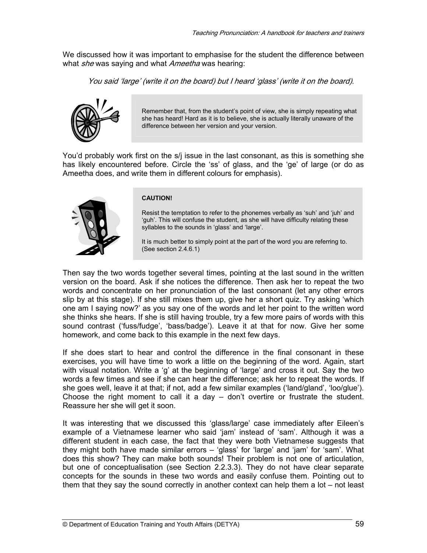We discussed how it was important to emphasise for the student the difference between what she was saying and what Ameetha was hearing:

You said 'large' (write it on the board) but I heard 'glass' (write it on the board).



Remember that, from the student's point of view, she is simply repeating what she has heard! Hard as it is to believe, she is actually literally unaware of the difference between her version and your version.

You'd probably work first on the s/j issue in the last consonant, as this is something she has likely encountered before. Circle the 'ss' of glass, and the 'ge' of large (or do as Ameetha does, and write them in different colours for emphasis).



#### **CAUTION!**

Resist the temptation to refer to the phonemes verbally as 'suh' and 'juh' and 'guh'. This will confuse the student, as she will have difficulty relating these syllables to the sounds in 'glass' and 'large'.

It is much better to simply point at the part of the word you are referring to. (See section 2.4.6.1)

Then say the two words together several times, pointing at the last sound in the written version on the board. Ask if she notices the difference. Then ask her to repeat the two words and concentrate on her pronunciation of the last consonant (let any other errors slip by at this stage). If she still mixes them up, give her a short quiz. Try asking 'which one am I saying now?' as you say one of the words and let her point to the written word she thinks she hears. If she is still having trouble, try a few more pairs of words with this sound contrast ('fuss/fudge', 'bass/badge'). Leave it at that for now. Give her some homework, and come back to this example in the next few days.

If she does start to hear and control the difference in the final consonant in these exercises, you will have time to work a little on the beginning of the word. Again, start with visual notation. Write a 'g' at the beginning of 'large' and cross it out. Say the two words a few times and see if she can hear the difference; ask her to repeat the words. If she goes well, leave it at that; if not, add a few similar examples ('land/gland', 'loo/glue'). Choose the right moment to call it a day  $-$  don't overtire or frustrate the student. Reassure her she will get it soon.

It was interesting that we discussed this 'glass/large' case immediately after Eileen's example of a Vietnamese learner who said 'jam' instead of 'sam'. Although it was a different student in each case, the fact that they were both Vietnamese suggests that they might both have made similar errors – 'glass' for 'large' and 'jam' for 'sam'. What does this show? They can make both sounds! Their problem is not one of articulation, but one of conceptualisation (see Section 2.2.3.3). They do not have clear separate concepts for the sounds in these two words and easily confuse them. Pointing out to them that they say the sound correctly in another context can help them a lot – not least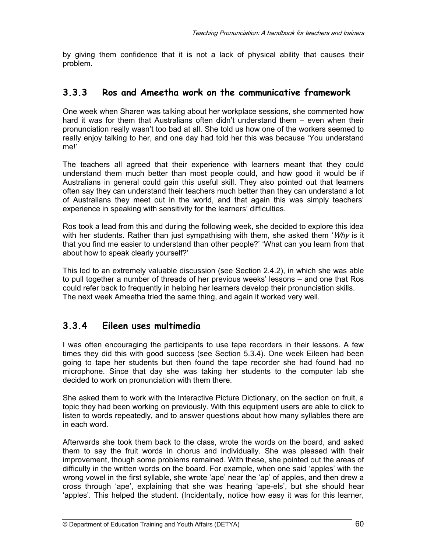by giving them confidence that it is not a lack of physical ability that causes their problem.

### **3.3.3 Ros and Ameetha work on the communicative framework**

One week when Sharen was talking about her workplace sessions, she commented how hard it was for them that Australians often didn't understand them – even when their pronunciation really wasn't too bad at all. She told us how one of the workers seemed to really enjoy talking to her, and one day had told her this was because 'You understand me!'

The teachers all agreed that their experience with learners meant that they could understand them much better than most people could, and how good it would be if Australians in general could gain this useful skill. They also pointed out that learners often say they can understand their teachers much better than they can understand a lot of Australians they meet out in the world, and that again this was simply teachers' experience in speaking with sensitivity for the learners' difficulties.

Ros took a lead from this and during the following week, she decided to explore this idea with her students. Rather than just sympathising with them, she asked them 'Why is it that you find me easier to understand than other people?' 'What can you learn from that about how to speak clearly yourself?'

This led to an extremely valuable discussion (see Section 2.4.2), in which she was able to pull together a number of threads of her previous weeks' lessons – and one that Ros could refer back to frequently in helping her learners develop their pronunciation skills. The next week Ameetha tried the same thing, and again it worked very well.

### **3.3.4 Eileen uses multimedia**

I was often encouraging the participants to use tape recorders in their lessons. A few times they did this with good success (see Section 5.3.4). One week Eileen had been going to tape her students but then found the tape recorder she had found had no microphone. Since that day she was taking her students to the computer lab she decided to work on pronunciation with them there.

She asked them to work with the Interactive Picture Dictionary, on the section on fruit, a topic they had been working on previously. With this equipment users are able to click to listen to words repeatedly, and to answer questions about how many syllables there are in each word.

Afterwards she took them back to the class, wrote the words on the board, and asked them to say the fruit words in chorus and individually. She was pleased with their improvement, though some problems remained. With these, she pointed out the areas of difficulty in the written words on the board. For example, when one said 'apples' with the wrong vowel in the first syllable, she wrote 'ape' near the 'ap' of apples, and then drew a cross through 'ape', explaining that she was hearing 'ape-els', but she should hear 'apples'. This helped the student. (Incidentally, notice how easy it was for this learner,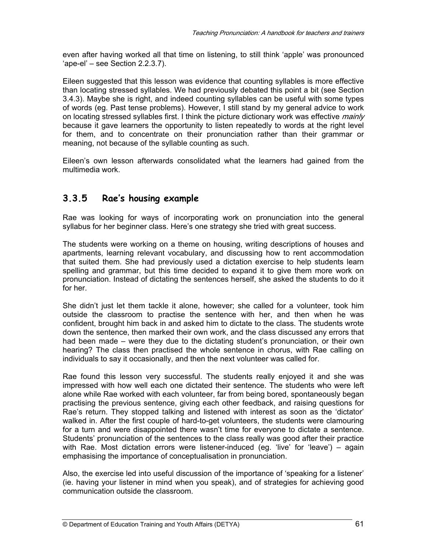even after having worked all that time on listening, to still think 'apple' was pronounced 'ape-el' – see Section 2.2.3.7).

Eileen suggested that this lesson was evidence that counting syllables is more effective than locating stressed syllables. We had previously debated this point a bit (see Section 3.4.3). Maybe she is right, and indeed counting syllables can be useful with some types of words (eg. Past tense problems). However, I still stand by my general advice to work on locating stressed syllables first. I think the picture dictionary work was effective *mainly* because it gave learners the opportunity to listen repeatedly to words at the right level for them, and to concentrate on their pronunciation rather than their grammar or meaning, not because of the syllable counting as such.

Eileen's own lesson afterwards consolidated what the learners had gained from the multimedia work.

### **3.3.5 Rae's housing example**

Rae was looking for ways of incorporating work on pronunciation into the general syllabus for her beginner class. Here's one strategy she tried with great success.

The students were working on a theme on housing, writing descriptions of houses and apartments, learning relevant vocabulary, and discussing how to rent accommodation that suited them. She had previously used a dictation exercise to help students learn spelling and grammar, but this time decided to expand it to give them more work on pronunciation. Instead of dictating the sentences herself, she asked the students to do it for her.

She didn't just let them tackle it alone, however; she called for a volunteer, took him outside the classroom to practise the sentence with her, and then when he was confident, brought him back in and asked him to dictate to the class. The students wrote down the sentence, then marked their own work, and the class discussed any errors that had been made – were they due to the dictating student's pronunciation, or their own hearing? The class then practised the whole sentence in chorus, with Rae calling on individuals to say it occasionally, and then the next volunteer was called for.

Rae found this lesson very successful. The students really enjoyed it and she was impressed with how well each one dictated their sentence. The students who were left alone while Rae worked with each volunteer, far from being bored, spontaneously began practising the previous sentence, giving each other feedback, and raising questions for Rae's return. They stopped talking and listened with interest as soon as the 'dictator' walked in. After the first couple of hard-to-get volunteers, the students were clamouring for a turn and were disappointed there wasn't time for everyone to dictate a sentence. Students' pronunciation of the sentences to the class really was good after their practice with Rae. Most dictation errors were listener-induced (eg. 'live' for 'leave') – again emphasising the importance of conceptualisation in pronunciation.

Also, the exercise led into useful discussion of the importance of 'speaking for a listener' (ie. having your listener in mind when you speak), and of strategies for achieving good communication outside the classroom.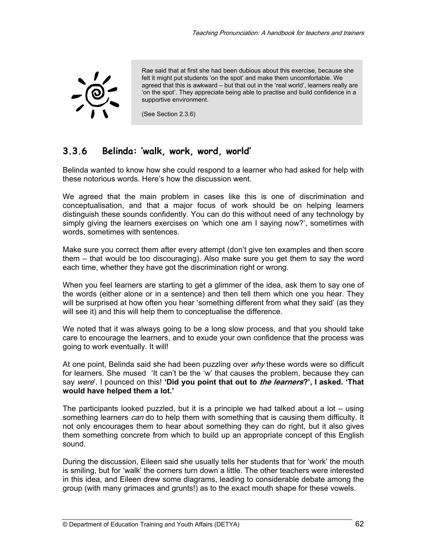

Rae said that at first she had been dubious about this exercise, because she felt it might put students 'on the spot' and make them uncomfortable. We agreed that this is awkward – but that out in the 'real world', learners really are 'on the spot'. They appreciate being able to practise and build confidence in a supportive environment.

(See Section 2.3.6)

### **3.3.6 Belinda: 'walk, work, word, world'**

Belinda wanted to know how she could respond to a learner who had asked for help with these notorious words. Here's how the discussion went.

We agreed that the main problem in cases like this is one of discrimination and conceptualisation, and that a major focus of work should be on helping learners distinguish these sounds confidently. You can do this without need of any technology by simply giving the learners exercises on 'which one am I saying now?', sometimes with words, sometimes with sentences.

Make sure you correct them after every attempt (don't give ten examples and then score them – that would be too discouraging). Also make sure you get them to say the word each time, whether they have got the discrimination right or wrong.

When you feel learners are starting to get a glimmer of the idea, ask them to say one of the words (either alone or in a sentence) and then tell them which one you hear. They will be surprised at how often you hear 'something different from what they said' (as they will see it) and this will help them to conceptualise the difference.

We noted that it was always going to be a long slow process, and that you should take care to encourage the learners, and to exude your own confidence that the process was going to work eventually. It will!

At one point, Belinda said she had been puzzling over  $why$  these words were so difficult for learners. She mused 'It can't be the 'w' that causes the problem, because they can say were'. I pounced on this! **'Did you point that out to the learners?', I asked. 'That would have helped them a lot.'** 

The participants looked puzzled, but it is a principle we had talked about a lot – using something learners can do to help them with something that is causing them difficulty. It not only encourages them to hear about something they can do right, but it also gives them something concrete from which to build up an appropriate concept of this English sound.

During the discussion, Eileen said she usually tells her students that for 'work' the mouth is smiling, but for 'walk' the corners turn down a little. The other teachers were interested in this idea, and Eileen drew some diagrams, leading to considerable debate among the group (with many grimaces and grunts!) as to the exact mouth shape for these vowels.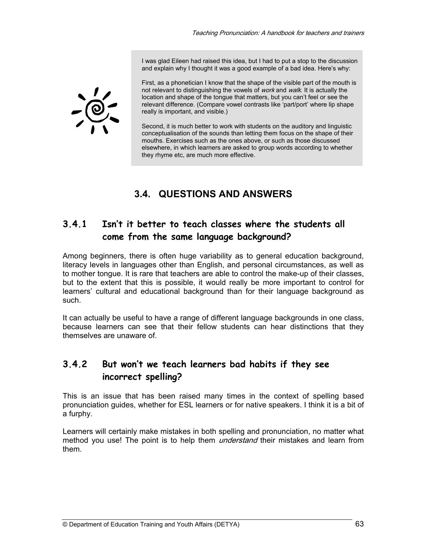I was glad Eileen had raised this idea, but I had to put a stop to the discussion and explain why I thought it was a good example of a bad idea. Here's why:



First, as a phonetician I know that the shape of the visible part of the mouth is not relevant to distinguishing the vowels of work and walk. It is actually the location and shape of the tongue that matters, but you can't feel or see the relevant difference. (Compare vowel contrasts like 'part/port' where lip shape really is important, and visible.)

Second, it is much better to work with students on the auditory and linguistic conceptualisation of the sounds than letting them focus on the shape of their mouths. Exercises such as the ones above, or such as those discussed elsewhere, in which learners are asked to group words according to whether they rhyme etc, are much more effective.

# **3.4. QUESTIONS AND ANSWERS**

### **3.4.1 Isn't it better to teach classes where the students all come from the same language background?**

Among beginners, there is often huge variability as to general education background, literacy levels in languages other than English, and personal circumstances, as well as to mother tongue. It is rare that teachers are able to control the make-up of their classes, but to the extent that this is possible, it would really be more important to control for learners' cultural and educational background than for their language background as such.

It can actually be useful to have a range of different language backgrounds in one class, because learners can see that their fellow students can hear distinctions that they themselves are unaware of.

### **3.4.2 But won't we teach learners bad habits if they see incorrect spelling?**

This is an issue that has been raised many times in the context of spelling based pronunciation guides, whether for ESL learners or for native speakers. I think it is a bit of a furphy.

Learners will certainly make mistakes in both spelling and pronunciation, no matter what method you use! The point is to help them *understand* their mistakes and learn from them.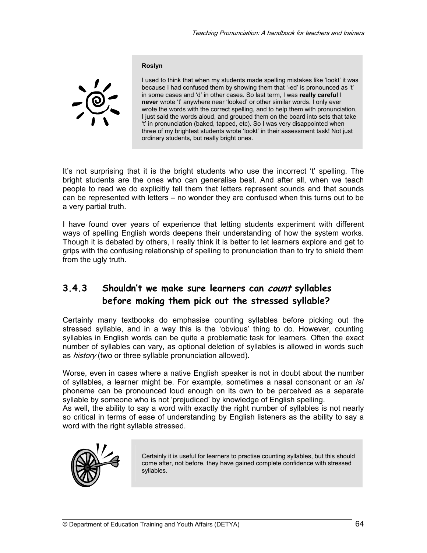#### **Roslyn**



I used to think that when my students made spelling mistakes like 'lookt' it was because I had confused them by showing them that '-ed' is pronounced as 't' in some cases and 'd' in other cases. So last term, I was **really careful** I **never** wrote 't' anywhere near 'looked' or other similar words. I only ever wrote the words with the correct spelling, and to help them with pronunciation, I just said the words aloud, and grouped them on the board into sets that take 't' in pronunciation (baked, tapped, etc). So I was very disappointed when three of my brightest students wrote 'lookt' in their assessment task! Not just ordinary students, but really bright ones.

It's not surprising that it is the bright students who use the incorrect 't' spelling. The bright students are the ones who can generalise best. And after all, when we teach people to read we do explicitly tell them that letters represent sounds and that sounds can be represented with letters – no wonder they are confused when this turns out to be a very partial truth.

I have found over years of experience that letting students experiment with different ways of spelling English words deepens their understanding of how the system works. Though it is debated by others, I really think it is better to let learners explore and get to grips with the confusing relationship of spelling to pronunciation than to try to shield them from the ugly truth.

### **3.4.3 Shouldn't we make sure learners can count syllables before making them pick out the stressed syllable?**

Certainly many textbooks do emphasise counting syllables before picking out the stressed syllable, and in a way this is the 'obvious' thing to do. However, counting syllables in English words can be quite a problematic task for learners. Often the exact number of syllables can vary, as optional deletion of syllables is allowed in words such as *history* (two or three syllable pronunciation allowed).

Worse, even in cases where a native English speaker is not in doubt about the number of syllables, a learner might be. For example, sometimes a nasal consonant or an /s/ phoneme can be pronounced loud enough on its own to be perceived as a separate syllable by someone who is not 'prejudiced' by knowledge of English spelling.

As well, the ability to say a word with exactly the right number of syllables is not nearly so critical in terms of ease of understanding by English listeners as the ability to say a word with the right syllable stressed.



Certainly it is useful for learners to practise counting syllables, but this should come after, not before, they have gained complete confidence with stressed syllables.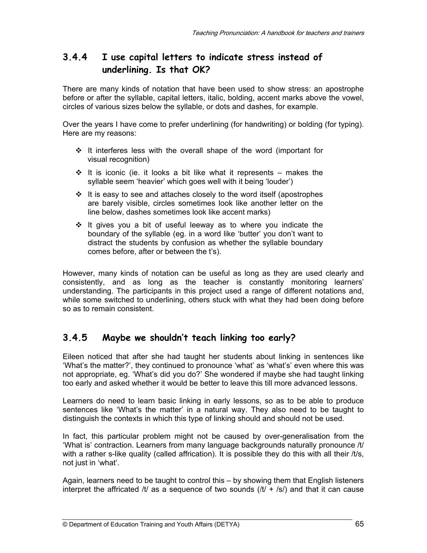### **3.4.4 I use capital letters to indicate stress instead of underlining. Is that OK?**

There are many kinds of notation that have been used to show stress: an apostrophe before or after the syllable, capital letters, italic, bolding, accent marks above the vowel, circles of various sizes below the syllable, or dots and dashes, for example.

Over the years I have come to prefer underlining (for handwriting) or bolding (for typing). Here are my reasons:

- $\div$  It interferes less with the overall shape of the word (important for visual recognition)
- $\div$  It is iconic (ie. it looks a bit like what it represents makes the syllable seem 'heavier' which goes well with it being 'louder')
- It is easy to see and attaches closely to the word itself (apostrophes are barely visible, circles sometimes look like another letter on the line below, dashes sometimes look like accent marks)
- $\cdot \cdot$  It gives you a bit of useful leeway as to where you indicate the boundary of the syllable (eg. in a word like 'butter' you don't want to distract the students by confusion as whether the syllable boundary comes before, after or between the t's).

However, many kinds of notation can be useful as long as they are used clearly and consistently, and as long as the teacher is constantly monitoring learners' understanding. The participants in this project used a range of different notations and, while some switched to underlining, others stuck with what they had been doing before so as to remain consistent.

### **3.4.5 Maybe we shouldn't teach linking too early?**

Eileen noticed that after she had taught her students about linking in sentences like 'What's the matter?', they continued to pronounce 'what' as 'what's' even where this was not appropriate, eg. 'What's did you do?' She wondered if maybe she had taught linking too early and asked whether it would be better to leave this till more advanced lessons.

Learners do need to learn basic linking in early lessons, so as to be able to produce sentences like 'What's the matter' in a natural way. They also need to be taught to distinguish the contexts in which this type of linking should and should not be used.

In fact, this particular problem might not be caused by over-generalisation from the 'What is' contraction. Learners from many language backgrounds naturally pronounce /t/ with a rather s-like quality (called affrication). It is possible they do this with all their /t/s, not just in 'what'.

Again, learners need to be taught to control this – by showing them that English listeners interpret the affricated /t/ as a sequence of two sounds  $/(t + \sqrt{s})$  and that it can cause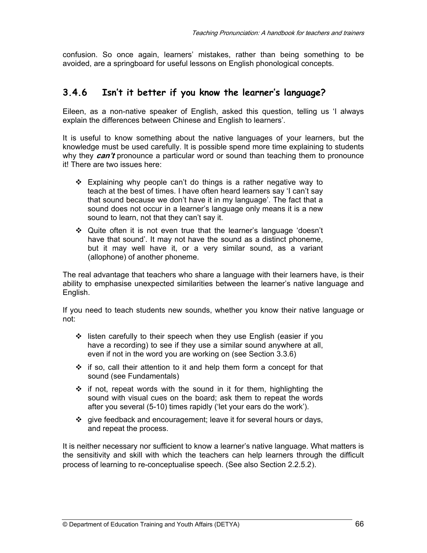confusion. So once again, learners' mistakes, rather than being something to be avoided, are a springboard for useful lessons on English phonological concepts.

### **3.4.6 Isn't it better if you know the learner's language?**

Eileen, as a non-native speaker of English, asked this question, telling us 'I always explain the differences between Chinese and English to learners'.

It is useful to know something about the native languages of your learners, but the knowledge must be used carefully. It is possible spend more time explaining to students why they **can't** pronounce a particular word or sound than teaching them to pronounce it! There are two issues here:

- $\div$  Explaining why people can't do things is a rather negative way to teach at the best of times. I have often heard learners say 'I can't say that sound because we don't have it in my language'. The fact that a sound does not occur in a learner's language only means it is a new sound to learn, not that they can't say it.
- Quite often it is not even true that the learner's language 'doesn't have that sound'. It may not have the sound as a distinct phoneme, but it may well have it, or a very similar sound, as a variant (allophone) of another phoneme.

The real advantage that teachers who share a language with their learners have, is their ability to emphasise unexpected similarities between the learner's native language and English.

If you need to teach students new sounds, whether you know their native language or not:

- $\div$  listen carefully to their speech when they use English (easier if you have a recording) to see if they use a similar sound anywhere at all, even if not in the word you are working on (see Section 3.3.6)
- $\div$  if so, call their attention to it and help them form a concept for that sound (see Fundamentals)
- $\div$  if not, repeat words with the sound in it for them, highlighting the sound with visual cues on the board; ask them to repeat the words after you several (5-10) times rapidly ('let your ears do the work').
- $\div$  give feedback and encouragement; leave it for several hours or days, and repeat the process.

It is neither necessary nor sufficient to know a learner's native language. What matters is the sensitivity and skill with which the teachers can help learners through the difficult process of learning to re-conceptualise speech. (See also Section 2.2.5.2).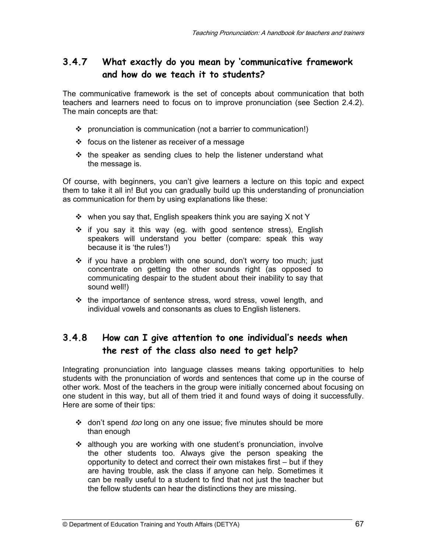### **3.4.7 What exactly do you mean by 'communicative framework and how do we teach it to students?**

The communicative framework is the set of concepts about communication that both teachers and learners need to focus on to improve pronunciation (see Section 2.4.2). The main concepts are that:

- $\div$  pronunciation is communication (not a barrier to communication!)
- $\div$  focus on the listener as receiver of a message
- $\div$  the speaker as sending clues to help the listener understand what the message is.

Of course, with beginners, you can't give learners a lecture on this topic and expect them to take it all in! But you can gradually build up this understanding of pronunciation as communication for them by using explanations like these:

- $\div$  when you say that, English speakers think you are saying X not Y
- $\div$  if you say it this way (eg. with good sentence stress), English speakers will understand you better (compare: speak this way because it is 'the rules'!)
- \* if you have a problem with one sound, don't worry too much; just concentrate on getting the other sounds right (as opposed to communicating despair to the student about their inability to say that sound well!)
- $\div$  the importance of sentence stress, word stress, vowel length, and individual vowels and consonants as clues to English listeners.

### **3.4.8 How can I give attention to one individual's needs when the rest of the class also need to get help?**

Integrating pronunciation into language classes means taking opportunities to help students with the pronunciation of words and sentences that come up in the course of other work. Most of the teachers in the group were initially concerned about focusing on one student in this way, but all of them tried it and found ways of doing it successfully. Here are some of their tips:

- ❖ don't spend *too* long on any one issue; five minutes should be more than enough
- although you are working with one student's pronunciation, involve the other students too. Always give the person speaking the opportunity to detect and correct their own mistakes first – but if they are having trouble, ask the class if anyone can help. Sometimes it can be really useful to a student to find that not just the teacher but the fellow students can hear the distinctions they are missing.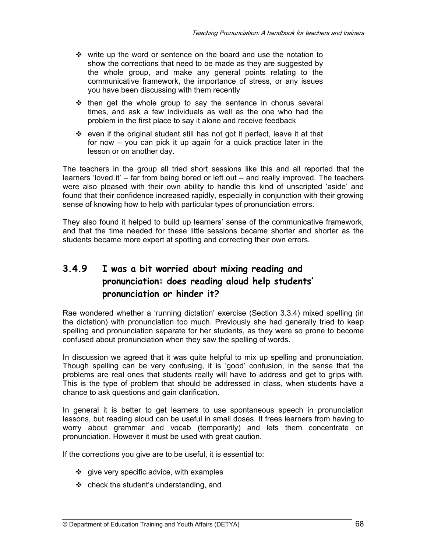- $\div$  write up the word or sentence on the board and use the notation to show the corrections that need to be made as they are suggested by the whole group, and make any general points relating to the communicative framework, the importance of stress, or any issues you have been discussing with them recently
- $\div$  then get the whole group to say the sentence in chorus several times, and ask a few individuals as well as the one who had the problem in the first place to say it alone and receive feedback
- $\div$  even if the original student still has not got it perfect, leave it at that for now – you can pick it up again for a quick practice later in the lesson or on another day.

The teachers in the group all tried short sessions like this and all reported that the learners 'loved it' – far from being bored or left out – and really improved. The teachers were also pleased with their own ability to handle this kind of unscripted 'aside' and found that their confidence increased rapidly, especially in conjunction with their growing sense of knowing how to help with particular types of pronunciation errors.

They also found it helped to build up learners' sense of the communicative framework, and that the time needed for these little sessions became shorter and shorter as the students became more expert at spotting and correcting their own errors.

### **3.4.9 I was a bit worried about mixing reading and pronunciation: does reading aloud help students' pronunciation or hinder it?**

Rae wondered whether a 'running dictation' exercise (Section 3.3.4) mixed spelling (in the dictation) with pronunciation too much. Previously she had generally tried to keep spelling and pronunciation separate for her students, as they were so prone to become confused about pronunciation when they saw the spelling of words.

In discussion we agreed that it was quite helpful to mix up spelling and pronunciation. Though spelling can be very confusing, it is 'good' confusion, in the sense that the problems are real ones that students really will have to address and get to grips with. This is the type of problem that should be addressed in class, when students have a chance to ask questions and gain clarification.

In general it is better to get learners to use spontaneous speech in pronunciation lessons, but reading aloud can be useful in small doses. It frees learners from having to worry about grammar and vocab (temporarily) and lets them concentrate on pronunciation. However it must be used with great caution.

If the corrections you give are to be useful, it is essential to:

- $\div$  give very specific advice, with examples
- $\div$  check the student's understanding, and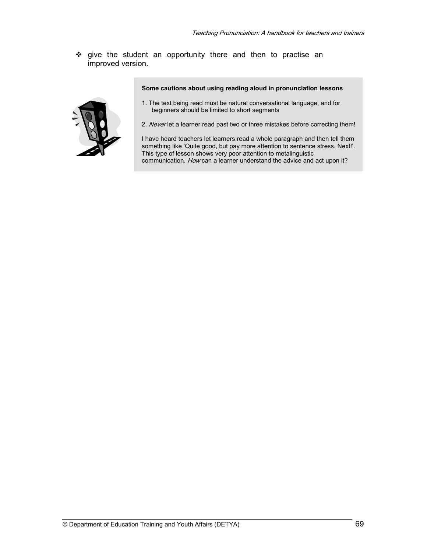give the student an opportunity there and then to practise an improved version.

**Some cautions about using reading aloud in pronunciation lessons** 



- 1. The text being read must be natural conversational language, and for beginners should be limited to short segments
- 2. Never let a learner read past two or three mistakes before correcting them!

I have heard teachers let learners read a whole paragraph and then tell them something like 'Quite good, but pay more attention to sentence stress. Next!'. This type of lesson shows very poor attention to metalinguistic communication. How can a learner understand the advice and act upon it?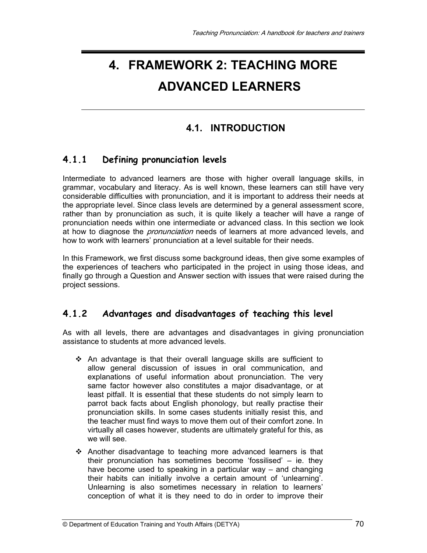# **4. FRAMEWORK 2: TEACHING MORE ADVANCED LEARNERS**

### **4.1. INTRODUCTION**

### **4.1.1 Defining pronunciation levels**

Intermediate to advanced learners are those with higher overall language skills, in grammar, vocabulary and literacy. As is well known, these learners can still have very considerable difficulties with pronunciation, and it is important to address their needs at the appropriate level. Since class levels are determined by a general assessment score, rather than by pronunciation as such, it is quite likely a teacher will have a range of pronunciation needs within one intermediate or advanced class. In this section we look at how to diagnose the *pronunciation* needs of learners at more advanced levels, and how to work with learners' pronunciation at a level suitable for their needs.

In this Framework, we first discuss some background ideas, then give some examples of the experiences of teachers who participated in the project in using those ideas, and finally go through a Question and Answer section with issues that were raised during the project sessions.

### **4.1.2 Advantages and disadvantages of teaching this level**

As with all levels, there are advantages and disadvantages in giving pronunciation assistance to students at more advanced levels.

- $\div$  An advantage is that their overall language skills are sufficient to allow general discussion of issues in oral communication, and explanations of useful information about pronunciation. The very same factor however also constitutes a major disadvantage, or at least pitfall. It is essential that these students do not simply learn to parrot back facts about English phonology, but really practise their pronunciation skills. In some cases students initially resist this, and the teacher must find ways to move them out of their comfort zone. In virtually all cases however, students are ultimately grateful for this, as we will see.
- $\div$  Another disadvantage to teaching more advanced learners is that their pronunciation has sometimes become 'fossilised' – ie. they have become used to speaking in a particular way – and changing their habits can initially involve a certain amount of 'unlearning'. Unlearning is also sometimes necessary in relation to learners' conception of what it is they need to do in order to improve their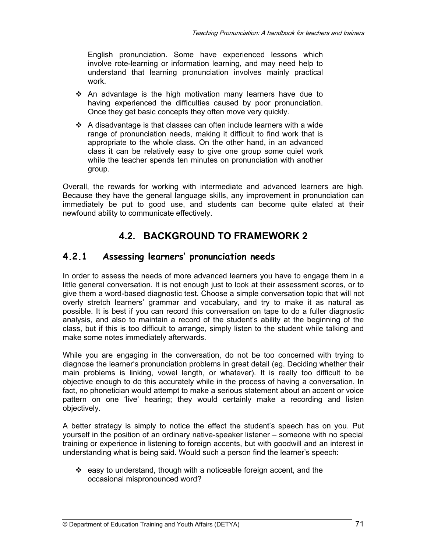English pronunciation. Some have experienced lessons which involve rote-learning or information learning, and may need help to understand that learning pronunciation involves mainly practical work.

- $\div$  An advantage is the high motivation many learners have due to having experienced the difficulties caused by poor pronunciation. Once they get basic concepts they often move very quickly.
- $\triangleleft$  A disadvantage is that classes can often include learners with a wide range of pronunciation needs, making it difficult to find work that is appropriate to the whole class. On the other hand, in an advanced class it can be relatively easy to give one group some quiet work while the teacher spends ten minutes on pronunciation with another group.

Overall, the rewards for working with intermediate and advanced learners are high. Because they have the general language skills, any improvement in pronunciation can immediately be put to good use, and students can become quite elated at their newfound ability to communicate effectively.

### **4.2. BACKGROUND TO FRAMEWORK 2**

#### **4.2.1 Assessing learners' pronunciation needs**

In order to assess the needs of more advanced learners you have to engage them in a little general conversation. It is not enough just to look at their assessment scores, or to give them a word-based diagnostic test. Choose a simple conversation topic that will not overly stretch learners' grammar and vocabulary, and try to make it as natural as possible. It is best if you can record this conversation on tape to do a fuller diagnostic analysis, and also to maintain a record of the student's ability at the beginning of the class, but if this is too difficult to arrange, simply listen to the student while talking and make some notes immediately afterwards.

While you are engaging in the conversation, do not be too concerned with trying to diagnose the learner's pronunciation problems in great detail (eg. Deciding whether their main problems is linking, vowel length, or whatever). It is really too difficult to be objective enough to do this accurately while in the process of having a conversation. In fact, no phonetician would attempt to make a serious statement about an accent or voice pattern on one 'live' hearing; they would certainly make a recording and listen objectively.

A better strategy is simply to notice the effect the student's speech has on you. Put yourself in the position of an ordinary native-speaker listener – someone with no special training or experience in listening to foreign accents, but with goodwill and an interest in understanding what is being said. Would such a person find the learner's speech:

 $\div$  easy to understand, though with a noticeable foreign accent, and the occasional mispronounced word?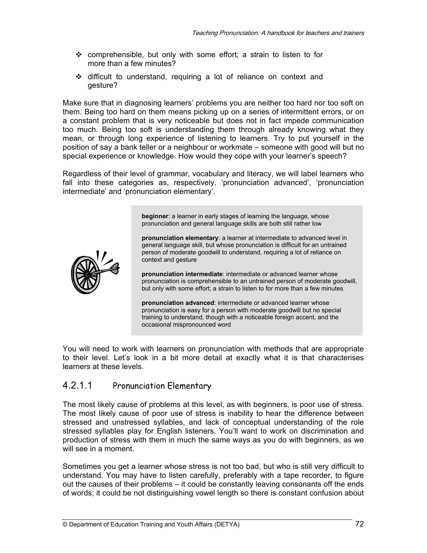- comprehensible, but only with some effort; a strain to listen to for more than a few minutes?
- difficult to understand, requiring a lot of reliance on context and gesture?

Make sure that in diagnosing learners' problems you are neither too hard nor too soft on them. Being too hard on them means picking up on a series of intermittent errors, or on a constant problem that is very noticeable but does not in fact impede communication too much. Being too soft is understanding them through already knowing what they mean, or through long experience of listening to learners. Try to put yourself in the position of say a bank teller or a neighbour or workmate – someone with good will but no special experience or knowledge. How would they cope with your learner's speech?

Regardless of their level of grammar, vocabulary and literacy, we will label learners who fall into these categories as, respectively, 'pronunciation advanced', 'pronunciation intermediate' and 'pronunciation elementary'.

> **beginner**: a learner in early stages of learning the language, whose pronunciation and general language skills are both still rather low

**pronunciation elementary**: a learner at intermediate to advanced level in general language skill, but whose pronunciation is difficult for an untrained person of moderate goodwill to understand, requiring a lot of reliance on context and gesture

**pronunciation intermediate**: intermediate or advanced learner whose pronunciation is comprehensible to an untrained person of moderate goodwill, but only with some effort; a strain to listen to for more than a few minutes

**pronunciation advanced**: intermediate or advanced learner whose pronunciation is easy for a person with moderate goodwill but no special training to understand, though with a noticeable foreign accent, and the occasional mispronounced word

You will need to work with learners on pronunciation with methods that are appropriate to their level. Let's look in a bit more detail at exactly what it is that characterises learners at these levels.

#### 4.2.1.1 Pronunciation Elementary

The most likely cause of problems at this level, as with beginners, is poor use of stress. The most likely cause of poor use of stress is inability to hear the difference between stressed and unstressed syllables, and lack of conceptual understanding of the role stressed syllables play for English listeners. You'll want to work on discrimination and production of stress with them in much the same ways as you do with beginners, as we will see in a moment.

Sometimes you get a learner whose stress is not too bad, but who is still very difficult to understand. You may have to listen carefully, preferably with a tape recorder, to figure out the causes of their problems – it could be constantly leaving consonants off the ends of words; it could be not distinguishing vowel length so there is constant confusion about

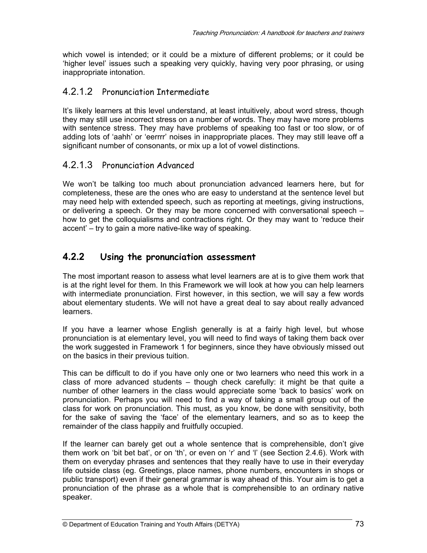which vowel is intended; or it could be a mixture of different problems; or it could be 'higher level' issues such a speaking very quickly, having very poor phrasing, or using inappropriate intonation.

#### 4.2.1.2 Pronunciation Intermediate

It's likely learners at this level understand, at least intuitively, about word stress, though they may still use incorrect stress on a number of words. They may have more problems with sentence stress. They may have problems of speaking too fast or too slow, or of adding lots of 'aahh' or 'eerrrr' noises in inappropriate places. They may still leave off a significant number of consonants, or mix up a lot of vowel distinctions.

#### 4.2.1.3 Pronunciation Advanced

We won't be talking too much about pronunciation advanced learners here, but for completeness, these are the ones who are easy to understand at the sentence level but may need help with extended speech, such as reporting at meetings, giving instructions, or delivering a speech. Or they may be more concerned with conversational speech – how to get the colloquialisms and contractions right. Or they may want to 'reduce their accent' – try to gain a more native-like way of speaking.

#### **4.2.2 Using the pronunciation assessment**

The most important reason to assess what level learners are at is to give them work that is at the right level for them. In this Framework we will look at how you can help learners with intermediate pronunciation. First however, in this section, we will say a few words about elementary students. We will not have a great deal to say about really advanced learners.

If you have a learner whose English generally is at a fairly high level, but whose pronunciation is at elementary level, you will need to find ways of taking them back over the work suggested in Framework 1 for beginners, since they have obviously missed out on the basics in their previous tuition.

This can be difficult to do if you have only one or two learners who need this work in a class of more advanced students – though check carefully: it might be that quite a number of other learners in the class would appreciate some 'back to basics' work on pronunciation. Perhaps you will need to find a way of taking a small group out of the class for work on pronunciation. This must, as you know, be done with sensitivity, both for the sake of saving the 'face' of the elementary learners, and so as to keep the remainder of the class happily and fruitfully occupied.

If the learner can barely get out a whole sentence that is comprehensible, don't give them work on 'bit bet bat', or on 'th', or even on 'r' and 'l' (see Section 2.4.6). Work with them on everyday phrases and sentences that they really have to use in their everyday life outside class (eg. Greetings, place names, phone numbers, encounters in shops or public transport) even if their general grammar is way ahead of this. Your aim is to get a pronunciation of the phrase as a whole that is comprehensible to an ordinary native speaker.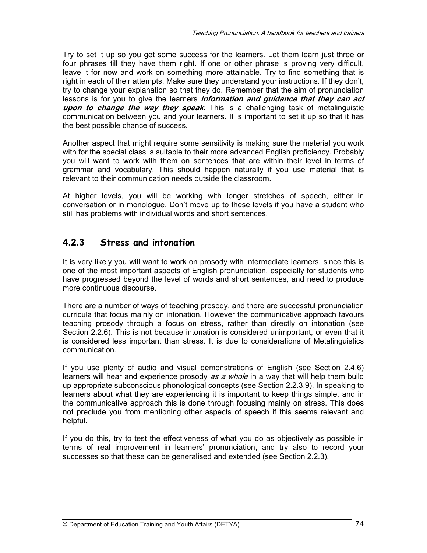Try to set it up so you get some success for the learners. Let them learn just three or four phrases till they have them right. If one or other phrase is proving very difficult, leave it for now and work on something more attainable. Try to find something that is right in each of their attempts. Make sure they understand your instructions. If they don't, try to change your explanation so that they do. Remember that the aim of pronunciation lessons is for you to give the learners **information and guidance that they can act upon to change the way they speak**. This is a challenging task of metalinguistic communication between you and your learners. It is important to set it up so that it has the best possible chance of success.

Another aspect that might require some sensitivity is making sure the material you work with for the special class is suitable to their more advanced English proficiency. Probably you will want to work with them on sentences that are within their level in terms of grammar and vocabulary. This should happen naturally if you use material that is relevant to their communication needs outside the classroom.

At higher levels, you will be working with longer stretches of speech, either in conversation or in monologue. Don't move up to these levels if you have a student who still has problems with individual words and short sentences.

## **4.2.3 Stress and intonation**

It is very likely you will want to work on prosody with intermediate learners, since this is one of the most important aspects of English pronunciation, especially for students who have progressed beyond the level of words and short sentences, and need to produce more continuous discourse.

There are a number of ways of teaching prosody, and there are successful pronunciation curricula that focus mainly on intonation. However the communicative approach favours teaching prosody through a focus on stress, rather than directly on intonation (see Section 2.2.6). This is not because intonation is considered unimportant, or even that it is considered less important than stress. It is due to considerations of Metalinguistics communication.

If you use plenty of audio and visual demonstrations of English (see Section 2.4.6) learners will hear and experience prosody as a whole in a way that will help them build up appropriate subconscious phonological concepts (see Section 2.2.3.9). In speaking to learners about what they are experiencing it is important to keep things simple, and in the communicative approach this is done through focusing mainly on stress. This does not preclude you from mentioning other aspects of speech if this seems relevant and helpful.

If you do this, try to test the effectiveness of what you do as objectively as possible in terms of real improvement in learners' pronunciation, and try also to record your successes so that these can be generalised and extended (see Section 2.2.3).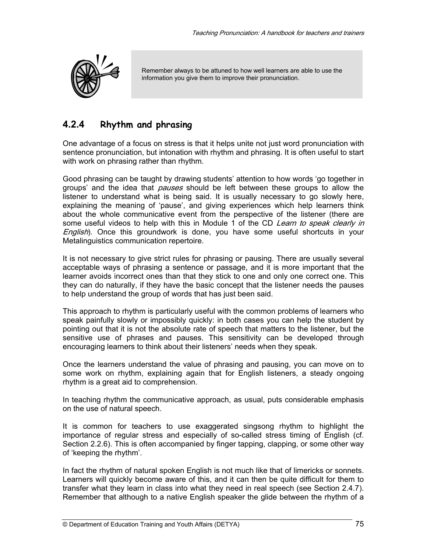

Remember always to be attuned to how well learners are able to use the information you give them to improve their pronunciation.

## **4.2.4 Rhythm and phrasing**

One advantage of a focus on stress is that it helps unite not just word pronunciation with sentence pronunciation, but intonation with rhythm and phrasing. It is often useful to start with work on phrasing rather than rhythm.

Good phrasing can be taught by drawing students' attention to how words 'go together in groups' and the idea that *pauses* should be left between these groups to allow the listener to understand what is being said. It is usually necessary to go slowly here, explaining the meaning of 'pause', and giving experiences which help learners think about the whole communicative event from the perspective of the listener (there are some useful videos to help with this in Module 1 of the CD Learn to speak clearly in English). Once this groundwork is done, you have some useful shortcuts in your Metalinguistics communication repertoire.

It is not necessary to give strict rules for phrasing or pausing. There are usually several acceptable ways of phrasing a sentence or passage, and it is more important that the learner avoids incorrect ones than that they stick to one and only one correct one. This they can do naturally, if they have the basic concept that the listener needs the pauses to help understand the group of words that has just been said.

This approach to rhythm is particularly useful with the common problems of learners who speak painfully slowly or impossibly quickly: in both cases you can help the student by pointing out that it is not the absolute rate of speech that matters to the listener, but the sensitive use of phrases and pauses. This sensitivity can be developed through encouraging learners to think about their listeners' needs when they speak.

Once the learners understand the value of phrasing and pausing, you can move on to some work on rhythm, explaining again that for English listeners, a steady ongoing rhythm is a great aid to comprehension.

In teaching rhythm the communicative approach, as usual, puts considerable emphasis on the use of natural speech.

It is common for teachers to use exaggerated singsong rhythm to highlight the importance of regular stress and especially of so-called stress timing of English (cf. Section 2.2.6). This is often accompanied by finger tapping, clapping, or some other way of 'keeping the rhythm'.

In fact the rhythm of natural spoken English is not much like that of limericks or sonnets. Learners will quickly become aware of this, and it can then be quite difficult for them to transfer what they learn in class into what they need in real speech (see Section 2.4.7). Remember that although to a native English speaker the glide between the rhythm of a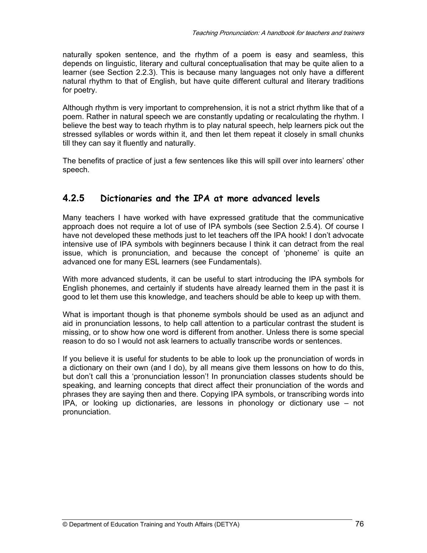naturally spoken sentence, and the rhythm of a poem is easy and seamless, this depends on linguistic, literary and cultural conceptualisation that may be quite alien to a learner (see Section 2.2.3). This is because many languages not only have a different natural rhythm to that of English, but have quite different cultural and literary traditions for poetry.

Although rhythm is very important to comprehension, it is not a strict rhythm like that of a poem. Rather in natural speech we are constantly updating or recalculating the rhythm. I believe the best way to teach rhythm is to play natural speech, help learners pick out the stressed syllables or words within it, and then let them repeat it closely in small chunks till they can say it fluently and naturally.

The benefits of practice of just a few sentences like this will spill over into learners' other speech.

## **4.2.5 Dictionaries and the IPA at more advanced levels**

Many teachers I have worked with have expressed gratitude that the communicative approach does not require a lot of use of IPA symbols (see Section 2.5.4). Of course I have not developed these methods just to let teachers off the IPA hook! I don't advocate intensive use of IPA symbols with beginners because I think it can detract from the real issue, which is pronunciation, and because the concept of 'phoneme' is quite an advanced one for many ESL learners (see Fundamentals).

With more advanced students, it can be useful to start introducing the IPA symbols for English phonemes, and certainly if students have already learned them in the past it is good to let them use this knowledge, and teachers should be able to keep up with them.

What is important though is that phoneme symbols should be used as an adjunct and aid in pronunciation lessons, to help call attention to a particular contrast the student is missing, or to show how one word is different from another. Unless there is some special reason to do so I would not ask learners to actually transcribe words or sentences.

If you believe it is useful for students to be able to look up the pronunciation of words in a dictionary on their own (and I do), by all means give them lessons on how to do this, but don't call this a 'pronunciation lesson'! In pronunciation classes students should be speaking, and learning concepts that direct affect their pronunciation of the words and phrases they are saying then and there. Copying IPA symbols, or transcribing words into IPA, or looking up dictionaries, are lessons in phonology or dictionary use – not pronunciation.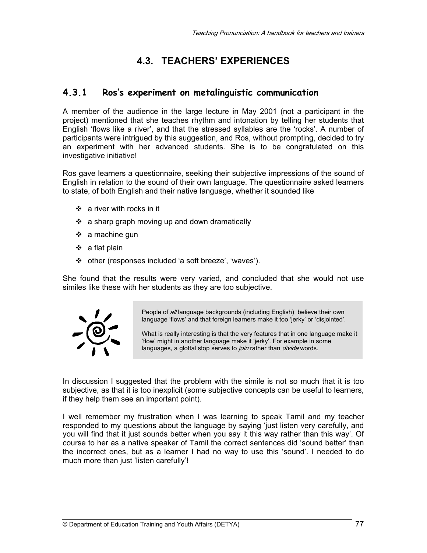# **4.3. TEACHERS' EXPERIENCES**

#### **4.3.1 Ros's experiment on metalinguistic communication**

A member of the audience in the large lecture in May 2001 (not a participant in the project) mentioned that she teaches rhythm and intonation by telling her students that English 'flows like a river', and that the stressed syllables are the 'rocks'. A number of participants were intrigued by this suggestion, and Ros, without prompting, decided to try an experiment with her advanced students. She is to be congratulated on this investigative initiative!

Ros gave learners a questionnaire, seeking their subjective impressions of the sound of English in relation to the sound of their own language. The questionnaire asked learners to state, of both English and their native language, whether it sounded like

- a river with rocks in it
- $\div$  a sharp graph moving up and down dramatically
- $\div$  a machine gun
- $\div$  a flat plain
- other (responses included 'a soft breeze', 'waves').

She found that the results were very varied, and concluded that she would not use similes like these with her students as they are too subjective.



People of all language backgrounds (including English) believe their own language 'flows' and that foreign learners make it too 'jerky' or 'disjointed'.

What is really interesting is that the very features that in one language make it 'flow' might in another language make it 'jerky'. For example in some languages, a glottal stop serves to *join* rather than *divide* words.

In discussion I suggested that the problem with the simile is not so much that it is too subjective, as that it is too inexplicit (some subjective concepts can be useful to learners, if they help them see an important point).

I well remember my frustration when I was learning to speak Tamil and my teacher responded to my questions about the language by saying 'just listen very carefully, and you will find that it just sounds better when you say it this way rather than this way'. Of course to her as a native speaker of Tamil the correct sentences did 'sound better' than the incorrect ones, but as a learner I had no way to use this 'sound'. I needed to do much more than just 'listen carefully'!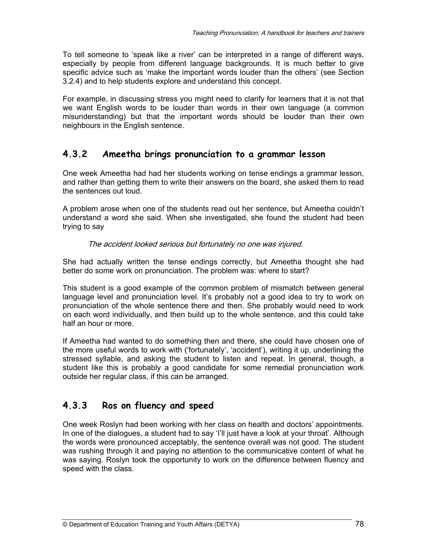To tell someone to 'speak like a river' can be interpreted in a range of different ways, especially by people from different language backgrounds. It is much better to give specific advice such as 'make the important words louder than the others' (see Section 3.2.4) and to help students explore and understand this concept.

For example, in discussing stress you might need to clarify for learners that it is not that we want English words to be louder than words in their own language (a common misunderstanding) but that the important words should be louder than their own neighbours in the English sentence.

## **4.3.2 Ameetha brings pronunciation to a grammar lesson**

One week Ameetha had had her students working on tense endings a grammar lesson, and rather than getting them to write their answers on the board, she asked them to read the sentences out loud.

A problem arose when one of the students read out her sentence, but Ameetha couldn't understand a word she said. When she investigated, she found the student had been trying to say

#### The accident looked serious but fortunately no one was injured.

She had actually written the tense endings correctly, but Ameetha thought she had better do some work on pronunciation. The problem was: where to start?

This student is a good example of the common problem of mismatch between general language level and pronunciation level. It's probably not a good idea to try to work on pronunciation of the whole sentence there and then. She probably would need to work on each word individually, and then build up to the whole sentence, and this could take half an hour or more.

If Ameetha had wanted to do something then and there, she could have chosen one of the more useful words to work with ('fortunately', 'accident'), writing it up, underlining the stressed syllable, and asking the student to listen and repeat. In general, though, a student like this is probably a good candidate for some remedial pronunciation work outside her regular class, if this can be arranged.

# **4.3.3 Ros on fluency and speed**

One week Roslyn had been working with her class on health and doctors' appointments. In one of the dialogues, a student had to say 'I'll just have a look at your throat'. Although the words were pronounced acceptably, the sentence overall was not good. The student was rushing through it and paying no attention to the communicative content of what he was saying. Roslyn took the opportunity to work on the difference between fluency and speed with the class.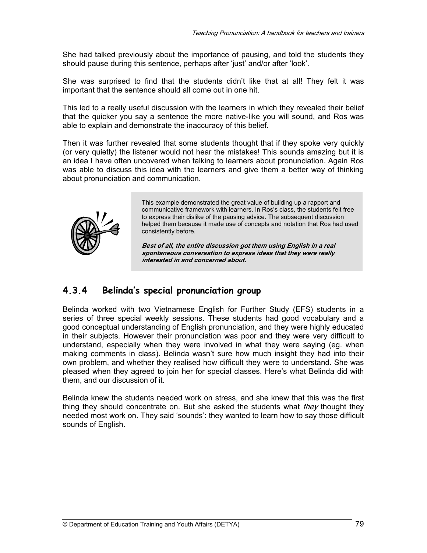She had talked previously about the importance of pausing, and told the students they should pause during this sentence, perhaps after 'just' and/or after 'look'.

She was surprised to find that the students didn't like that at all! They felt it was important that the sentence should all come out in one hit.

This led to a really useful discussion with the learners in which they revealed their belief that the quicker you say a sentence the more native-like you will sound, and Ros was able to explain and demonstrate the inaccuracy of this belief.

Then it was further revealed that some students thought that if they spoke very quickly (or very quietly) the listener would not hear the mistakes! This sounds amazing but it is an idea I have often uncovered when talking to learners about pronunciation. Again Ros was able to discuss this idea with the learners and give them a better way of thinking about pronunciation and communication.



This example demonstrated the great value of building up a rapport and communicative framework with learners. In Ros's class, the students felt free to express their dislike of the pausing advice. The subsequent discussion helped them because it made use of concepts and notation that Ros had used consistently before.

**Best of all, the entire discussion got them using English in a real spontaneous conversation to express ideas that they were really interested in and concerned about.** 

# **4.3.4 Belinda's special pronunciation group**

Belinda worked with two Vietnamese English for Further Study (EFS) students in a series of three special weekly sessions. These students had good vocabulary and a good conceptual understanding of English pronunciation, and they were highly educated in their subjects. However their pronunciation was poor and they were very difficult to understand, especially when they were involved in what they were saying (eg. when making comments in class). Belinda wasn't sure how much insight they had into their own problem, and whether they realised how difficult they were to understand. She was pleased when they agreed to join her for special classes. Here's what Belinda did with them, and our discussion of it.

Belinda knew the students needed work on stress, and she knew that this was the first thing they should concentrate on. But she asked the students what *they* thought they needed most work on. They said 'sounds': they wanted to learn how to say those difficult sounds of English.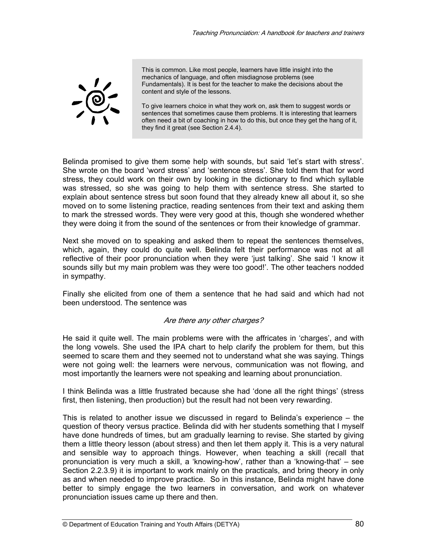

This is common. Like most people, learners have little insight into the mechanics of language, and often misdiagnose problems (see Fundamentals). It is best for the teacher to make the decisions about the content and style of the lessons.

To give learners choice in what they work on, ask them to suggest words or sentences that sometimes cause them problems. It is interesting that learners often need a bit of coaching in how to do this, but once they get the hang of it, they find it great (see Section 2.4.4).

Belinda promised to give them some help with sounds, but said 'let's start with stress'. She wrote on the board 'word stress' and 'sentence stress'. She told them that for word stress, they could work on their own by looking in the dictionary to find which syllable was stressed, so she was going to help them with sentence stress. She started to explain about sentence stress but soon found that they already knew all about it, so she moved on to some listening practice, reading sentences from their text and asking them to mark the stressed words. They were very good at this, though she wondered whether they were doing it from the sound of the sentences or from their knowledge of grammar.

Next she moved on to speaking and asked them to repeat the sentences themselves, which, again, they could do quite well. Belinda felt their performance was not at all reflective of their poor pronunciation when they were 'just talking'. She said 'I know it sounds silly but my main problem was they were too good!'. The other teachers nodded in sympathy.

Finally she elicited from one of them a sentence that he had said and which had not been understood. The sentence was

#### Are there any other charges?

He said it quite well. The main problems were with the affricates in 'charges', and with the long vowels. She used the IPA chart to help clarify the problem for them, but this seemed to scare them and they seemed not to understand what she was saying. Things were not going well: the learners were nervous, communication was not flowing, and most importantly the learners were not speaking and learning about pronunciation.

I think Belinda was a little frustrated because she had 'done all the right things' (stress first, then listening, then production) but the result had not been very rewarding.

This is related to another issue we discussed in regard to Belinda's experience – the question of theory versus practice. Belinda did with her students something that I myself have done hundreds of times, but am gradually learning to revise. She started by giving them a little theory lesson (about stress) and then let them apply it. This is a very natural and sensible way to approach things. However, when teaching a skill (recall that pronunciation is very much a skill, a 'knowing-how', rather than a 'knowing-that' – see Section 2.2.3.9) it is important to work mainly on the practicals, and bring theory in only as and when needed to improve practice. So in this instance, Belinda might have done better to simply engage the two learners in conversation, and work on whatever pronunciation issues came up there and then.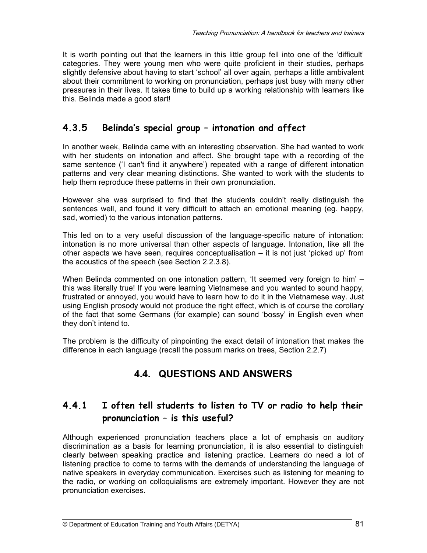It is worth pointing out that the learners in this little group fell into one of the 'difficult' categories. They were young men who were quite proficient in their studies, perhaps slightly defensive about having to start 'school' all over again, perhaps a little ambivalent about their commitment to working on pronunciation, perhaps just busy with many other pressures in their lives. It takes time to build up a working relationship with learners like this. Belinda made a good start!

# **4.3.5 Belinda's special group – intonation and affect**

In another week, Belinda came with an interesting observation. She had wanted to work with her students on intonation and affect. She brought tape with a recording of the same sentence ('I can't find it anywhere') repeated with a range of different intonation patterns and very clear meaning distinctions. She wanted to work with the students to help them reproduce these patterns in their own pronunciation.

However she was surprised to find that the students couldn't really distinguish the sentences well, and found it very difficult to attach an emotional meaning (eg. happy, sad, worried) to the various intonation patterns.

This led on to a very useful discussion of the language-specific nature of intonation: intonation is no more universal than other aspects of language. Intonation, like all the other aspects we have seen, requires conceptualisation – it is not just 'picked up' from the acoustics of the speech (see Section 2.2.3.8).

When Belinda commented on one intonation pattern, 'It seemed very foreign to him' – this was literally true! If you were learning Vietnamese and you wanted to sound happy, frustrated or annoyed, you would have to learn how to do it in the Vietnamese way. Just using English prosody would not produce the right effect, which is of course the corollary of the fact that some Germans (for example) can sound 'bossy' in English even when they don't intend to.

The problem is the difficulty of pinpointing the exact detail of intonation that makes the difference in each language (recall the possum marks on trees, Section 2.2.7)

# **4.4. QUESTIONS AND ANSWERS**

# **4.4.1 I often tell students to listen to TV or radio to help their pronunciation – is this useful?**

Although experienced pronunciation teachers place a lot of emphasis on auditory discrimination as a basis for learning pronunciation, it is also essential to distinguish clearly between speaking practice and listening practice. Learners do need a lot of listening practice to come to terms with the demands of understanding the language of native speakers in everyday communication. Exercises such as listening for meaning to the radio, or working on colloquialisms are extremely important. However they are not pronunciation exercises.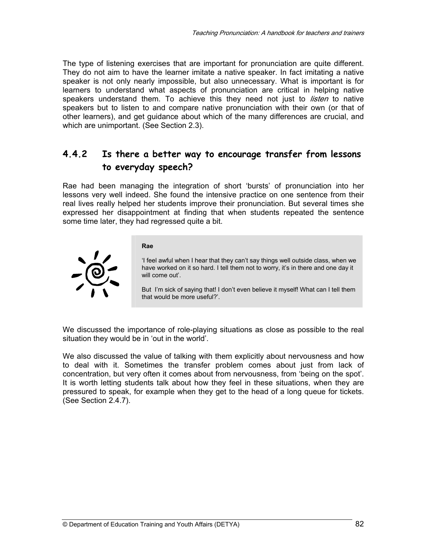The type of listening exercises that are important for pronunciation are quite different. They do not aim to have the learner imitate a native speaker. In fact imitating a native speaker is not only nearly impossible, but also unnecessary. What is important is for learners to understand what aspects of pronunciation are critical in helping native speakers understand them. To achieve this they need not just to *listen* to native speakers but to listen to and compare native pronunciation with their own (or that of other learners), and get guidance about which of the many differences are crucial, and which are unimportant. (See Section 2.3).

## **4.4.2 Is there a better way to encourage transfer from lessons to everyday speech?**

Rae had been managing the integration of short 'bursts' of pronunciation into her lessons very well indeed. She found the intensive practice on one sentence from their real lives really helped her students improve their pronunciation. But several times she expressed her disappointment at finding that when students repeated the sentence some time later, they had regressed quite a bit.



#### **Rae**

'I feel awful when I hear that they can't say things well outside class, when we have worked on it so hard. I tell them not to worry, it's in there and one day it will come out'.

But I'm sick of saying that! I don't even believe it myself! What can I tell them that would be more useful?'.

We discussed the importance of role-playing situations as close as possible to the real situation they would be in 'out in the world'.

We also discussed the value of talking with them explicitly about nervousness and how to deal with it. Sometimes the transfer problem comes about just from lack of concentration, but very often it comes about from nervousness, from 'being on the spot'. It is worth letting students talk about how they feel in these situations, when they are pressured to speak, for example when they get to the head of a long queue for tickets. (See Section 2.4.7).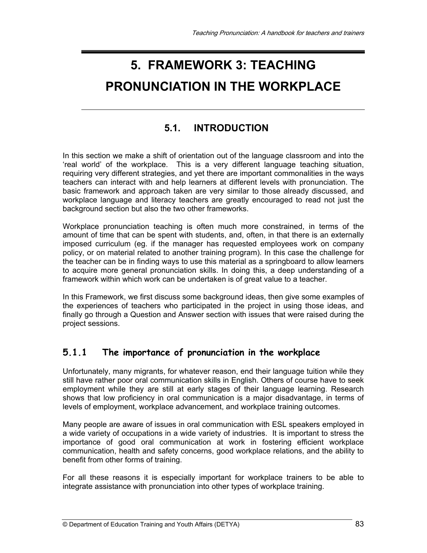# **5. FRAMEWORK 3: TEACHING**

# **PRONUNCIATION IN THE WORKPLACE**

# **5.1. INTRODUCTION**

In this section we make a shift of orientation out of the language classroom and into the 'real world' of the workplace. This is a very different language teaching situation, requiring very different strategies, and yet there are important commonalities in the ways teachers can interact with and help learners at different levels with pronunciation. The basic framework and approach taken are very similar to those already discussed, and workplace language and literacy teachers are greatly encouraged to read not just the background section but also the two other frameworks.

Workplace pronunciation teaching is often much more constrained, in terms of the amount of time that can be spent with students, and, often, in that there is an externally imposed curriculum (eg. if the manager has requested employees work on company policy, or on material related to another training program). In this case the challenge for the teacher can be in finding ways to use this material as a springboard to allow learners to acquire more general pronunciation skills. In doing this, a deep understanding of a framework within which work can be undertaken is of great value to a teacher.

In this Framework, we first discuss some background ideas, then give some examples of the experiences of teachers who participated in the project in using those ideas, and finally go through a Question and Answer section with issues that were raised during the project sessions.

## **5.1.1 The importance of pronunciation in the workplace**

Unfortunately, many migrants, for whatever reason, end their language tuition while they still have rather poor oral communication skills in English. Others of course have to seek employment while they are still at early stages of their language learning. Research shows that low proficiency in oral communication is a major disadvantage, in terms of levels of employment, workplace advancement, and workplace training outcomes.

Many people are aware of issues in oral communication with ESL speakers employed in a wide variety of occupations in a wide variety of industries. It is important to stress the importance of good oral communication at work in fostering efficient workplace communication, health and safety concerns, good workplace relations, and the ability to benefit from other forms of training.

For all these reasons it is especially important for workplace trainers to be able to integrate assistance with pronunciation into other types of workplace training.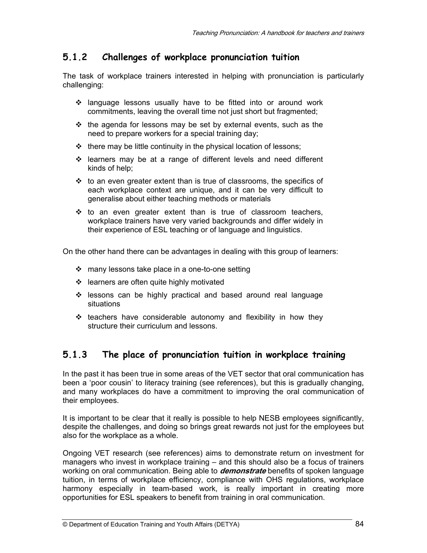# **5.1.2 Challenges of workplace pronunciation tuition**

The task of workplace trainers interested in helping with pronunciation is particularly challenging:

- language lessons usually have to be fitted into or around work commitments, leaving the overall time not just short but fragmented;
- $\div$  the agenda for lessons may be set by external events, such as the need to prepare workers for a special training day;
- $\cdot \cdot$  there may be little continuity in the physical location of lessons;
- learners may be at a range of different levels and need different kinds of help;
- $\cdot\cdot\cdot$  to an even greater extent than is true of classrooms, the specifics of each workplace context are unique, and it can be very difficult to generalise about either teaching methods or materials
- $\div$  to an even greater extent than is true of classroom teachers, workplace trainers have very varied backgrounds and differ widely in their experience of ESL teaching or of language and linguistics.

On the other hand there can be advantages in dealing with this group of learners:

- $\div$  many lessons take place in a one-to-one setting
- $\div$  learners are often quite highly motivated
- \* lessons can be highly practical and based around real language situations
- $\div$  teachers have considerable autonomy and flexibility in how they structure their curriculum and lessons.

# **5.1.3 The place of pronunciation tuition in workplace training**

In the past it has been true in some areas of the VET sector that oral communication has been a 'poor cousin' to literacy training (see references), but this is gradually changing, and many workplaces do have a commitment to improving the oral communication of their employees.

It is important to be clear that it really is possible to help NESB employees significantly, despite the challenges, and doing so brings great rewards not just for the employees but also for the workplace as a whole.

Ongoing VET research (see references) aims to demonstrate return on investment for managers who invest in workplace training – and this should also be a focus of trainers working on oral communication. Being able to **demonstrate** benefits of spoken language tuition, in terms of workplace efficiency, compliance with OHS regulations, workplace harmony especially in team-based work, is really important in creating more opportunities for ESL speakers to benefit from training in oral communication.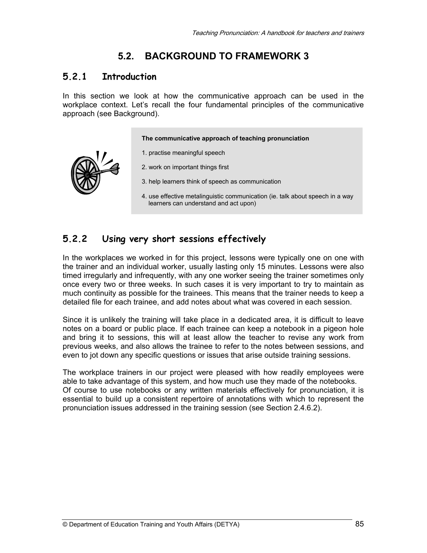# **5.2. BACKGROUND TO FRAMEWORK 3**

#### **5.2.1 Introduction**

In this section we look at how the communicative approach can be used in the workplace context. Let's recall the four fundamental principles of the communicative approach (see Background).

**The communicative approach of teaching pronunciation**

- 1. practise meaningful speech
- 2. work on important things first
- 3. help learners think of speech as communication
- 4. use effective metalinguistic communication (ie. talk about speech in a way learners can understand and act upon)

#### **5.2.2 Using very short sessions effectively**

In the workplaces we worked in for this project, lessons were typically one on one with the trainer and an individual worker, usually lasting only 15 minutes. Lessons were also timed irregularly and infrequently, with any one worker seeing the trainer sometimes only once every two or three weeks. In such cases it is very important to try to maintain as much continuity as possible for the trainees. This means that the trainer needs to keep a detailed file for each trainee, and add notes about what was covered in each session.

Since it is unlikely the training will take place in a dedicated area, it is difficult to leave notes on a board or public place. If each trainee can keep a notebook in a pigeon hole and bring it to sessions, this will at least allow the teacher to revise any work from previous weeks, and also allows the trainee to refer to the notes between sessions, and even to jot down any specific questions or issues that arise outside training sessions.

The workplace trainers in our project were pleased with how readily employees were able to take advantage of this system, and how much use they made of the notebooks. Of course to use notebooks or any written materials effectively for pronunciation, it is essential to build up a consistent repertoire of annotations with which to represent the pronunciation issues addressed in the training session (see Section 2.4.6.2).

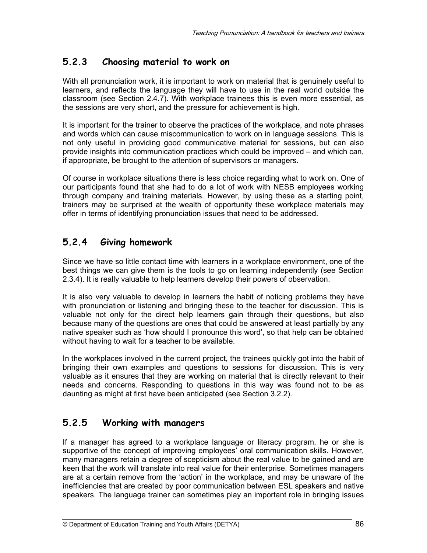### **5.2.3 Choosing material to work on**

With all pronunciation work, it is important to work on material that is genuinely useful to learners, and reflects the language they will have to use in the real world outside the classroom (see Section 2.4.7). With workplace trainees this is even more essential, as the sessions are very short, and the pressure for achievement is high.

It is important for the trainer to observe the practices of the workplace, and note phrases and words which can cause miscommunication to work on in language sessions. This is not only useful in providing good communicative material for sessions, but can also provide insights into communication practices which could be improved – and which can, if appropriate, be brought to the attention of supervisors or managers.

Of course in workplace situations there is less choice regarding what to work on. One of our participants found that she had to do a lot of work with NESB employees working through company and training materials. However, by using these as a starting point, trainers may be surprised at the wealth of opportunity these workplace materials may offer in terms of identifying pronunciation issues that need to be addressed.

## **5.2.4 Giving homework**

Since we have so little contact time with learners in a workplace environment, one of the best things we can give them is the tools to go on learning independently (see Section 2.3.4). It is really valuable to help learners develop their powers of observation.

It is also very valuable to develop in learners the habit of noticing problems they have with pronunciation or listening and bringing these to the teacher for discussion. This is valuable not only for the direct help learners gain through their questions, but also because many of the questions are ones that could be answered at least partially by any native speaker such as 'how should I pronounce this word', so that help can be obtained without having to wait for a teacher to be available.

In the workplaces involved in the current project, the trainees quickly got into the habit of bringing their own examples and questions to sessions for discussion. This is very valuable as it ensures that they are working on material that is directly relevant to their needs and concerns. Responding to questions in this way was found not to be as daunting as might at first have been anticipated (see Section 3.2.2).

## **5.2.5 Working with managers**

If a manager has agreed to a workplace language or literacy program, he or she is supportive of the concept of improving employees' oral communication skills. However, many managers retain a degree of scepticism about the real value to be gained and are keen that the work will translate into real value for their enterprise. Sometimes managers are at a certain remove from the 'action' in the workplace, and may be unaware of the inefficiencies that are created by poor communication between ESL speakers and native speakers. The language trainer can sometimes play an important role in bringing issues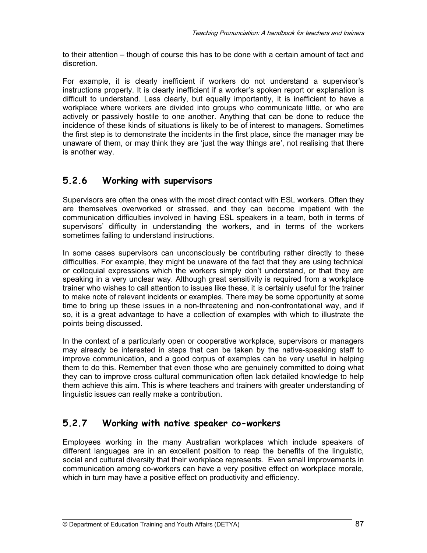to their attention – though of course this has to be done with a certain amount of tact and discretion.

For example, it is clearly inefficient if workers do not understand a supervisor's instructions properly. It is clearly inefficient if a worker's spoken report or explanation is difficult to understand. Less clearly, but equally importantly, it is inefficient to have a workplace where workers are divided into groups who communicate little, or who are actively or passively hostile to one another. Anything that can be done to reduce the incidence of these kinds of situations is likely to be of interest to managers. Sometimes the first step is to demonstrate the incidents in the first place, since the manager may be unaware of them, or may think they are 'just the way things are', not realising that there is another way.

# **5.2.6 Working with supervisors**

Supervisors are often the ones with the most direct contact with ESL workers. Often they are themselves overworked or stressed, and they can become impatient with the communication difficulties involved in having ESL speakers in a team, both in terms of supervisors' difficulty in understanding the workers, and in terms of the workers sometimes failing to understand instructions.

In some cases supervisors can unconsciously be contributing rather directly to these difficulties. For example, they might be unaware of the fact that they are using technical or colloquial expressions which the workers simply don't understand, or that they are speaking in a very unclear way. Although great sensitivity is required from a workplace trainer who wishes to call attention to issues like these, it is certainly useful for the trainer to make note of relevant incidents or examples. There may be some opportunity at some time to bring up these issues in a non-threatening and non-confrontational way, and if so, it is a great advantage to have a collection of examples with which to illustrate the points being discussed.

In the context of a particularly open or cooperative workplace, supervisors or managers may already be interested in steps that can be taken by the native-speaking staff to improve communication, and a good corpus of examples can be very useful in helping them to do this. Remember that even those who are genuinely committed to doing what they can to improve cross cultural communication often lack detailed knowledge to help them achieve this aim. This is where teachers and trainers with greater understanding of linguistic issues can really make a contribution.

# **5.2.7 Working with native speaker co-workers**

Employees working in the many Australian workplaces which include speakers of different languages are in an excellent position to reap the benefits of the linguistic, social and cultural diversity that their workplace represents. Even small improvements in communication among co-workers can have a very positive effect on workplace morale, which in turn may have a positive effect on productivity and efficiency.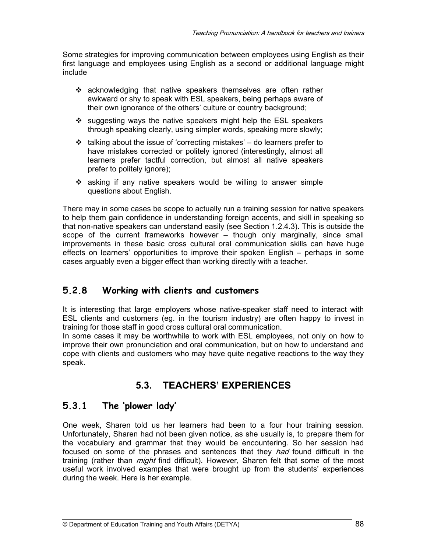Some strategies for improving communication between employees using English as their first language and employees using English as a second or additional language might include

- $\div$  acknowledging that native speakers themselves are often rather awkward or shy to speak with ESL speakers, being perhaps aware of their own ignorance of the others' culture or country background;
- $\cdot$  suggesting ways the native speakers might help the ESL speakers through speaking clearly, using simpler words, speaking more slowly;
- $\cdot$  talking about the issue of 'correcting mistakes' do learners prefer to have mistakes corrected or politely ignored (interestingly, almost all learners prefer tactful correction, but almost all native speakers prefer to politely ignore);
- asking if any native speakers would be willing to answer simple questions about English.

There may in some cases be scope to actually run a training session for native speakers to help them gain confidence in understanding foreign accents, and skill in speaking so that non-native speakers can understand easily (see Section 1.2.4.3). This is outside the scope of the current frameworks however – though only marginally, since small improvements in these basic cross cultural oral communication skills can have huge effects on learners' opportunities to improve their spoken English – perhaps in some cases arguably even a bigger effect than working directly with a teacher.

# **5.2.8 Working with clients and customers**

It is interesting that large employers whose native-speaker staff need to interact with ESL clients and customers (eg. in the tourism industry) are often happy to invest in training for those staff in good cross cultural oral communication.

In some cases it may be worthwhile to work with ESL employees, not only on how to improve their own pronunciation and oral communication, but on how to understand and cope with clients and customers who may have quite negative reactions to the way they speak.

# **5.3. TEACHERS' EXPERIENCES**

## **5.3.1 The 'plower lady'**

One week, Sharen told us her learners had been to a four hour training session. Unfortunately, Sharen had not been given notice, as she usually is, to prepare them for the vocabulary and grammar that they would be encountering. So her session had focused on some of the phrases and sentences that they *had* found difficult in the training (rather than *might* find difficult). However, Sharen felt that some of the most useful work involved examples that were brought up from the students' experiences during the week. Here is her example.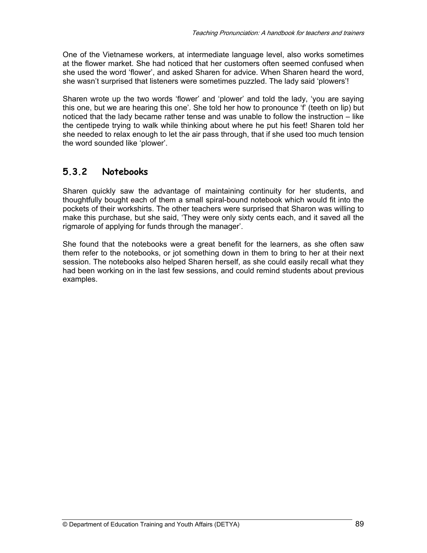One of the Vietnamese workers, at intermediate language level, also works sometimes at the flower market. She had noticed that her customers often seemed confused when she used the word 'flower', and asked Sharen for advice. When Sharen heard the word, she wasn't surprised that listeners were sometimes puzzled. The lady said 'plowers'!

Sharen wrote up the two words 'flower' and 'plower' and told the lady, 'you are saying this one, but we are hearing this one'. She told her how to pronounce 'f' (teeth on lip) but noticed that the lady became rather tense and was unable to follow the instruction – like the centipede trying to walk while thinking about where he put his feet! Sharen told her she needed to relax enough to let the air pass through, that if she used too much tension the word sounded like 'plower'.

## **5.3.2 Notebooks**

Sharen quickly saw the advantage of maintaining continuity for her students, and thoughtfully bought each of them a small spiral-bound notebook which would fit into the pockets of their workshirts. The other teachers were surprised that Sharon was willing to make this purchase, but she said, 'They were only sixty cents each, and it saved all the rigmarole of applying for funds through the manager'.

She found that the notebooks were a great benefit for the learners, as she often saw them refer to the notebooks, or jot something down in them to bring to her at their next session. The notebooks also helped Sharen herself, as she could easily recall what they had been working on in the last few sessions, and could remind students about previous examples.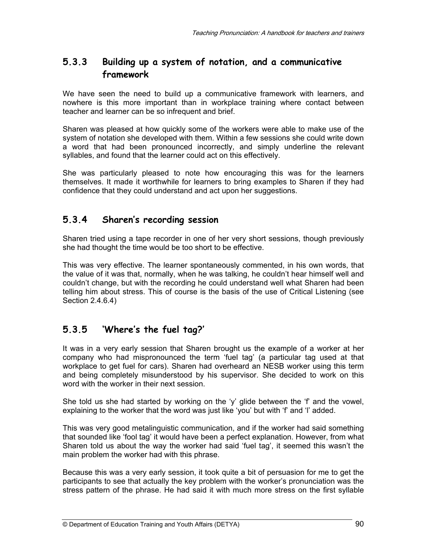## **5.3.3 Building up a system of notation, and a communicative framework**

We have seen the need to build up a communicative framework with learners, and nowhere is this more important than in workplace training where contact between teacher and learner can be so infrequent and brief.

Sharen was pleased at how quickly some of the workers were able to make use of the system of notation she developed with them. Within a few sessions she could write down a word that had been pronounced incorrectly, and simply underline the relevant syllables, and found that the learner could act on this effectively.

She was particularly pleased to note how encouraging this was for the learners themselves. It made it worthwhile for learners to bring examples to Sharen if they had confidence that they could understand and act upon her suggestions.

#### **5.3.4 Sharen's recording session**

Sharen tried using a tape recorder in one of her very short sessions, though previously she had thought the time would be too short to be effective.

This was very effective. The learner spontaneously commented, in his own words, that the value of it was that, normally, when he was talking, he couldn't hear himself well and couldn't change, but with the recording he could understand well what Sharen had been telling him about stress. This of course is the basis of the use of Critical Listening (see Section 2.4.6.4)

# **5.3.5 'Where's the fuel tag?'**

It was in a very early session that Sharen brought us the example of a worker at her company who had mispronounced the term 'fuel tag' (a particular tag used at that workplace to get fuel for cars). Sharen had overheard an NESB worker using this term and being completely misunderstood by his supervisor. She decided to work on this word with the worker in their next session.

She told us she had started by working on the 'y' glide between the 'f' and the vowel, explaining to the worker that the word was just like 'you' but with 'f' and 'l' added.

This was very good metalinguistic communication, and if the worker had said something that sounded like 'fool tag' it would have been a perfect explanation. However, from what Sharen told us about the way the worker had said 'fuel tag', it seemed this wasn't the main problem the worker had with this phrase.

Because this was a very early session, it took quite a bit of persuasion for me to get the participants to see that actually the key problem with the worker's pronunciation was the stress pattern of the phrase. He had said it with much more stress on the first syllable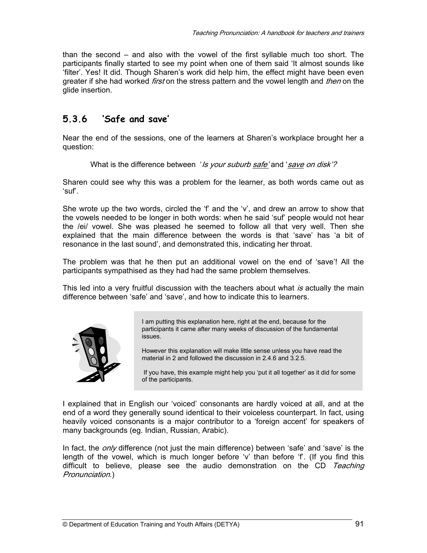than the second – and also with the vowel of the first syllable much too short. The participants finally started to see my point when one of them said 'It almost sounds like 'filter'. Yes! It did. Though Sharen's work did help him, the effect might have been even greater if she had worked *first* on the stress pattern and the vowel length and *then* on the glide insertion.

## **5.3.6 'Safe and save'**

Near the end of the sessions, one of the learners at Sharen's workplace brought her a question:

#### What is the difference between 'Is your suburb safe' and 'save on disk'?

Sharen could see why this was a problem for the learner, as both words came out as 'suf'.

She wrote up the two words, circled the 'f' and the 'v', and drew an arrow to show that the vowels needed to be longer in both words: when he said 'suf' people would not hear the /ei/ vowel. She was pleased he seemed to follow all that very well. Then she explained that the main difference between the words is that 'save' has 'a bit of resonance in the last sound', and demonstrated this, indicating her throat.

The problem was that he then put an additional vowel on the end of 'save'! All the participants sympathised as they had had the same problem themselves.

This led into a very fruitful discussion with the teachers about what is actually the main difference between 'safe' and 'save', and how to indicate this to learners.



I am putting this explanation here, right at the end, because for the participants it came after many weeks of discussion of the fundamental issues.

However this explanation will make little sense unless you have read the material in 2 and followed the discussion in 2.4.6 and 3.2.5.

 If you have, this example might help you 'put it all together' as it did for some of the participants.

I explained that in English our 'voiced' consonants are hardly voiced at all, and at the end of a word they generally sound identical to their voiceless counterpart. In fact, using heavily voiced consonants is a major contributor to a 'foreign accent' for speakers of many backgrounds (eg. Indian, Russian, Arabic).

In fact, the  $\omega$ n/ $\nu$  difference (not just the main difference) between 'safe' and 'save' is the length of the vowel, which is much longer before 'v' than before 'f'. (If you find this difficult to believe, please see the audio demonstration on the CD Teaching Pronunciation.)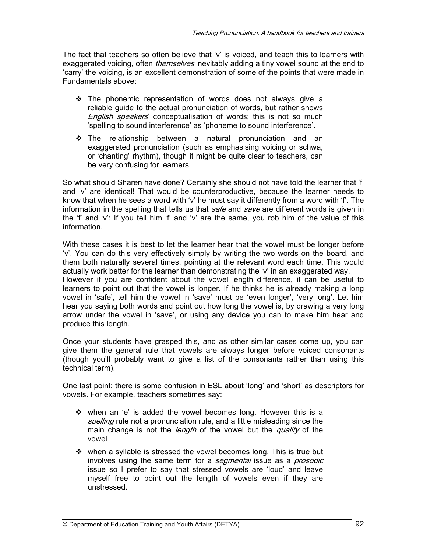The fact that teachers so often believe that 'v' is voiced, and teach this to learners with exaggerated voicing, often *themselves* inevitably adding a tiny vowel sound at the end to 'carry' the voicing, is an excellent demonstration of some of the points that were made in Fundamentals above:

- $\div$  The phonemic representation of words does not always give a reliable guide to the actual pronunciation of words, but rather shows English speakers' conceptualisation of words; this is not so much 'spelling to sound interference' as 'phoneme to sound interference'.
- The relationship between a natural pronunciation and an exaggerated pronunciation (such as emphasising voicing or schwa, or 'chanting' rhythm), though it might be quite clear to teachers, can be very confusing for learners.

So what should Sharen have done? Certainly she should not have told the learner that 'f' and 'v' are identical! That would be counterproductive, because the learner needs to know that when he sees a word with 'v' he must say it differently from a word with 'f'. The information in the spelling that tells us that *safe* and *save* are different words is given in the 'f' and 'v': If you tell him 'f' and 'v' are the same, you rob him of the value of this information.

With these cases it is best to let the learner hear that the vowel must be longer before 'v'. You can do this very effectively simply by writing the two words on the board, and them both naturally several times, pointing at the relevant word each time. This would actually work better for the learner than demonstrating the 'v' in an exaggerated way. However if you are confident about the vowel length difference, it can be useful to learners to point out that the vowel is longer. If he thinks he is already making a long vowel in 'safe', tell him the vowel in 'save' must be 'even longer', 'very long'. Let him hear you saying both words and point out how long the vowel is, by drawing a very long arrow under the vowel in 'save', or using any device you can to make him hear and produce this length.

Once your students have grasped this, and as other similar cases come up, you can give them the general rule that vowels are always longer before voiced consonants (though you'll probably want to give a list of the consonants rather than using this technical term).

One last point: there is some confusion in ESL about 'long' and 'short' as descriptors for vowels. For example, teachers sometimes say:

- $\div$  when an 'e' is added the vowel becomes long. However this is a spelling rule not a pronunciation rule, and a little misleading since the main change is not the *length* of the vowel but the *quality* of the vowel
- $\div$  when a syllable is stressed the vowel becomes long. This is true but involves using the same term for a *segmental* issue as a *prosodic* issue so I prefer to say that stressed vowels are 'loud' and leave myself free to point out the length of vowels even if they are unstressed.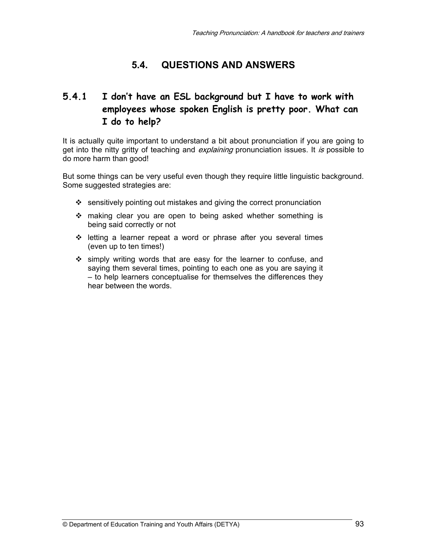# **5.4. QUESTIONS AND ANSWERS**

# **5.4.1 I don't have an ESL background but I have to work with employees whose spoken English is pretty poor. What can I do to help?**

It is actually quite important to understand a bit about pronunciation if you are going to get into the nitty gritty of teaching and *explaining* pronunciation issues. It is possible to do more harm than good!

But some things can be very useful even though they require little linguistic background. Some suggested strategies are:

- $\cdot$  sensitively pointing out mistakes and giving the correct pronunciation
- making clear you are open to being asked whether something is being said correctly or not
- letting a learner repeat a word or phrase after you several times (even up to ten times!)
- simply writing words that are easy for the learner to confuse, and saying them several times, pointing to each one as you are saying it – to help learners conceptualise for themselves the differences they hear between the words.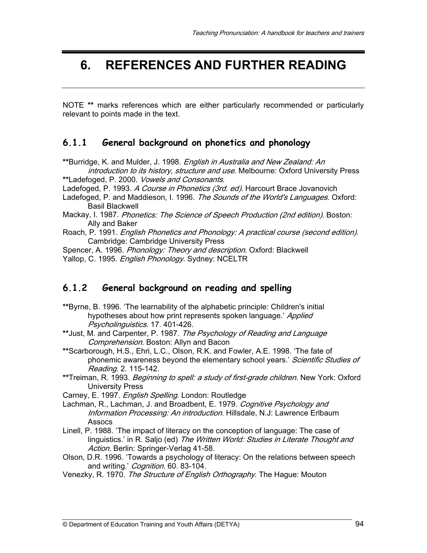# **6. REFERENCES AND FURTHER READING**

NOTE **\*\*** marks references which are either particularly recommended or particularly relevant to points made in the text.

#### **6.1.1 General background on phonetics and phonology**

**\*\***Burridge, K. and Mulder, J. 1998. English in Australia and New Zealand: An introduction to its history, structure and use. Melbourne: Oxford University Press

**\*\***Ladefoged, P. 2000. Vowels and Consonants.

Ladefoged, P. 1993. A Course in Phonetics (3rd. ed). Harcourt Brace Jovanovich

Ladefoged, P. and Maddieson, I. 1996. The Sounds of the World's Languages. Oxford: Basil Blackwell

- Mackay, I. 1987. Phonetics: The Science of Speech Production (2nd edition). Boston: Ally and Baker
- Roach, P. 1991. English Phonetics and Phonology: A practical course (second edition). Cambridge: Cambridge University Press

Spencer, A. 1996. *Phonology: Theory and description*. Oxford: Blackwell Yallop, C. 1995. English Phonology. Sydney: NCELTR

#### **6.1.2 General background on reading and spelling**

- **\*\***Byrne, B. 1996. 'The learnability of the alphabetic principle: Children's initial hypotheses about how print represents spoken language.' Applied Psycholinguistics. 17. 401-426.
- **\*\***Just, M. and Carpenter, P. 1987. The Psychology of Reading and Language Comprehension. Boston: Allyn and Bacon
- **\*\***Scarborough, H.S., Ehri, L.C., Olson, R.K. and Fowler, A.E. 1998. 'The fate of phonemic awareness beyond the elementary school years.' Scientific Studies of Reading. 2. 115-142.
- **\*\***Treiman, R. 1993. Beginning to spell: a study of first-grade children. New York: Oxford University Press
- Carney, E. 1997. English Spelling. London: Routledge
- Lachman, R., Lachman, J. and Broadbent, E. 1979. Cognitive Psychology and Information Processing: An introduction. Hillsdale, N.J: Lawrence Erlbaum Assocs
- Linell, P. 1988. 'The impact of literacy on the conception of language: The case of linguistics.' in R. Saljo (ed) The Written World: Studies in Literate Thought and Action. Berlin: Springer-Verlag 41-58.
- Olson, D.R. 1996. 'Towards a psychology of literacy: On the relations between speech and writing.' Cognition. 60. 83-104.
- Venezky, R. 1970. The Structure of English Orthography. The Hague: Mouton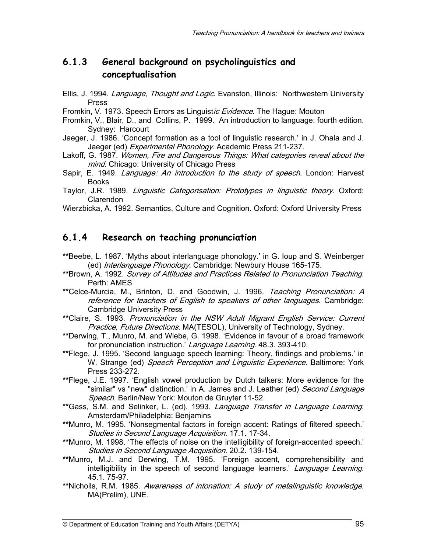### **6.1.3 General background on psycholinguistics and conceptualisation**

- Ellis, J. 1994. *Language, Thought and Logic*. Evanston, Illinois: Northwestern University Press
- Fromkin, V. 1973. Speech Errors as Linguistic Evidence. The Hague: Mouton
- Fromkin, V., Blair, D., and Collins, P. 1999. An introduction to language: fourth edition. Sydney: Harcourt
- Jaeger, J. 1986. 'Concept formation as a tool of linguistic research.' in J. Ohala and J. Jaeger (ed) Experimental Phonology. Academic Press 211-237.
- Lakoff, G. 1987. Women, Fire and Dangerous Things: What categories reveal about the mind. Chicago: University of Chicago Press
- Sapir, E. 1949. Language: An introduction to the study of speech. London: Harvest Books
- Taylor, J.R. 1989. Linguistic Categorisation: Prototypes in linguistic theory. Oxford: Clarendon
- Wierzbicka, A. 1992. Semantics, Culture and Cognition. Oxford: Oxford University Press

#### **6.1.4 Research on teaching pronunciation**

- **\*\***Beebe, L. 1987. 'Myths about interlanguage phonology.' in G. Ioup and S. Weinberger (ed) Interlanguage Phonology. Cambridge: Newbury House 165-175.
- **\*\***Brown, A. 1992. Survey of Attitudes and Practices Related to Pronunciation Teaching. Perth: AMES
- **\*\***Celce-Murcia, M., Brinton, D. and Goodwin, J. 1996. Teaching Pronunciation: A reference for teachers of English to speakers of other languages. Cambridge: Cambridge University Press
- **\*\***Claire, S. 1993. Pronunciation in the NSW Adult Migrant English Service: Current Practice, Future Directions. MA(TESOL), University of Technology, Sydney.
- **\*\***Derwing, T., Munro, M. and Wiebe, G. 1998. 'Evidence in favour of a broad framework for pronunciation instruction.' Language Learning. 48.3. 393-410.
- **\*\***Flege, J. 1995. 'Second language speech learning: Theory, findings and problems.' in W. Strange (ed) Speech Perception and Linguistic Experience. Baltimore: York Press 233-272.
- **\*\***Flege, J.E. 1997. 'English vowel production by Dutch talkers: More evidence for the "similar" vs "new" distinction.' in A. James and J. Leather (ed) *Second Language* Speech. Berlin/New York: Mouton de Gruyter 11-52.
- **\*\***Gass, S.M. and Selinker, L. (ed). 1993. Language Transfer in Language Learning. Amsterdam/Philadelphia: Benjamins
- **\*\***Munro, M. 1995. 'Nonsegmental factors in foreign accent: Ratings of filtered speech.' Studies in Second Language Acquisition. 17.1. 17-34.
- **\*\***Munro, M. 1998. 'The effects of noise on the intelligibility of foreign-accented speech.' Studies in Second Language Acquisition. 20.2. 139-154.
- **\*\***Munro, M.J. and Derwing, T.M. 1995. 'Foreign accent, comprehensibility and intelligibility in the speech of second language learners.' Language Learning. 45.1. 75-97.
- **\*\***Nicholls, R.M. 1985. Awareness of intonation: A study of metalinguistic knowledge. MA(Prelim), UNE.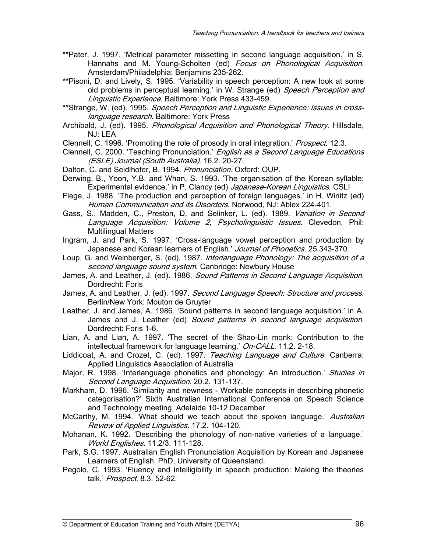- **\*\***Pater, J. 1997. 'Metrical parameter missetting in second language acquisition.' in S. Hannahs and M. Young-Scholten (ed) Focus on Phonological Acquisition. Amsterdam/Philadelphia: Benjamins 235-262.
- **\*\***Pisoni, D. and Lively, S. 1995. 'Variability in speech perception: A new look at some old problems in perceptual learning.' in W. Strange (ed) Speech Perception and Linguistic Experience. Baltimore: York Press 433-459.
- **\*\***Strange, W. (ed). 1995. Speech Perception and Linguistic Experience: Issues in crosslanguage research. Baltimore: York Press
- Archibald, J. (ed). 1995. *Phonological Acquisition and Phonological Theory*. Hillsdale, NJ: LEA
- Clennell, C. 1996. 'Promoting the role of prosody in oral integration.' Prospect. 12.3.
- Clennell, C. 2000. 'Teaching Pronunciation.' English as a Second Language Educations (ESLE) Journal (South Australia). 16.2. 20-27.
- Dalton, C. and Seidlhofer, B. 1994. Pronunciation. Oxford: OUP.
- Derwing, B., Yoon, Y.B. and Whan, S. 1993. 'The organisation of the Korean syllable: Experimental evidence.' in P. Clancy (ed) Japanese-Korean Linguistics. CSLI
- Flege, J. 1988. 'The production and perception of foreign languages.' in H. Winitz (ed) Human Communication and its Disorders. Norwood, NJ: Ablex 224-401.
- Gass, S., Madden, C., Preston, D. and Selinker, L. (ed). 1989. Variation in Second Language Acquisition: Volume 2, Psycholinguistic Issues. Clevedon, Phil: Multilingual Matters
- Ingram, J. and Park, S. 1997. 'Cross-language vowel perception and production by Japanese and Korean learners of English.' Journal of Phonetics. 25.343-370.
- Loup, G. and Weinberger, S. (ed). 1987. *Interlanguage Phonology: The acquisition of a* second language sound system. Canbridge: Newbury House
- James, A. and Leather, J. (ed). 1986. Sound Patterns in Second Language Acquisition. Dordrecht: Foris
- James, A. and Leather, J. (ed). 1997. *Second Language Speech: Structure and process.* Berlin/New York: Mouton de Gruyter
- Leather, J. and James, A. 1986. 'Sound patterns in second language acquisition.' in A. James and J. Leather (ed) Sound patterns in second language acquisition. Dordrecht: Foris 1-6.
- Lian, A. and Lian, A. 1997. 'The secret of the Shao-Lin monk: Contribution to the intellectual framework for language learning.' On-CALL. 11.2. 2-18.
- Liddicoat, A. and Crozet, C. (ed). 1997. Teaching Language and Culture. Canberra: Applied Linguistics Association of Australia
- Major, R. 1998. 'Interlanguage phonetics and phonology: An introduction.' Studies in Second Language Acquisition. 20.2. 131-137.
- Markham, D. 1996. 'Similarity and newness Workable concepts in describing phonetic categorisation?' Sixth Australian International Conference on Speech Science and Technology meeting, Adelaide 10-12 December
- McCarthy, M. 1994. 'What should we teach about the spoken language.' Australian Review of Applied Linguistics. 17.2. 104-120.
- Mohanan, K. 1992. 'Describing the phonology of non-native varieties of a language.' World Englishes. 11.2/3. 111-128.
- Park, S.G. 1997. Australian English Pronunciation Acquisition by Korean and Japanese Learners of English. PhD, University of Queensland.
- Pegolo, C. 1993. 'Fluency and intelligibility in speech production: Making the theories talk.' Prospect. 8.3. 52-62.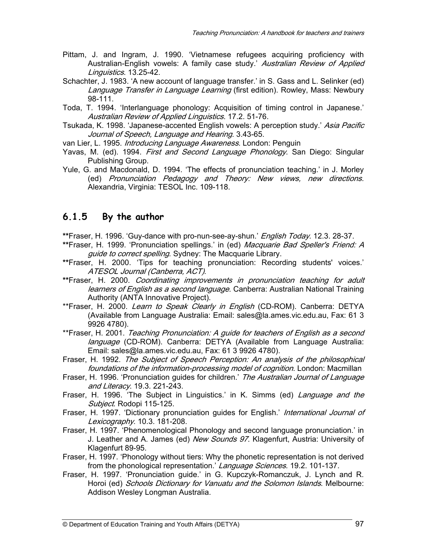- Pittam, J. and Ingram, J. 1990. 'Vietnamese refugees acquiring proficiency with Australian-English vowels: A family case study.' Australian Review of Applied Linguistics. 13.25-42.
- Schachter, J. 1983. 'A new account of language transfer.' in S. Gass and L. Selinker (ed) Language Transfer in Language Learning (first edition). Rowley, Mass: Newbury 98-111.
- Toda, T. 1994. 'Interlanguage phonology: Acquisition of timing control in Japanese.' Australian Review of Applied Linguistics. 17.2. 51-76.
- Tsukada, K. 1998. 'Japanese-accented English vowels: A perception study.' Asia Pacific Journal of Speech, Language and Hearing. 3.43-65.
- van Lier, L. 1995. *Introducing Language Awareness*. London: Penguin
- Yavas, M. (ed). 1994. *First and Second Language Phonology*. San Diego: Singular Publishing Group.
- Yule, G. and Macdonald, D. 1994. 'The effects of pronunciation teaching.' in J. Morley (ed) Pronunciation Pedagogy and Theory: New views, new directions. Alexandria, Virginia: TESOL Inc. 109-118.

#### **6.1.5 By the author**

**\*\***Fraser, H. 1996. 'Guy-dance with pro-nun-see-ay-shun.' English Today. 12.3. 28-37.

- \*\*Fraser, H. 1999. 'Pronunciation spellings.' in (ed) Macquarie Bad Speller's Friend: A guide to correct spelling. Sydney: The Macquarie Library.
- **\*\***Fraser, H. 2000. 'Tips for teaching pronunciation: Recording students' voices.' ATESOL Journal (Canberra, ACT).
- **\*\***Fraser, H. 2000. Coordinating improvements in pronunciation teaching for adult learners of English as a second language. Canberra: Australian National Training Authority (ANTA Innovative Project).
- \*\*Fraser, H. 2000. Learn to Speak Clearly in English (CD-ROM). Canberra: DETYA (Available from Language Australia: Email: sales@la.ames.vic.edu.au, Fax: 61 3 9926 4780).
- \*\*Fraser, H. 2001. Teaching Pronunciation: A quide for teachers of English as a second language (CD-ROM). Canberra: DETYA (Available from Language Australia: Email: sales@la.ames.vic.edu.au, Fax: 61 3 9926 4780).
- Fraser, H. 1992. The Subject of Speech Perception: An analysis of the philosophical foundations of the information-processing model of cognition. London: Macmillan
- Fraser, H. 1996. 'Pronunciation guides for children.' The Australian Journal of Language and Literacy. 19.3. 221-243.
- Fraser, H. 1996. 'The Subject in Linguistics.' in K. Simms (ed) Language and the Subject. Rodopi 115-125.
- Fraser, H. 1997. 'Dictionary pronunciation guides for English.' International Journal of Lexicography. 10.3. 181-208.
- Fraser, H. 1997. 'Phenomenological Phonology and second language pronunciation.' in J. Leather and A. James (ed) New Sounds 97. Klagenfurt, Austria: University of Klagenfurt 89-95.
- Fraser, H. 1997. 'Phonology without tiers: Why the phonetic representation is not derived from the phonological representation.' Language Sciences. 19.2. 101-137.
- Fraser, H. 1997. 'Pronunciation guide.' in G. Kupczyk-Romanczuk, J. Lynch and R. Horoi (ed) Schools Dictionary for Vanuatu and the Solomon Islands. Melbourne: Addison Wesley Longman Australia.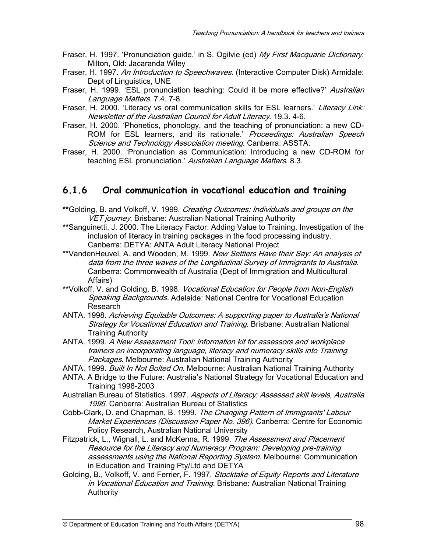- Fraser, H. 1997. 'Pronunciation guide.' in S. Ogilvie (ed) My First Macquarie Dictionary. Milton, Qld: Jacaranda Wiley
- Fraser, H. 1997. An Introduction to Speechwaves. (Interactive Computer Disk) Armidale: Dept of Linguistics, UNE
- Fraser, H. 1999. 'ESL pronunciation teaching: Could it be more effective?' Australian Language Matters. 7.4. 7-8.
- Fraser, H. 2000. 'Literacy vs oral communication skills for ESL learners.' Literacy Link: Newsletter of the Australian Council for Adult Literacy. 19.3. 4-6.
- Fraser, H. 2000. 'Phonetics, phonology, and the teaching of pronunciation: a new CD-ROM for ESL learners, and its rationale.' Proceedings: Australian Speech Science and Technology Association meeting. Canberra: ASSTA.
- Fraser, H. 2000. 'Pronunciation as Communication: Introducing a new CD-ROM for teaching ESL pronunciation.' Australian Language Matters. 8.3.

#### **6.1.6 Oral communication in vocational education and training**

- **\*\***Golding, B. and Volkoff, V. 1999. Creating Outcomes: Individuals and groups on the VET journey. Brisbane: Australian National Training Authority
- **\*\***Sanguinetti, J. 2000. The Literacy Factor: Adding Value to Training. Investigation of the inclusion of literacy in training packages in the food processing industry. Canberra: DETYA: ANTA Adult Literacy National Project
- **\*\***VandenHeuvel, A. and Wooden, M. 1999. New Settlers Have their Say: An analysis of data from the three waves of the Longitudinal Survey of Immigrants to Australia. Canberra: Commonwealth of Australia (Dept of Immigration and Multicultural Affairs)
- **\*\***Volkoff, V. and Golding, B. 1998. Vocational Education for People from Non-English Speaking Backgrounds. Adelaide: National Centre for Vocational Education Research
- ANTA. 1998. Achieving Equitable Outcomes: A supporting paper to Australia's National Strategy for Vocational Education and Training. Brisbane: Australian National Training Authority
- ANTA. 1999. A New Assessment Tool: Information kit for assessors and workplace trainers on incorporating language, literacy and numeracy skills into Training Packages. Melbourne: Australian National Training Authority
- ANTA. 1999. Built In Not Bolted On. Melbourne: Australian National Training Authority
- ANTA. A Bridge to the Future: Australia's National Strategy for Vocational Education and Training 1998-2003
- Australian Bureau of Statistics. 1997. Aspects of Literacy: Assessed skill levels, Australia 1996. Canberra: Australian Bureau of Statistics
- Cobb-Clark, D. and Chapman, B. 1999. The Changing Pattern of Immigrants' Labour Market Experiences (Discussion Paper No. 396). Canberra: Centre for Economic Policy Research, Australian National University
- Fitzpatrick, L., Wignall, L. and McKenna, R. 1999. The Assessment and Placement Resource for the Literacy and Numeracy Program: Developing pre-training assessments using the National Reporting System. Melbourne: Communication in Education and Training Pty/Ltd and DETYA
- Golding, B., Volkoff, V. and Ferrier, F. 1997. Stocktake of Equity Reports and Literature in Vocational Education and Training. Brisbane: Australian National Training Authority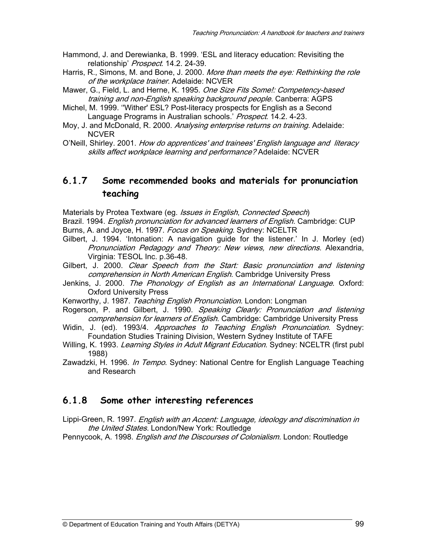- Hammond, J. and Derewianka, B. 1999. 'ESL and literacy education: Revisiting the relationship' Prospect. 14.2. 24-39.
- Harris, R., Simons, M. and Bone, J. 2000. More than meets the eye: Rethinking the role of the workplace trainer. Adelaide: NCVER
- Mawer, G., Field, L. and Herne, K. 1995. One Size Fits Some!: Competency-based training and non-English speaking background people. Canberra: AGPS
- Michel, M. 1999. ''Wither' ESL? Post-literacy prospects for English as a Second Language Programs in Australian schools.' Prospect. 14.2. 4-23.
- Moy, J. and McDonald, R. 2000. *Analysing enterprise returns on training.* Adelaide: NCVER
- O'Neill, Shirley. 2001. How do apprentices' and trainees' English language and literacy skills affect workplace learning and performance? Adelaide: NCVER

#### **6.1.7 Some recommended books and materials for pronunciation teaching**

Materials by Protea Textware (eg. Issues in English, Connected Speech) Brazil. 1994. *English pronunciation for advanced learners of English*. Cambridge: CUP Burns, A. and Joyce, H. 1997. Focus on Speaking. Sydney: NCELTR

- Gilbert, J. 1994. 'Intonation: A navigation guide for the listener.' In J. Morley (ed) Pronunciation Pedagogy and Theory: New views, new directions. Alexandria, Virginia: TESOL Inc. p.36-48.
- Gilbert, J. 2000. Clear Speech from the Start: Basic pronunciation and listening comprehension in North American English. Cambridge University Press
- Jenkins, J. 2000. The Phonology of English as an International Language. Oxford: Oxford University Press
- Kenworthy, J. 1987. Teaching English Pronunciation. London: Longman
- Rogerson, P. and Gilbert, J. 1990. Speaking Clearly: Pronunciation and listening comprehension for learners of English. Cambridge: Cambridge University Press
- Widin, J. (ed). 1993/4. Approaches to Teaching English Pronunciation. Sydney: Foundation Studies Training Division, Western Sydney Institute of TAFE
- Willing, K. 1993. Learning Styles in Adult Migrant Education. Sydney: NCELTR (first publ 1988)
- Zawadzki, H. 1996. *In Tempo*. Sydney: National Centre for English Language Teaching and Research

#### **6.1.8 Some other interesting references**

Lippi-Green, R. 1997. *English with an Accent: Language, ideology and discrimination in* the United States. London/New York: Routledge

Pennycook, A. 1998. *English and the Discourses of Colonialism*. London: Routledge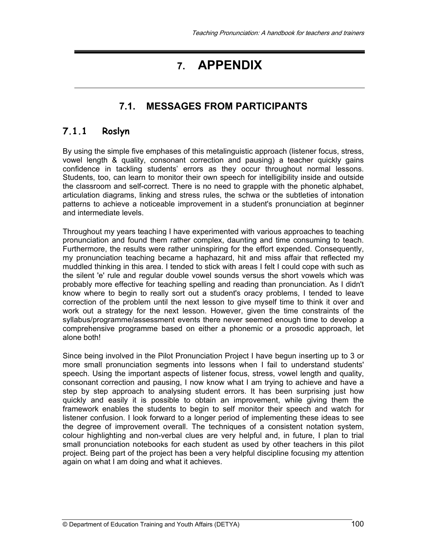# **7. APPENDIX**

# **7.1. MESSAGES FROM PARTICIPANTS**

## **7.1.1 Roslyn**

By using the simple five emphases of this metalinguistic approach (listener focus, stress, vowel length & quality, consonant correction and pausing) a teacher quickly gains confidence in tackling students' errors as they occur throughout normal lessons. Students, too, can learn to monitor their own speech for intelligibility inside and outside the classroom and self-correct. There is no need to grapple with the phonetic alphabet, articulation diagrams, linking and stress rules, the schwa or the subtleties of intonation patterns to achieve a noticeable improvement in a student's pronunciation at beginner and intermediate levels.

Throughout my years teaching I have experimented with various approaches to teaching pronunciation and found them rather complex, daunting and time consuming to teach. Furthermore, the results were rather uninspiring for the effort expended. Consequently, my pronunciation teaching became a haphazard, hit and miss affair that reflected my muddled thinking in this area. I tended to stick with areas I felt I could cope with such as the silent 'e' rule and regular double vowel sounds versus the short vowels which was probably more effective for teaching spelling and reading than pronunciation. As I didn't know where to begin to really sort out a student's oracy problems, I tended to leave correction of the problem until the next lesson to give myself time to think it over and work out a strategy for the next lesson. However, given the time constraints of the syllabus/programme/assessment events there never seemed enough time to develop a comprehensive programme based on either a phonemic or a prosodic approach, let alone both!

Since being involved in the Pilot Pronunciation Project I have begun inserting up to 3 or more small pronunciation segments into lessons when I fail to understand students' speech. Using the important aspects of listener focus, stress, vowel length and quality, consonant correction and pausing, I now know what I am trying to achieve and have a step by step approach to analysing student errors. It has been surprising just how quickly and easily it is possible to obtain an improvement, while giving them the framework enables the students to begin to self monitor their speech and watch for listener confusion. I look forward to a longer period of implementing these ideas to see the degree of improvement overall. The techniques of a consistent notation system, colour highlighting and non-verbal clues are very helpful and, in future, I plan to trial small pronunciation notebooks for each student as used by other teachers in this pilot project. Being part of the project has been a very helpful discipline focusing my attention again on what I am doing and what it achieves.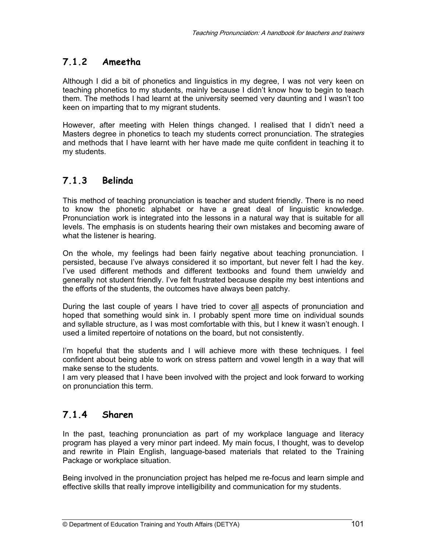## **7.1.2 Ameetha**

Although I did a bit of phonetics and linguistics in my degree, I was not very keen on teaching phonetics to my students, mainly because I didn't know how to begin to teach them. The methods I had learnt at the university seemed very daunting and I wasn't too keen on imparting that to my migrant students.

However, after meeting with Helen things changed. I realised that I didn't need a Masters degree in phonetics to teach my students correct pronunciation. The strategies and methods that I have learnt with her have made me quite confident in teaching it to my students.

## **7.1.3 Belinda**

This method of teaching pronunciation is teacher and student friendly. There is no need to know the phonetic alphabet or have a great deal of linguistic knowledge. Pronunciation work is integrated into the lessons in a natural way that is suitable for all levels. The emphasis is on students hearing their own mistakes and becoming aware of what the listener is hearing.

On the whole, my feelings had been fairly negative about teaching pronunciation. I persisted, because I've always considered it so important, but never felt I had the key. I've used different methods and different textbooks and found them unwieldy and generally not student friendly. I've felt frustrated because despite my best intentions and the efforts of the students, the outcomes have always been patchy.

During the last couple of years I have tried to cover all aspects of pronunciation and hoped that something would sink in. I probably spent more time on individual sounds and syllable structure, as I was most comfortable with this, but I knew it wasn't enough. I used a limited repertoire of notations on the board, but not consistently.

I'm hopeful that the students and I will achieve more with these techniques. I feel confident about being able to work on stress pattern and vowel length in a way that will make sense to the students.

I am very pleased that I have been involved with the project and look forward to working on pronunciation this term.

## **7.1.4 Sharen**

In the past, teaching pronunciation as part of my workplace language and literacy program has played a very minor part indeed. My main focus, I thought, was to develop and rewrite in Plain English, language-based materials that related to the Training Package or workplace situation.

Being involved in the pronunciation project has helped me re-focus and learn simple and effective skills that really improve intelligibility and communication for my students.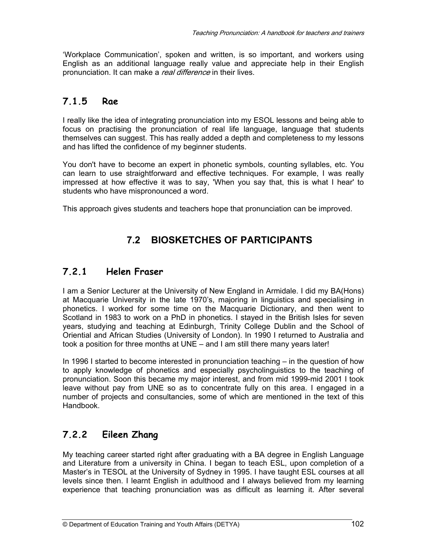'Workplace Communication', spoken and written, is so important, and workers using English as an additional language really value and appreciate help in their English pronunciation. It can make a *real difference* in their lives.

# **7.1.5 Rae**

I really like the idea of integrating pronunciation into my ESOL lessons and being able to focus on practising the pronunciation of real life language, language that students themselves can suggest. This has really added a depth and completeness to my lessons and has lifted the confidence of my beginner students.

You don't have to become an expert in phonetic symbols, counting syllables, etc. You can learn to use straightforward and effective techniques. For example, I was really impressed at how effective it was to say, 'When you say that, this is what I hear' to students who have mispronounced a word.

This approach gives students and teachers hope that pronunciation can be improved.

# **7.2 BIOSKETCHES OF PARTICIPANTS**

## **7.2.1 Helen Fraser**

I am a Senior Lecturer at the University of New England in Armidale. I did my BA(Hons) at Macquarie University in the late 1970's, majoring in linguistics and specialising in phonetics. I worked for some time on the Macquarie Dictionary, and then went to Scotland in 1983 to work on a PhD in phonetics. I stayed in the British Isles for seven years, studying and teaching at Edinburgh, Trinity College Dublin and the School of Oriential and African Studies (University of London). In 1990 I returned to Australia and took a position for three months at UNE – and I am still there many years later!

In 1996 I started to become interested in pronunciation teaching – in the question of how to apply knowledge of phonetics and especially psycholinguistics to the teaching of pronunciation. Soon this became my major interest, and from mid 1999-mid 2001 I took leave without pay from UNE so as to concentrate fully on this area. I engaged in a number of projects and consultancies, some of which are mentioned in the text of this Handbook.

# **7.2.2 Eileen Zhang**

My teaching career started right after graduating with a BA degree in English Language and Literature from a university in China. I began to teach ESL, upon completion of a Master's in TESOL at the University of Sydney in 1995. I have taught ESL courses at all levels since then. I learnt English in adulthood and I always believed from my learning experience that teaching pronunciation was as difficult as learning it. After several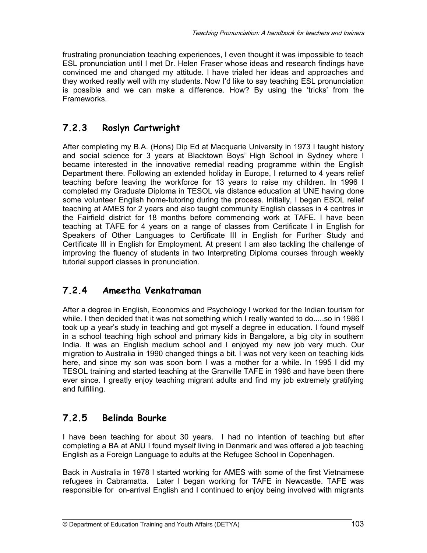frustrating pronunciation teaching experiences, I even thought it was impossible to teach ESL pronunciation until I met Dr. Helen Fraser whose ideas and research findings have convinced me and changed my attitude. I have trialed her ideas and approaches and they worked really well with my students. Now I'd like to say teaching ESL pronunciation is possible and we can make a difference. How? By using the 'tricks' from the Frameworks.

# **7.2.3 Roslyn Cartwright**

After completing my B.A. (Hons) Dip Ed at Macquarie University in 1973 I taught history and social science for 3 years at Blacktown Boys' High School in Sydney where I became interested in the innovative remedial reading programme within the English Department there. Following an extended holiday in Europe, I returned to 4 years relief teaching before leaving the workforce for 13 years to raise my children. In 1996 I completed my Graduate Diploma in TESOL via distance education at UNE having done some volunteer English home-tutoring during the process. Initially, I began ESOL relief teaching at AMES for 2 years and also taught community English classes in 4 centres in the Fairfield district for 18 months before commencing work at TAFE. I have been teaching at TAFE for 4 years on a range of classes from Certificate I in English for Speakers of Other Languages to Certificate III in English for Further Study and Certificate III in English for Employment. At present I am also tackling the challenge of improving the fluency of students in two Interpreting Diploma courses through weekly tutorial support classes in pronunciation.

# **7.2.4 Ameetha Venkatraman**

After a degree in English, Economics and Psychology I worked for the Indian tourism for while. I then decided that it was not something which I really wanted to do.....so in 1986 I took up a year's study in teaching and got myself a degree in education. I found myself in a school teaching high school and primary kids in Bangalore, a big city in southern India. It was an English medium school and I enjoyed my new job very much. Our migration to Australia in 1990 changed things a bit. I was not very keen on teaching kids here, and since my son was soon born I was a mother for a while. In 1995 I did my TESOL training and started teaching at the Granville TAFE in 1996 and have been there ever since. I greatly enjoy teaching migrant adults and find my job extremely gratifying and fulfilling.

# **7.2.5 Belinda Bourke**

I have been teaching for about 30 years. I had no intention of teaching but after completing a BA at ANU I found myself living in Denmark and was offered a job teaching English as a Foreign Language to adults at the Refugee School in Copenhagen.

Back in Australia in 1978 I started working for AMES with some of the first Vietnamese refugees in Cabramatta. Later I began working for TAFE in Newcastle. TAFE was responsible for on-arrival English and I continued to enjoy being involved with migrants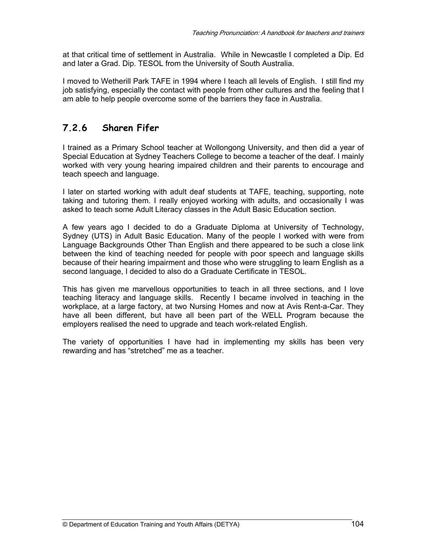at that critical time of settlement in Australia. While in Newcastle I completed a Dip. Ed and later a Grad. Dip. TESOL from the University of South Australia.

I moved to Wetherill Park TAFE in 1994 where I teach all levels of English. I still find my iob satisfying, especially the contact with people from other cultures and the feeling that I am able to help people overcome some of the barriers they face in Australia.

# **7.2.6 Sharen Fifer**

I trained as a Primary School teacher at Wollongong University, and then did a year of Special Education at Sydney Teachers College to become a teacher of the deaf. I mainly worked with very young hearing impaired children and their parents to encourage and teach speech and language.

I later on started working with adult deaf students at TAFE, teaching, supporting, note taking and tutoring them. I really enjoyed working with adults, and occasionally I was asked to teach some Adult Literacy classes in the Adult Basic Education section.

A few years ago I decided to do a Graduate Diploma at University of Technology, Sydney (UTS) in Adult Basic Education. Many of the people I worked with were from Language Backgrounds Other Than English and there appeared to be such a close link between the kind of teaching needed for people with poor speech and language skills because of their hearing impairment and those who were struggling to learn English as a second language, I decided to also do a Graduate Certificate in TESOL.

This has given me marvellous opportunities to teach in all three sections, and I love teaching literacy and language skills. Recently I became involved in teaching in the workplace, at a large factory, at two Nursing Homes and now at Avis Rent-a-Car. They have all been different, but have all been part of the WELL Program because the employers realised the need to upgrade and teach work-related English.

The variety of opportunities I have had in implementing my skills has been very rewarding and has "stretched" me as a teacher.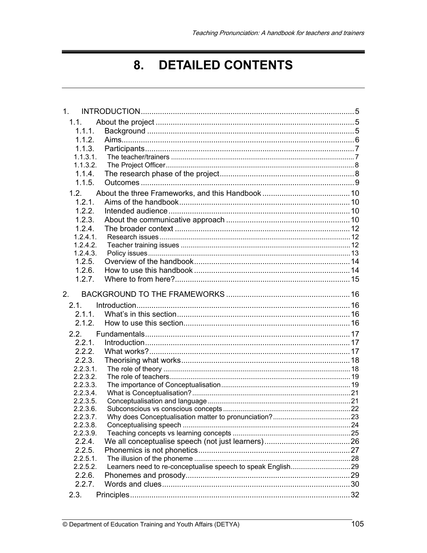#### **DETAILED CONTENTS** 8.

| 1 <sub>1</sub> |  |  |  |
|----------------|--|--|--|
| 1.1.           |  |  |  |
| 1.1.1.         |  |  |  |
| 1.1.2.         |  |  |  |
| 1.1.3.         |  |  |  |
| 1.1.3.1.       |  |  |  |
| 1.1.3.2.       |  |  |  |
| 1.1.4.         |  |  |  |
| 1.1.5.         |  |  |  |
| 1.2.           |  |  |  |
| 1.2.1.         |  |  |  |
| 1.2.2.         |  |  |  |
| 1.2.3.         |  |  |  |
| 1.2.4.         |  |  |  |
| 1.2.4.1.       |  |  |  |
| 1.2.4.2.       |  |  |  |
| 1.2.4.3.       |  |  |  |
| 1.2.5.         |  |  |  |
| 1.2.6.         |  |  |  |
| 1.2.7.         |  |  |  |
|                |  |  |  |
| 2.             |  |  |  |
| 2.1            |  |  |  |
| 2.1.1.         |  |  |  |
| 2.1.2.         |  |  |  |
| 2.2.           |  |  |  |
| 2.2.1.         |  |  |  |
| 2.2.2.         |  |  |  |
| 2.2.3.         |  |  |  |
| $2.2.3.1$ .    |  |  |  |
| 2.2.3.2.       |  |  |  |
| 2.2.3.3.       |  |  |  |
| 2.2.3.4.       |  |  |  |
| 2.2.3.5.       |  |  |  |
| 2.2.3.6.       |  |  |  |
| 2.2.3.7.       |  |  |  |
| 2.2.3.8.       |  |  |  |
| 2.2.3.9.       |  |  |  |
| 2.2.4.         |  |  |  |
| 2.2.5.         |  |  |  |
| $2.2.5.1$ .    |  |  |  |
| 2.2.5.2.       |  |  |  |
| 2.2.6.         |  |  |  |
| 2.2.7.         |  |  |  |
| 2.3.           |  |  |  |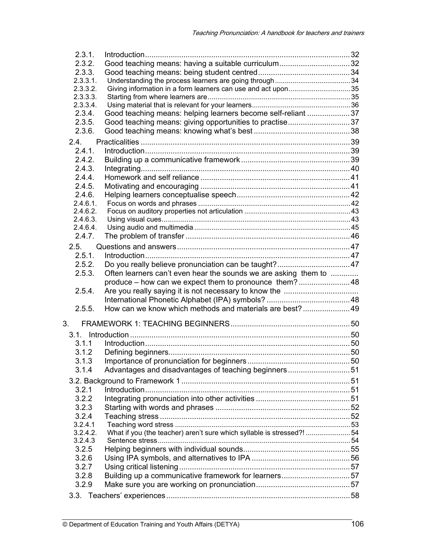| 2.3.1.               |                                                                       |  |
|----------------------|-----------------------------------------------------------------------|--|
| 2.3.2.               | Good teaching means: having a suitable curriculum32                   |  |
| 2.3.3.               |                                                                       |  |
| 2.3.3.1.             |                                                                       |  |
| 2.3.3.2.             |                                                                       |  |
| 2.3.3.3.             |                                                                       |  |
| 2.3.3.4.             |                                                                       |  |
| 2.3.4.               | Good teaching means: helping learners become self-reliant 37          |  |
| 2.3.5.               | Good teaching means: giving opportunities to practise37               |  |
| 2.3.6.               |                                                                       |  |
| 2.4.                 |                                                                       |  |
| 2.4.1.               |                                                                       |  |
| 2.4.2.               |                                                                       |  |
| 2.4.3.               |                                                                       |  |
| 2.4.4.               |                                                                       |  |
| 2.4.5.               |                                                                       |  |
| 2.4.6.               |                                                                       |  |
| 2.4.6.1.             |                                                                       |  |
| 2.4.6.2.             |                                                                       |  |
| 2.4.6.3.<br>2.4.6.4. |                                                                       |  |
| 2.4.7.               |                                                                       |  |
|                      |                                                                       |  |
| 2.5.                 |                                                                       |  |
| 2.5.1.               |                                                                       |  |
| 2.5.2.               |                                                                       |  |
| 2.5.3.               | Often learners can't even hear the sounds we are asking them to       |  |
|                      | produce – how can we expect them to pronounce them?48                 |  |
| 2.5.4.               |                                                                       |  |
|                      |                                                                       |  |
| 2.5.5.               | How can we know which methods and materials are best? 49              |  |
| 3.                   |                                                                       |  |
|                      |                                                                       |  |
|                      |                                                                       |  |
| 3.1.1                |                                                                       |  |
| 3.1.2                |                                                                       |  |
| 3.1.3                | Importance of pronunciation for beginners                             |  |
| 3.1.4                | Advantages and disadvantages of teaching beginners51                  |  |
|                      |                                                                       |  |
| 3.2.1                |                                                                       |  |
| 3.2.2                |                                                                       |  |
| 3.2.3                |                                                                       |  |
| 3.2.4                |                                                                       |  |
| 3.2.4.1              |                                                                       |  |
| 3.2.4.2.             | What if you (the teacher) aren't sure which syllable is stressed?! 54 |  |
| 3.2.4.3              |                                                                       |  |
| 3.2.5                |                                                                       |  |
| 3.2.6                |                                                                       |  |
| 3.2.7                |                                                                       |  |
| 3.2.8                |                                                                       |  |
| 3.2.9                |                                                                       |  |
|                      |                                                                       |  |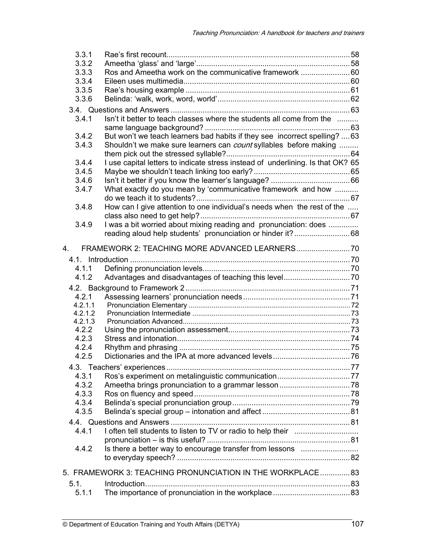| 3.3.1                                                      |                                                                                 |  |  |  |
|------------------------------------------------------------|---------------------------------------------------------------------------------|--|--|--|
| 3.3.2                                                      |                                                                                 |  |  |  |
| 3.3.3                                                      | Ros and Ameetha work on the communicative framework  60                         |  |  |  |
| 3.3.4                                                      |                                                                                 |  |  |  |
| 3.3.5                                                      |                                                                                 |  |  |  |
| 3.3.6                                                      |                                                                                 |  |  |  |
|                                                            |                                                                                 |  |  |  |
| 3.4.1                                                      | Isn't it better to teach classes where the students all come from the           |  |  |  |
|                                                            |                                                                                 |  |  |  |
| 3.4.2                                                      | But won't we teach learners bad habits if they see incorrect spelling?  63      |  |  |  |
| 3.4.3                                                      | Shouldn't we make sure learners can <i>count</i> syllables before making        |  |  |  |
|                                                            |                                                                                 |  |  |  |
| 3.4.4                                                      | I use capital letters to indicate stress instead of underlining. Is that OK? 65 |  |  |  |
| 3.4.5                                                      |                                                                                 |  |  |  |
| 3.4.6                                                      |                                                                                 |  |  |  |
| 3.4.7                                                      | What exactly do you mean by 'communicative framework and how                    |  |  |  |
|                                                            |                                                                                 |  |  |  |
| 3.4.8                                                      | How can I give attention to one individual's needs when the rest of the         |  |  |  |
|                                                            |                                                                                 |  |  |  |
| 3.4.9                                                      | I was a bit worried about mixing reading and pronunciation: does                |  |  |  |
|                                                            | reading aloud help students' pronunciation or hinder it?68                      |  |  |  |
| 4.                                                         |                                                                                 |  |  |  |
|                                                            |                                                                                 |  |  |  |
| 4.1.1                                                      |                                                                                 |  |  |  |
| 4.1.2                                                      |                                                                                 |  |  |  |
|                                                            |                                                                                 |  |  |  |
| 4.2.1                                                      |                                                                                 |  |  |  |
| 4.2.1.1                                                    |                                                                                 |  |  |  |
| 4.2.1.2                                                    |                                                                                 |  |  |  |
| 4.2.1.3                                                    |                                                                                 |  |  |  |
| 4.2.2                                                      |                                                                                 |  |  |  |
| 4.2.3                                                      |                                                                                 |  |  |  |
| 4.2.4                                                      |                                                                                 |  |  |  |
| 4.2.5                                                      |                                                                                 |  |  |  |
|                                                            |                                                                                 |  |  |  |
| 4.3.1                                                      |                                                                                 |  |  |  |
| 4.3.2                                                      |                                                                                 |  |  |  |
| 4.3.3                                                      |                                                                                 |  |  |  |
| 4.3.4                                                      |                                                                                 |  |  |  |
| 4.3.5                                                      |                                                                                 |  |  |  |
|                                                            |                                                                                 |  |  |  |
| 4.4.1                                                      |                                                                                 |  |  |  |
|                                                            |                                                                                 |  |  |  |
| 4.4.2                                                      | Is there a better way to encourage transfer from lessons                        |  |  |  |
|                                                            |                                                                                 |  |  |  |
|                                                            |                                                                                 |  |  |  |
| 5. FRAMEWORK 3: TEACHING PRONUNCIATION IN THE WORKPLACE 83 |                                                                                 |  |  |  |
| 5.1.                                                       |                                                                                 |  |  |  |
| 5.1.1                                                      |                                                                                 |  |  |  |
|                                                            |                                                                                 |  |  |  |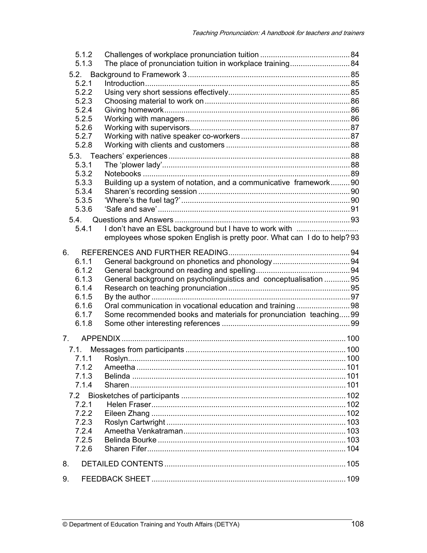|                | 5.1.2<br>5.1.3 |                                                                          |  |
|----------------|----------------|--------------------------------------------------------------------------|--|
|                |                |                                                                          |  |
|                | 5.2.1          |                                                                          |  |
|                | 5.2.2          |                                                                          |  |
|                | 5.2.3          |                                                                          |  |
|                | 5.2.4<br>5.2.5 |                                                                          |  |
|                | 5.2.6          |                                                                          |  |
|                | 5.2.7          |                                                                          |  |
|                | 5.2.8          |                                                                          |  |
|                |                |                                                                          |  |
|                | 5.3.1          |                                                                          |  |
|                | 5.3.2          |                                                                          |  |
|                | 5.3.3          | Building up a system of notation, and a communicative framework90        |  |
|                | 5.3.4          |                                                                          |  |
|                | 5.3.5          |                                                                          |  |
|                | 5.3.6          |                                                                          |  |
|                | 5.4.           |                                                                          |  |
|                | 5.4.1          | I don't have an ESL background but I have to work with                   |  |
|                |                | employees whose spoken English is pretty poor. What can I do to help? 93 |  |
|                |                |                                                                          |  |
| 6.             |                |                                                                          |  |
|                | 6.1.1          |                                                                          |  |
|                | 6.1.2          |                                                                          |  |
|                | 6.1.3          | General background on psycholinguistics and conceptualisation 95         |  |
|                | 6.1.4<br>6.1.5 |                                                                          |  |
|                | 6.1.6          | Oral communication in vocational education and training 98               |  |
|                | 6.1.7          | Some recommended books and materials for pronunciation teaching99        |  |
|                | 6.1.8          |                                                                          |  |
|                |                |                                                                          |  |
| 7 <sup>1</sup> |                |                                                                          |  |
| 7.1.           |                |                                                                          |  |
|                | 7.1.1          |                                                                          |  |
|                | 7.1.2          |                                                                          |  |
|                | 7.1.3          |                                                                          |  |
|                | 7.1.4          |                                                                          |  |
| 7.2            |                |                                                                          |  |
|                | 7.2.1          |                                                                          |  |
|                | 7.2.2          |                                                                          |  |
|                | 7.2.3          |                                                                          |  |
|                | 7.2.4          |                                                                          |  |
|                | 7.2.5          |                                                                          |  |
|                | 7.2.6          |                                                                          |  |
| 8.             |                |                                                                          |  |
| 9.             |                |                                                                          |  |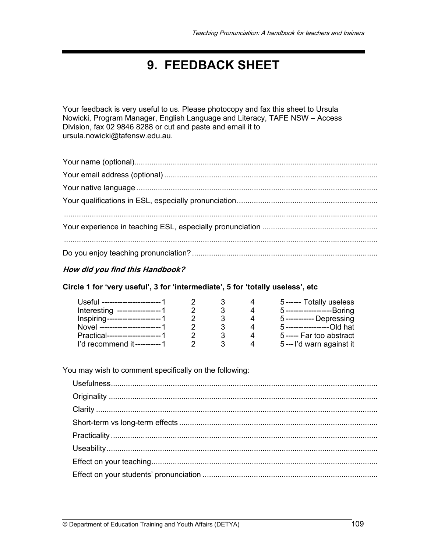## **9. FEEDBACK SHEET**

Your feedback is very useful to us. Please photocopy and fax this sheet to Ursula Nowicki, Program Manager, English Language and Literacy, TAFE NSW – Access Division, fax 02 9846 8288 or cut and paste and email it to ursula.nowicki@tafensw.edu.au.

## **How did you find this Handbook?**

## **Circle 1 for 'very useful', 3 for 'intermediate', 5 for 'totally useless', etc**

| Useful ------------------------ 1 |                |   | 5------ Totally useless     |
|-----------------------------------|----------------|---|-----------------------------|
| Interesting ------------------1   |                |   | 5--------------------Boring |
| Inspiring---------------------- 1 |                |   | 5------------ Depressing    |
| Novel ------------------------ 1  |                |   | 5-------------------Old hat |
| Practical---------------------- 1 |                |   | 5----- Far too abstract     |
| I'd recommend it----------1       | $\overline{2}$ | 3 | 5--- I'd warn against it    |

You may wish to comment specifically on the following: